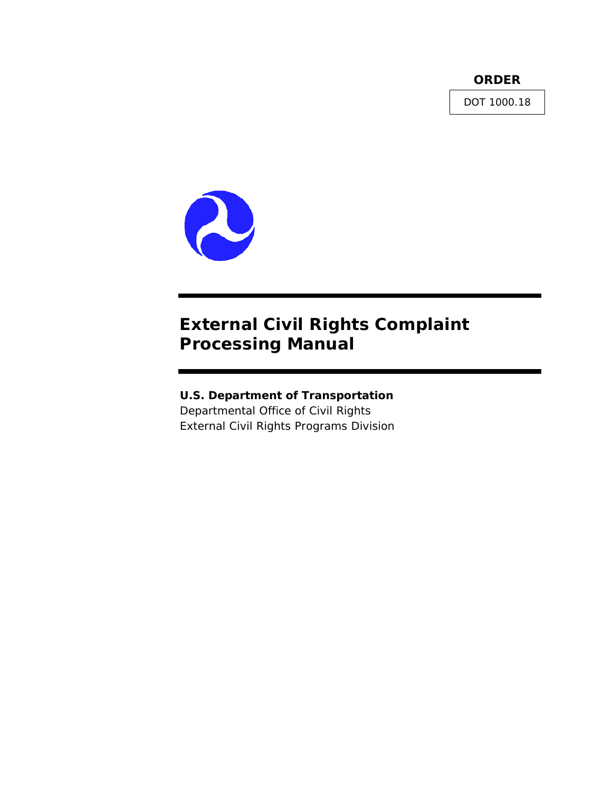**ORDER** 

DOT 1000.18



# **External Civil Rights Complaint Processing Manual**

# **U.S. Department of Transportation**

Departmental Office of Civil Rights External Civil Rights Programs Division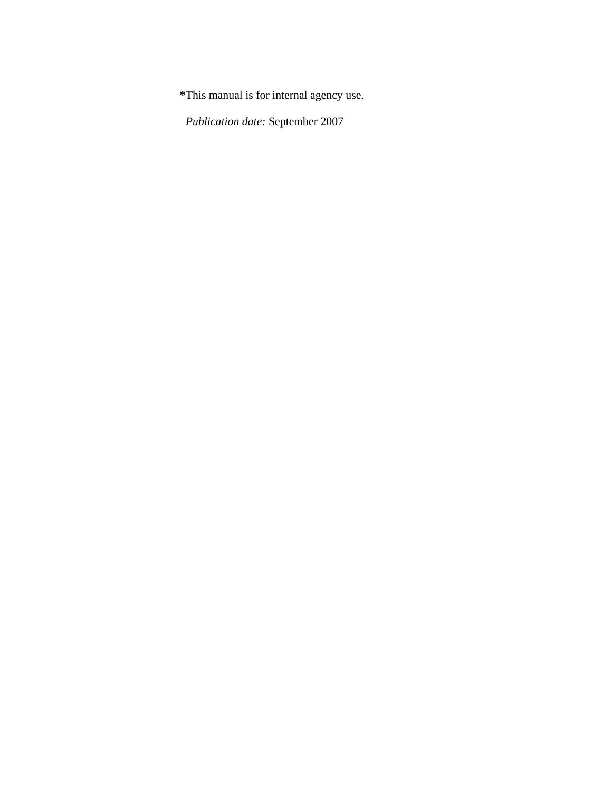**\***This manual is for internal agency use.

 *Publication date:* September 2007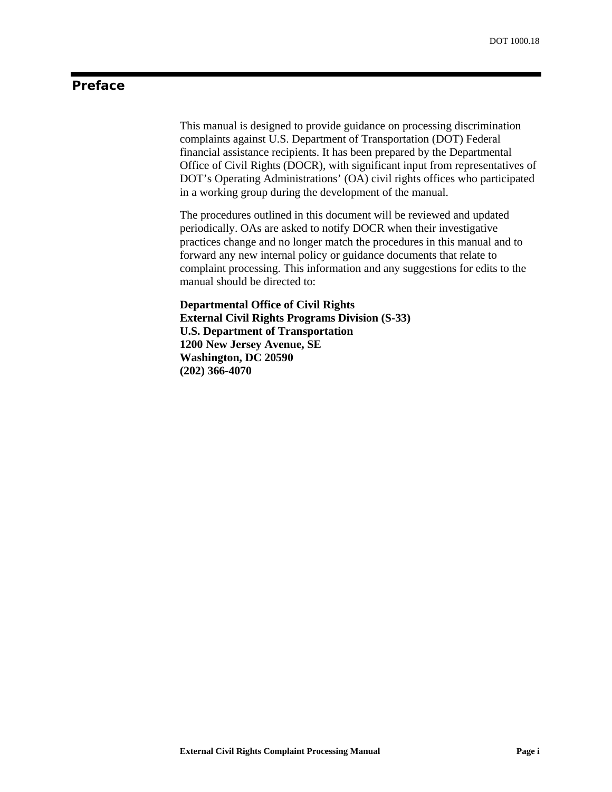# **Preface**

This manual is designed to provide guidance on processing discrimination complaints against U.S. Department of Transportation (DOT) Federal financial assistance recipients. It has been prepared by the Departmental Office of Civil Rights (DOCR), with significant input from representatives of DOT's Operating Administrations' (OA) civil rights offices who participated in a working group during the development of the manual.

The procedures outlined in this document will be reviewed and updated periodically. OAs are asked to notify DOCR when their investigative practices change and no longer match the procedures in this manual and to forward any new internal policy or guidance documents that relate to complaint processing. This information and any suggestions for edits to the manual should be directed to:

**Departmental Office of Civil Rights External Civil Rights Programs Division (S-33) U.S. Department of Transportation 1200 New Jersey Avenue, SE Washington, DC 20590 (202) 366-4070**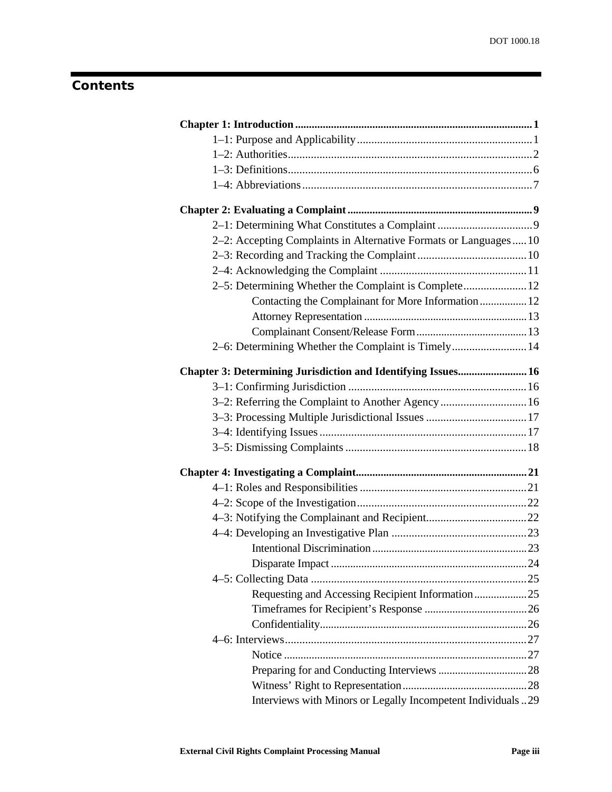# **Contents**

| 2–2: Accepting Complaints in Alternative Formats or Languages10 |  |
|-----------------------------------------------------------------|--|
|                                                                 |  |
|                                                                 |  |
| 2-5: Determining Whether the Complaint is Complete 12           |  |
| Contacting the Complainant for More Information  12             |  |
|                                                                 |  |
|                                                                 |  |
| 2-6: Determining Whether the Complaint is Timely 14             |  |
| Chapter 3: Determining Jurisdiction and Identifying Issues 16   |  |
|                                                                 |  |
| 3-2: Referring the Complaint to Another Agency  16              |  |
|                                                                 |  |
|                                                                 |  |
|                                                                 |  |
|                                                                 |  |
|                                                                 |  |
|                                                                 |  |
|                                                                 |  |
|                                                                 |  |
|                                                                 |  |
|                                                                 |  |
|                                                                 |  |
| Requesting and Accessing Recipient Information25                |  |
|                                                                 |  |
|                                                                 |  |
|                                                                 |  |
|                                                                 |  |
|                                                                 |  |
|                                                                 |  |
| Interviews with Minors or Legally Incompetent Individuals29     |  |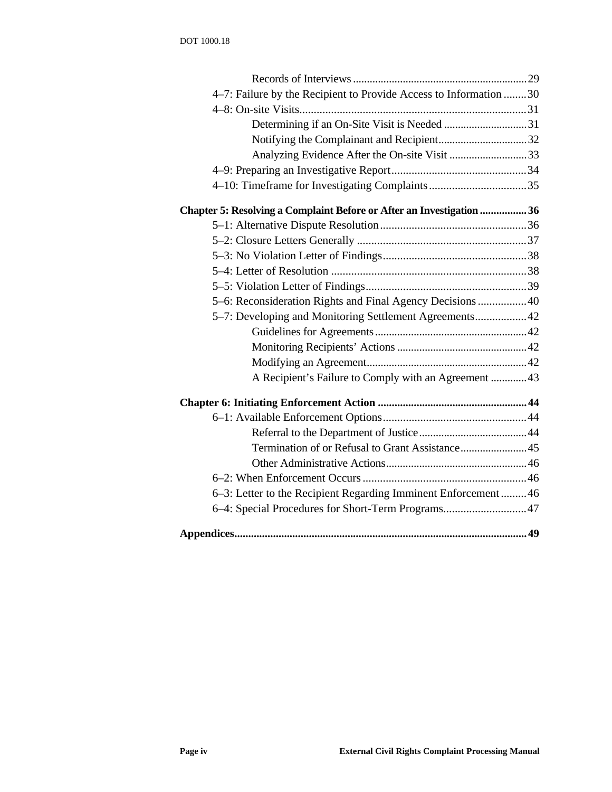| 4–7: Failure by the Recipient to Provide Access to Information 30     |  |
|-----------------------------------------------------------------------|--|
|                                                                       |  |
|                                                                       |  |
|                                                                       |  |
| Analyzing Evidence After the On-site Visit 33                         |  |
|                                                                       |  |
|                                                                       |  |
| Chapter 5: Resolving a Complaint Before or After an Investigation  36 |  |
|                                                                       |  |
|                                                                       |  |
|                                                                       |  |
|                                                                       |  |
|                                                                       |  |
| 5-6: Reconsideration Rights and Final Agency Decisions  40            |  |
| 5–7: Developing and Monitoring Settlement Agreements 42               |  |
|                                                                       |  |
|                                                                       |  |
|                                                                       |  |
| A Recipient's Failure to Comply with an Agreement 43                  |  |
|                                                                       |  |
|                                                                       |  |
|                                                                       |  |
|                                                                       |  |
|                                                                       |  |
|                                                                       |  |
| 6-3: Letter to the Recipient Regarding Imminent Enforcement 46        |  |
| 6-4: Special Procedures for Short-Term Programs 47                    |  |
|                                                                       |  |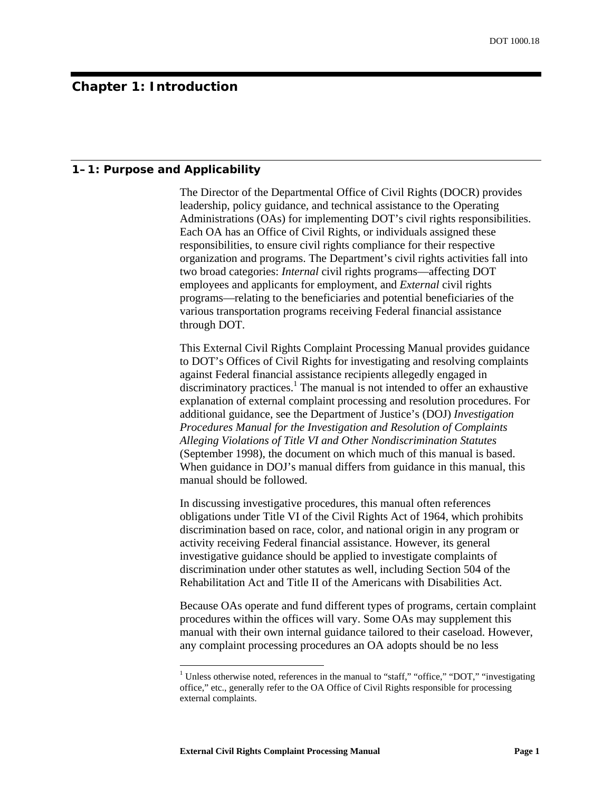# <span id="page-6-0"></span>**Chapter 1: Introduction**

#### **1–1: Purpose and Applicability**

The Director of the Departmental Office of Civil Rights (DOCR) provides leadership, policy guidance, and technical assistance to the Operating Administrations (OAs) for implementing DOT's civil rights responsibilities. Each OA has an Office of Civil Rights, or individuals assigned these responsibilities, to ensure civil rights compliance for their respective organization and programs. The Department's civil rights activities fall into two broad categories: *Internal* civil rights programs—affecting DOT employees and applicants for employment, and *External* civil rights programs—relating to the beneficiaries and potential beneficiaries of the various transportation programs receiving Federal financial assistance through DOT.

This External Civil Rights Complaint Processing Manual provides guidance to DOT's Offices of Civil Rights for investigating and resolving complaints against Federal financial assistance recipients allegedly engaged in discriminatory practices.<sup>[1](#page-6-1)</sup> The manual is not intended to offer an exhaustive explanation of external complaint processing and resolution procedures. For additional guidance, see the Department of Justice's (DOJ) *Investigation Procedures Manual for the Investigation and Resolution of Complaints Alleging Violations of Title VI and Other Nondiscrimination Statutes* (September 1998), the document on which much of this manual is based. When guidance in DOJ's manual differs from guidance in this manual, this manual should be followed.

In discussing investigative procedures, this manual often references obligations under Title VI of the Civil Rights Act of 1964, which prohibits discrimination based on race, color, and national origin in any program or activity receiving Federal financial assistance. However, its general investigative guidance should be applied to investigate complaints of discrimination under other statutes as well, including Section 504 of the Rehabilitation Act and Title II of the Americans with Disabilities Act.

Because OAs operate and fund different types of programs, certain complaint procedures within the offices will vary. Some OAs may supplement this manual with their own internal guidance tailored to their caseload. However, any complaint processing procedures an OA adopts should be no less

<span id="page-6-1"></span><sup>&</sup>lt;sup>1</sup> Unless otherwise noted, references in the manual to "staff," "office," "DOT," "investigating office," etc., generally refer to the OA Office of Civil Rights responsible for processing external complaints.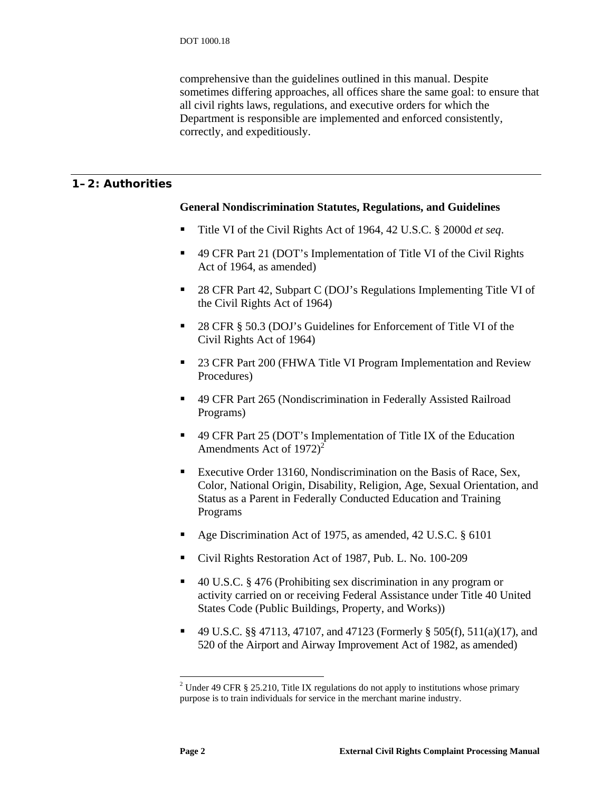comprehensive than the guidelines outlined in this manual. Despite sometimes differing approaches, all offices share the same goal: to ensure that all civil rights laws, regulations, and executive orders for which the Department is responsible are implemented and enforced consistently, correctly, and expeditiously.

# <span id="page-7-2"></span><span id="page-7-0"></span>**1–2: Authorities**

#### **General Nondiscrimination Statutes, Regulations, and Guidelines**

- Title VI of the Civil Rights Act of 1964, 42 U.S.C. § 2000d *et seq*.
- 49 CFR Part 21 (DOT's Implementation of Title VI of the Civil Rights Act of 1964, as amended)
- 28 CFR Part 42, Subpart C (DOJ's Regulations Implementing Title VI of the Civil Rights Act of 1964)
- 28 CFR § 50.3 (DOJ's Guidelines for Enforcement of Title VI of the Civil Rights Act of 1964)
- 23 CFR Part 200 (FHWA Title VI Program Implementation and Review Procedures)
- 49 CFR Part 265 (Nondiscrimination in Federally Assisted Railroad Programs)
- 49 CFR Part 25 (DOT's Implementation of Title IX of the Education Amendments Act of 197[2](#page-7-1))<sup>2</sup>
- Executive Order 13160, Nondiscrimination on the Basis of Race, Sex, Color, National Origin, Disability, Religion, Age, Sexual Orientation, and Status as a Parent in Federally Conducted Education and Training Programs
- Age Discrimination Act of 1975, as amended, 42 U.S.C. § 6101
- Civil Rights Restoration Act of 1987, Pub. L. No. 100-209
- 40 U.S.C. § 476 (Prohibiting sex discrimination in any program or activity carried on or receiving Federal Assistance under Title 40 United States Code (Public Buildings, Property, and Works))
- 49 U.S.C. §§ 47113, 47107, and 47123 (Formerly § 505(f), 511(a)(17), and 520 of the Airport and Airway Improvement Act of 1982, as amended)

<span id="page-7-1"></span><sup>&</sup>lt;sup>2</sup> Under 49 CFR § 25.210, Title IX regulations do not apply to institutions whose primary purpose is to train individuals for service in the merchant marine industry.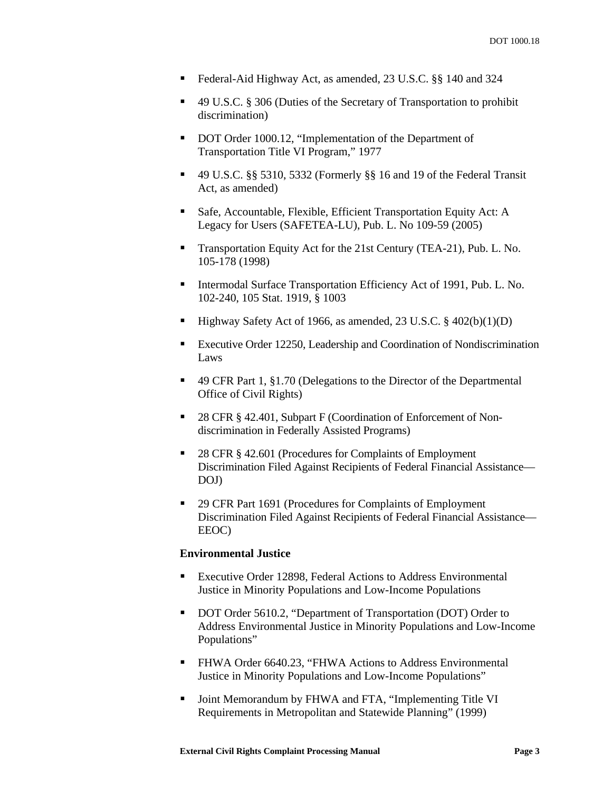- Federal-Aid Highway Act, as amended, 23 U.S.C. §§ 140 and 324
- 49 U.S.C. § 306 (Duties of the Secretary of Transportation to prohibit discrimination)
- DOT Order 1000.12, "Implementation of the Department of Transportation Title VI Program," 1977
- 49 U.S.C. §§ 5310, 5332 (Formerly §§ 16 and 19 of the Federal Transit Act, as amended)
- Safe, Accountable, Flexible, Efficient Transportation Equity Act: A Legacy for Users (SAFETEA-LU), Pub. L. No 109-59 (2005)
- Transportation Equity Act for the 21st Century (TEA-21), Pub. L. No. 105-178 (1998)
- Intermodal Surface Transportation Efficiency Act of 1991, Pub. L. No. 102-240, 105 Stat. 1919, § 1003
- $\blacksquare$  Highway Safety Act of 1966, as amended, 23 U.S.C. § 402(b)(1)(D)
- Executive Order 12250, Leadership and Coordination of Nondiscrimination Laws
- 49 CFR Part 1, §1.70 (Delegations to the Director of the Departmental Office of Civil Rights)
- 28 CFR § 42.401, Subpart F (Coordination of Enforcement of Nondiscrimination in Federally Assisted Programs)
- 28 CFR § 42.601 (Procedures for Complaints of Employment Discrimination Filed Against Recipients of Federal Financial Assistance— DOJ)
- 29 CFR Part 1691 (Procedures for Complaints of Employment Discrimination Filed Against Recipients of Federal Financial Assistance— EEOC)

#### **Environmental Justice**

- Executive Order 12898, Federal Actions to Address Environmental Justice in Minority Populations and Low-Income Populations
- DOT Order 5610.2, "Department of Transportation (DOT) Order to Address Environmental Justice in Minority Populations and Low-Income Populations"
- FHWA Order 6640.23, "FHWA Actions to Address Environmental Justice in Minority Populations and Low-Income Populations"
- Joint Memorandum by FHWA and FTA, "Implementing Title VI Requirements in Metropolitan and Statewide Planning" (1999)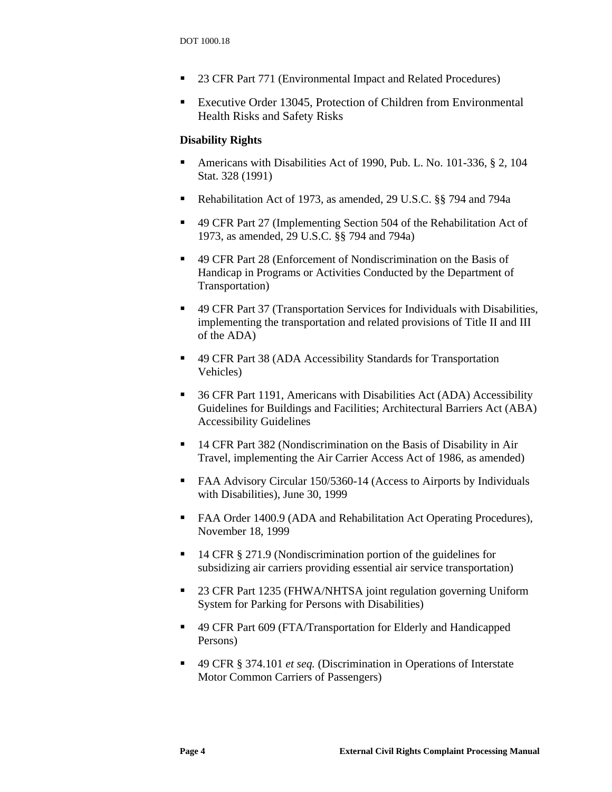- 23 CFR Part 771 (Environmental Impact and Related Procedures)
- Executive Order 13045, Protection of Children from Environmental Health Risks and Safety Risks

## **Disability Rights**

- Americans with Disabilities Act of 1990, Pub. L. No. 101-336, § 2, 104 Stat. 328 (1991)
- Rehabilitation Act of 1973, as amended, 29 U.S.C. §§ 794 and 794a
- 49 CFR Part 27 (Implementing Section 504 of the Rehabilitation Act of 1973, as amended, 29 U.S.C. §§ 794 and 794a)
- 49 CFR Part 28 (Enforcement of Nondiscrimination on the Basis of Handicap in Programs or Activities Conducted by the Department of Transportation)
- 49 CFR Part 37 (Transportation Services for Individuals with Disabilities, implementing the transportation and related provisions of Title II and III of the ADA)
- 49 CFR Part 38 (ADA Accessibility Standards for Transportation Vehicles)
- 36 CFR Part 1191, Americans with Disabilities Act (ADA) Accessibility Guidelines for Buildings and Facilities; Architectural Barriers Act (ABA) Accessibility Guidelines
- <sup>14</sup> CFR Part 382 (Nondiscrimination on the Basis of Disability in Air Travel, implementing the Air Carrier Access Act of 1986, as amended)
- FAA Advisory Circular 150/5360-14 (Access to Airports by Individuals with Disabilities), June 30, 1999
- FAA Order 1400.9 (ADA and Rehabilitation Act Operating Procedures), November 18, 1999
- 14 CFR § 271.9 (Nondiscrimination portion of the guidelines for subsidizing air carriers providing essential air service transportation)
- 23 CFR Part 1235 (FHWA/NHTSA joint regulation governing Uniform System for Parking for Persons with Disabilities)
- 49 CFR Part 609 (FTA/Transportation for Elderly and Handicapped Persons)
- 49 CFR § 374.101 *et seq.* (Discrimination in Operations of Interstate Motor Common Carriers of Passengers)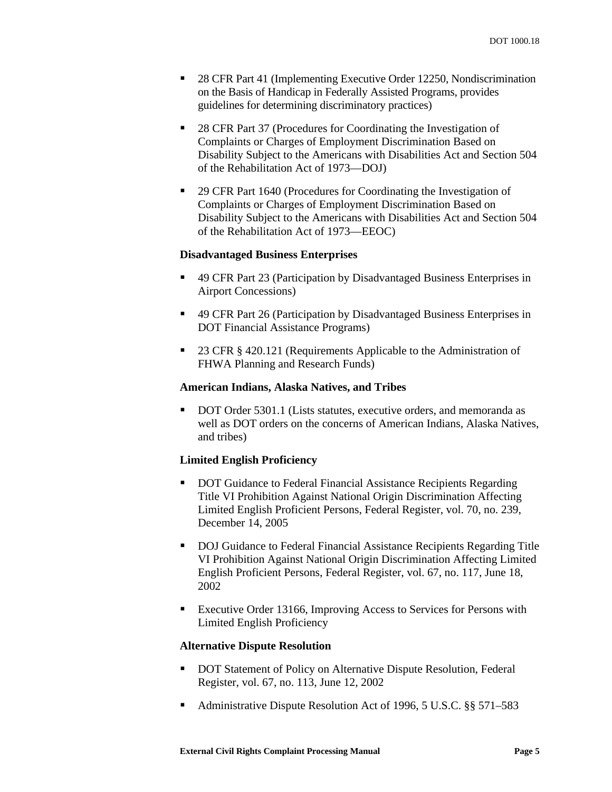- 28 CFR Part 41 (Implementing Executive Order 12250, Nondiscrimination on the Basis of Handicap in Federally Assisted Programs, provides guidelines for determining discriminatory practices)
- 28 CFR Part 37 (Procedures for Coordinating the Investigation of Complaints or Charges of Employment Discrimination Based on Disability Subject to the Americans with Disabilities Act and Section 504 of the Rehabilitation Act of 1973—DOJ)
- <sup>29</sup> CFR Part 1640 (Procedures for Coordinating the Investigation of Complaints or Charges of Employment Discrimination Based on Disability Subject to the Americans with Disabilities Act and Section 504 of the Rehabilitation Act of 1973—EEOC)

#### **Disadvantaged Business Enterprises**

- 49 CFR Part 23 (Participation by Disadvantaged Business Enterprises in Airport Concessions)
- 49 CFR Part 26 (Participation by Disadvantaged Business Enterprises in DOT Financial Assistance Programs)
- 23 CFR § 420.121 (Requirements Applicable to the Administration of FHWA Planning and Research Funds)

#### **American Indians, Alaska Natives, and Tribes**

DOT Order 5301.1 (Lists statutes, executive orders, and memoranda as well as DOT orders on the concerns of American Indians, Alaska Natives, and tribes)

#### **Limited English Proficiency**

- DOT Guidance to Federal Financial Assistance Recipients Regarding Title VI Prohibition Against National Origin Discrimination Affecting Limited English Proficient Persons, Federal Register, vol. 70, no. 239, December 14, 2005
- DOJ Guidance to Federal Financial Assistance Recipients Regarding Title VI Prohibition Against National Origin Discrimination Affecting Limited English Proficient Persons, Federal Register, vol. 67, no. 117, June 18, 2002
- Executive Order 13166, Improving Access to Services for Persons with Limited English Proficiency

#### **Alternative Dispute Resolution**

- DOT Statement of Policy on Alternative Dispute Resolution, Federal Register, vol. 67, no. 113, June 12, 2002
- Administrative Dispute Resolution Act of 1996, 5 U.S.C. §§ 571–583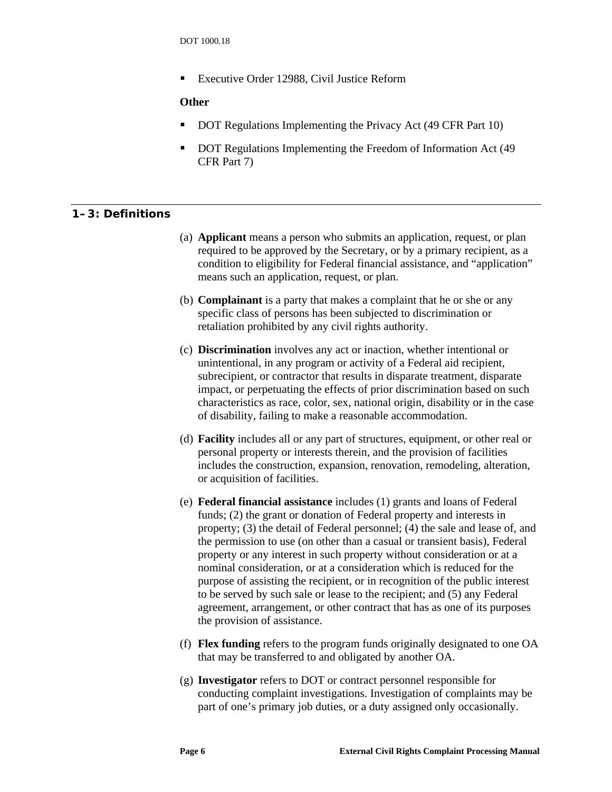<span id="page-11-0"></span>■ Executive Order 12988, Civil Justice Reform

# **Other**

- DOT Regulations Implementing the Privacy Act (49 CFR Part 10)
- DOT Regulations Implementing the Freedom of Information Act (49 CFR Part 7)

# **1–3: Definitions**

- (a) **Applicant** means a person who submits an application, request, or plan required to be approved by the Secretary, or by a primary recipient, as a condition to eligibility for Federal financial assistance, and "application" means such an application, request, or plan.
- (b) **Complainant** is a party that makes a complaint that he or she or any specific class of persons has been subjected to discrimination or retaliation prohibited by any civil rights authority.
- (c) **Discrimination** involves any act or inaction, whether intentional or unintentional, in any program or activity of a Federal aid recipient, subrecipient, or contractor that results in disparate treatment, disparate impact, or perpetuating the effects of prior discrimination based on such characteristics as race, color, sex, national origin, disability or in the case of disability, failing to make a reasonable accommodation.
- (d) **Facility** includes all or any part of structures, equipment, or other real or personal property or interests therein, and the provision of facilities includes the construction, expansion, renovation, remodeling, alteration, or acquisition of facilities.
- (e) **Federal financial assistance** includes (1) grants and loans of Federal funds; (2) the grant or donation of Federal property and interests in property; (3) the detail of Federal personnel; (4) the sale and lease of, and the permission to use (on other than a casual or transient basis), Federal property or any interest in such property without consideration or at a nominal consideration, or at a consideration which is reduced for the purpose of assisting the recipient, or in recognition of the public interest to be served by such sale or lease to the recipient; and (5) any Federal agreement, arrangement, or other contract that has as one of its purposes the provision of assistance.
- (f) **Flex funding** refers to the program funds originally designated to one OA that may be transferred to and obligated by another OA.
- (g) **Investigator** refers to DOT or contract personnel responsible for conducting complaint investigations. Investigation of complaints may be part of one's primary job duties, or a duty assigned only occasionally.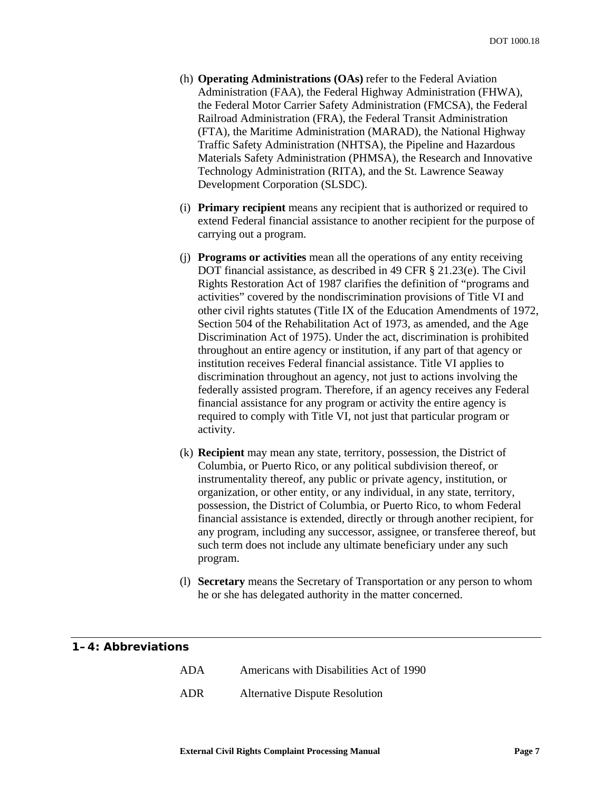- <span id="page-12-0"></span>(h) **Operating Administrations (OAs)** refer to the Federal Aviation Administration (FAA), the Federal Highway Administration (FHWA), the Federal Motor Carrier Safety Administration (FMCSA), the Federal Railroad Administration (FRA), the Federal Transit Administration (FTA), the Maritime Administration (MARAD), the National Highway Traffic Safety Administration (NHTSA), the Pipeline and Hazardous Materials Safety Administration (PHMSA), the Research and Innovative Technology Administration (RITA), and the St. Lawrence Seaway Development Corporation (SLSDC).
- (i) **Primary recipient** means any recipient that is authorized or required to extend Federal financial assistance to another recipient for the purpose of carrying out a program.
- (j) **Programs or activities** mean all the operations of any entity receiving DOT financial assistance, as described in 49 CFR § 21.23(e). The Civil Rights Restoration Act of 1987 clarifies the definition of "programs and activities" covered by the nondiscrimination provisions of Title VI and other civil rights statutes (Title IX of the Education Amendments of 1972, Section 504 of the Rehabilitation Act of 1973, as amended, and the Age Discrimination Act of 1975). Under the act, discrimination is prohibited throughout an entire agency or institution, if any part of that agency or institution receives Federal financial assistance. Title VI applies to discrimination throughout an agency, not just to actions involving the federally assisted program. Therefore, if an agency receives any Federal financial assistance for any program or activity the entire agency is required to comply with Title VI, not just that particular program or activity.
- (k) **Recipient** may mean any state, territory, possession, the District of Columbia, or Puerto Rico, or any political subdivision thereof, or instrumentality thereof, any public or private agency, institution, or organization, or other entity, or any individual, in any state, territory, possession, the District of Columbia, or Puerto Rico, to whom Federal financial assistance is extended, directly or through another recipient, for any program, including any successor, assignee, or transferee thereof, but such term does not include any ultimate beneficiary under any such program.
- (l) **Secretary** means the Secretary of Transportation or any person to whom he or she has delegated authority in the matter concerned.

| 1–4: Abbreviations |                                         |
|--------------------|-----------------------------------------|
| ADA.               | Americans with Disabilities Act of 1990 |
| ADR -              | <b>Alternative Dispute Resolution</b>   |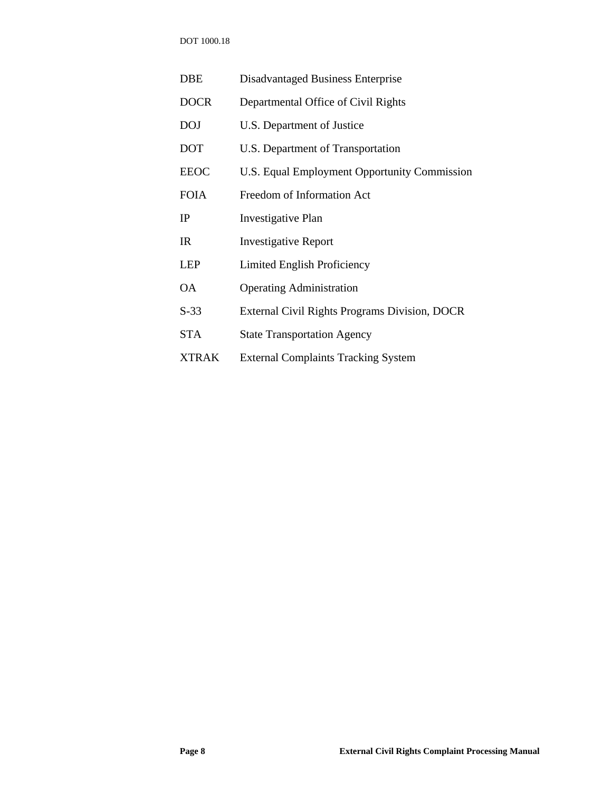DOT 1000.18

| DBE          | Disadvantaged Business Enterprise             |
|--------------|-----------------------------------------------|
| <b>DOCR</b>  | Departmental Office of Civil Rights           |
| <b>DOJ</b>   | U.S. Department of Justice                    |
| <b>DOT</b>   | U.S. Department of Transportation             |
| <b>EEOC</b>  | U.S. Equal Employment Opportunity Commission  |
| <b>FOIA</b>  | Freedom of Information Act                    |
| IP           | <b>Investigative Plan</b>                     |
| IR           | <b>Investigative Report</b>                   |
| <b>LEP</b>   | Limited English Proficiency                   |
| <b>OA</b>    | <b>Operating Administration</b>               |
| $S-33$       | External Civil Rights Programs Division, DOCR |
| <b>STA</b>   | <b>State Transportation Agency</b>            |
| <b>XTRAK</b> | <b>External Complaints Tracking System</b>    |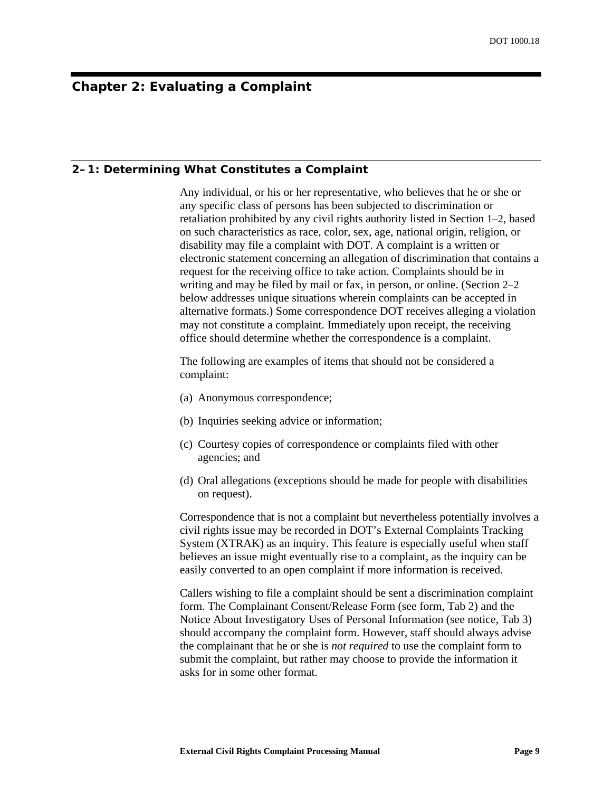# <span id="page-14-0"></span>**Chapter 2: Evaluating a Complaint**

#### **2–1: Determining What Constitutes a Complaint**

Any individual, or his or her representative, who believes that he or she or any specific class of persons has been subjected to discrimination or retaliation prohibited by any civil rights authority listed in Section [1–2,](#page-7-2) based on such characteristics as race, color, sex, age, national origin, religion, or disability may file a complaint with DOT. A complaint is a written or electronic statement concerning an allegation of discrimination that contains a request for the receiving office to take action. Complaints should be in writing and may be filed by mail or fax, in person, or online. (Section [2–2](#page-15-1) below addresses unique situations wherein complaints can be accepted in alternative formats.) Some correspondence DOT receives alleging a violation may not constitute a complaint. Immediately upon receipt, the receiving office should determine whether the correspondence is a complaint.

The following are examples of items that should not be considered a complaint:

- (a) Anonymous correspondence;
- (b) Inquiries seeking advice or information;
- (c) Courtesy copies of correspondence or complaints filed with other agencies; and
- (d) Oral allegations (exceptions should be made for people with disabilities on request).

Correspondence that is not a complaint but nevertheless potentially involves a civil rights issue may be recorded in DOT's External Complaints Tracking System (XTRAK) as an inquiry. This feature is especially useful when staff believes an issue might eventually rise to a complaint, as the inquiry can be easily converted to an open complaint if more information is received.

Callers wishing to file a complaint should be sent a discrimination complaint form. The Complainant Consent/Release Form (see form, [Tab 2\)](#page-54-1) and the Notice About Investigatory Uses of Personal Information (see notice, [Tab 3\)](#page-54-2) should accompany the complaint form. However, staff should always advise the complainant that he or she is *not required* to use the complaint form to submit the complaint, but rather may choose to provide the information it asks for in some other format.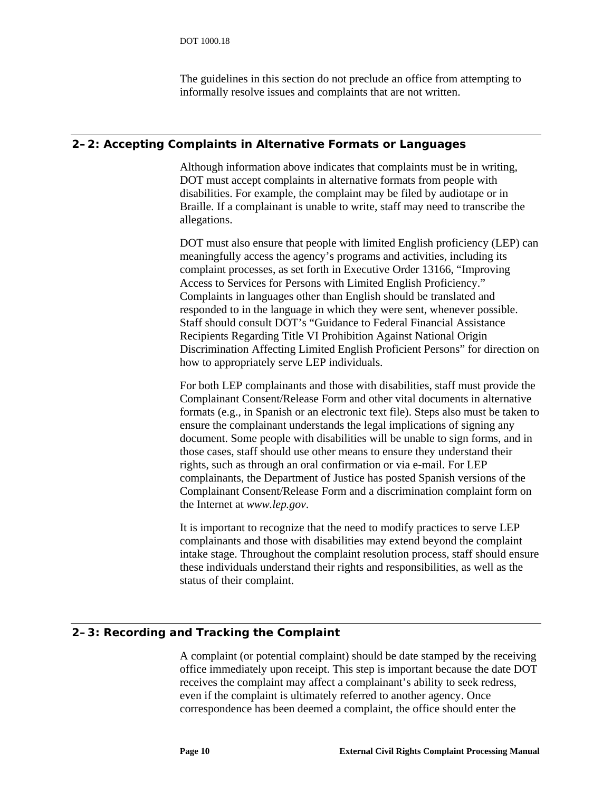The guidelines in this section do not preclude an office from attempting to informally resolve issues and complaints that are not written.

## <span id="page-15-1"></span><span id="page-15-0"></span>**2–2: Accepting Complaints in Alternative Formats or Languages**

Although information above indicates that complaints must be in writing, DOT must accept complaints in alternative formats from people with disabilities. For example, the complaint may be filed by audiotape or in Braille. If a complainant is unable to write, staff may need to transcribe the allegations.

DOT must also ensure that people with limited English proficiency (LEP) can meaningfully access the agency's programs and activities, including its complaint processes, as set forth in Executive Order 13166, "Improving Access to Services for Persons with Limited English Proficiency." Complaints in languages other than English should be translated and responded to in the language in which they were sent, whenever possible. Staff should consult DOT's "Guidance to Federal Financial Assistance Recipients Regarding Title VI Prohibition Against National Origin Discrimination Affecting Limited English Proficient Persons" for direction on how to appropriately serve LEP individuals.

For both LEP complainants and those with disabilities, staff must provide the Complainant Consent/Release Form and other vital documents in alternative formats (e.g., in Spanish or an electronic text file). Steps also must be taken to ensure the complainant understands the legal implications of signing any document. Some people with disabilities will be unable to sign forms, and in those cases, staff should use other means to ensure they understand their rights, such as through an oral confirmation or via e-mail. For LEP complainants, the Department of Justice has posted Spanish versions of the Complainant Consent/Release Form and a discrimination complaint form on the Internet at *www.lep.gov*.

It is important to recognize that the need to modify practices to serve LEP complainants and those with disabilities may extend beyond the complaint intake stage. Throughout the complaint resolution process, staff should ensure these individuals understand their rights and responsibilities, as well as the status of their complaint.

# **2–3: Recording and Tracking the Complaint**

A complaint (or potential complaint) should be date stamped by the receiving office immediately upon receipt. This step is important because the date DOT receives the complaint may affect a complainant's ability to seek redress, even if the complaint is ultimately referred to another agency. Once correspondence has been deemed a complaint, the office should enter the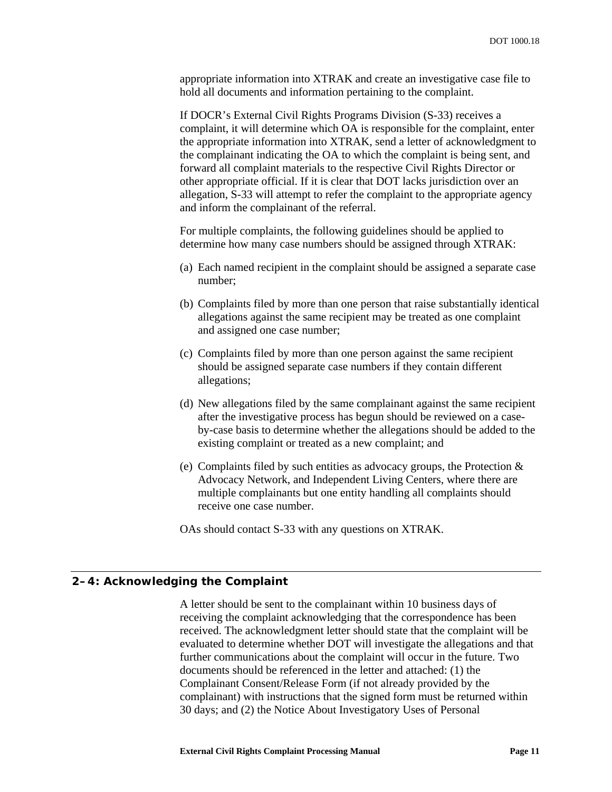<span id="page-16-0"></span>appropriate information into XTRAK and create an investigative case file to hold all documents and information pertaining to the complaint.

If DOCR's External Civil Rights Programs Division (S-33) receives a complaint, it will determine which OA is responsible for the complaint, enter the appropriate information into XTRAK, send a letter of acknowledgment to the complainant indicating the OA to which the complaint is being sent, and forward all complaint materials to the respective Civil Rights Director or other appropriate official. If it is clear that DOT lacks jurisdiction over an allegation, S-33 will attempt to refer the complaint to the appropriate agency and inform the complainant of the referral.

For multiple complaints, the following guidelines should be applied to determine how many case numbers should be assigned through XTRAK:

- (a) Each named recipient in the complaint should be assigned a separate case number;
- (b) Complaints filed by more than one person that raise substantially identical allegations against the same recipient may be treated as one complaint and assigned one case number;
- (c) Complaints filed by more than one person against the same recipient should be assigned separate case numbers if they contain different allegations;
- (d) New allegations filed by the same complainant against the same recipient after the investigative process has begun should be reviewed on a caseby-case basis to determine whether the allegations should be added to the existing complaint or treated as a new complaint; and
- (e) Complaints filed by such entities as advocacy groups, the Protection & Advocacy Network, and Independent Living Centers, where there are multiple complainants but one entity handling all complaints should receive one case number.

OAs should contact S-33 with any questions on XTRAK.

#### **2–4: Acknowledging the Complaint**

A letter should be sent to the complainant within 10 business days of receiving the complaint acknowledging that the correspondence has been received. The acknowledgment letter should state that the complaint will be evaluated to determine whether DOT will investigate the allegations and that further communications about the complaint will occur in the future. Two documents should be referenced in the letter and attached: (1) the Complainant Consent/Release Form (if not already provided by the complainant) with instructions that the signed form must be returned within 30 days; and (2) the Notice About Investigatory Uses of Personal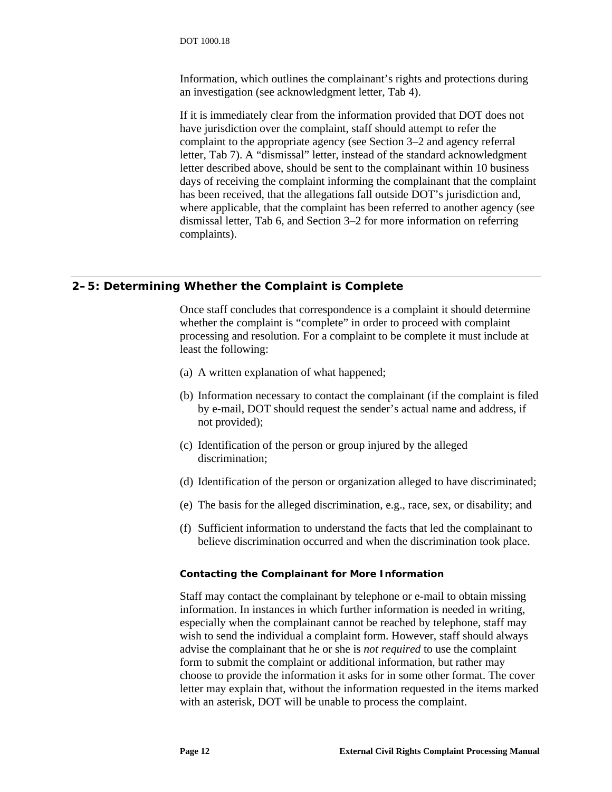<span id="page-17-0"></span>Information, which outlines the complainant's rights and protections during an investigation (see acknowledgment letter, [Tab 4\)](#page-54-3).

If it is immediately clear from the information provided that DOT does not have jurisdiction over the complaint, staff should attempt to refer the complaint to the appropriate agency (see Section [3–2](#page-21-1) and agency referral letter, [Tab 7\)](#page-54-4). A "dismissal" letter, instead of the standard acknowledgment letter described above, should be sent to the complainant within 10 business days of receiving the complaint informing the complainant that the complaint has been received, that the allegations fall outside DOT's jurisdiction and, where applicable, that the complaint has been referred to another agency (see dismissal letter, [Tab 6,](#page-54-5) and Section [3–2](#page-21-1) for more information on referring complaints).

# **2–5: Determining Whether the Complaint is Complete**

Once staff concludes that correspondence is a complaint it should determine whether the complaint is "complete" in order to proceed with complaint processing and resolution. For a complaint to be complete it must include at least the following:

- (a) A written explanation of what happened;
- (b) Information necessary to contact the complainant (if the complaint is filed by e-mail, DOT should request the sender's actual name and address, if not provided);
- (c) Identification of the person or group injured by the alleged discrimination;
- (d) Identification of the person or organization alleged to have discriminated;
- (e) The basis for the alleged discrimination, e.g., race, sex, or disability; and
- (f) Sufficient information to understand the facts that led the complainant to believe discrimination occurred and when the discrimination took place.

#### *Contacting the Complainant for More Information*

Staff may contact the complainant by telephone or e-mail to obtain missing information. In instances in which further information is needed in writing, especially when the complainant cannot be reached by telephone, staff may wish to send the individual a complaint form. However, staff should always advise the complainant that he or she is *not required* to use the complaint form to submit the complaint or additional information, but rather may choose to provide the information it asks for in some other format. The cover letter may explain that, without the information requested in the items marked with an asterisk, DOT will be unable to process the complaint.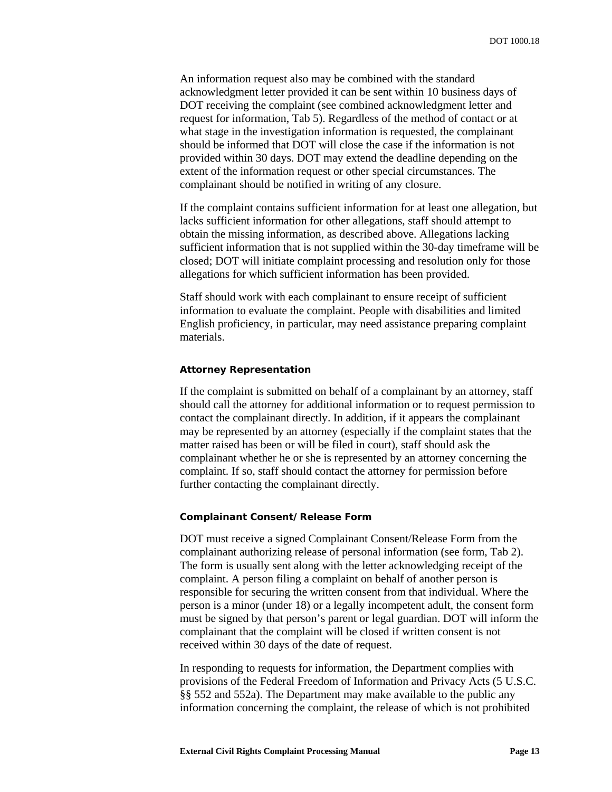<span id="page-18-0"></span>An information request also may be combined with the standard acknowledgment letter provided it can be sent within 10 business days of DOT receiving the complaint (see combined acknowledgment letter and request for information, [Tab 5\)](#page-54-6). Regardless of the method of contact or at what stage in the investigation information is requested, the complainant should be informed that DOT will close the case if the information is not provided within 30 days. DOT may extend the deadline depending on the extent of the information request or other special circumstances. The complainant should be notified in writing of any closure.

If the complaint contains sufficient information for at least one allegation, but lacks sufficient information for other allegations, staff should attempt to obtain the missing information, as described above. Allegations lacking sufficient information that is not supplied within the 30-day timeframe will be closed; DOT will initiate complaint processing and resolution only for those allegations for which sufficient information has been provided.

Staff should work with each complainant to ensure receipt of sufficient information to evaluate the complaint. People with disabilities and limited English proficiency, in particular, may need assistance preparing complaint materials.

#### *Attorney Representation*

If the complaint is submitted on behalf of a complainant by an attorney, staff should call the attorney for additional information or to request permission to contact the complainant directly. In addition, if it appears the complainant may be represented by an attorney (especially if the complaint states that the matter raised has been or will be filed in court), staff should ask the complainant whether he or she is represented by an attorney concerning the complaint. If so, staff should contact the attorney for permission before further contacting the complainant directly.

#### *Complainant Consent/Release Form*

DOT must receive a signed Complainant Consent/Release Form from the complainant authorizing release of personal information (see form, [Tab 2\)](#page-54-1). The form is usually sent along with the letter acknowledging receipt of the complaint. A person filing a complaint on behalf of another person is responsible for securing the written consent from that individual. Where the person is a minor (under 18) or a legally incompetent adult, the consent form must be signed by that person's parent or legal guardian. DOT will inform the complainant that the complaint will be closed if written consent is not received within 30 days of the date of request.

In responding to requests for information, the Department complies with provisions of the Federal Freedom of Information and Privacy Acts (5 U.S.C. §§ 552 and 552a). The Department may make available to the public any information concerning the complaint, the release of which is not prohibited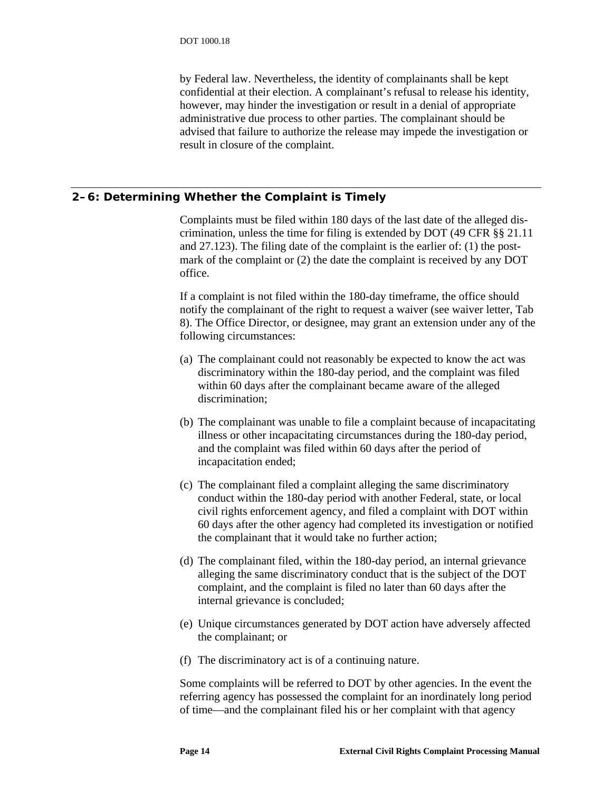<span id="page-19-0"></span>by Federal law. Nevertheless, the identity of complainants shall be kept confidential at their election. A complainant's refusal to release his identity, however, may hinder the investigation or result in a denial of appropriate administrative due process to other parties. The complainant should be advised that failure to authorize the release may impede the investigation or result in closure of the complaint.

# **2–6: Determining Whether the Complaint is Timely**

Complaints must be filed within 180 days of the last date of the alleged discrimination, unless the time for filing is extended by DOT (49 CFR §§ 21.11 and 27.123). The filing date of the complaint is the earlier of: (1) the postmark of the complaint or (2) the date the complaint is received by any DOT office.

If a complaint is not filed within the 180-day timeframe, the office should notify the complainant of the right to request a waiver (see waiver letter, [Tab](#page-54-7)  [8\)](#page-54-7). The Office Director, or designee, may grant an extension under any of the following circumstances:

- (a) The complainant could not reasonably be expected to know the act was discriminatory within the 180-day period, and the complaint was filed within 60 days after the complainant became aware of the alleged discrimination;
- (b) The complainant was unable to file a complaint because of incapacitating illness or other incapacitating circumstances during the 180-day period, and the complaint was filed within 60 days after the period of incapacitation ended;
- (c) The complainant filed a complaint alleging the same discriminatory conduct within the 180-day period with another Federal, state, or local civil rights enforcement agency, and filed a complaint with DOT within 60 days after the other agency had completed its investigation or notified the complainant that it would take no further action;
- (d) The complainant filed, within the 180-day period, an internal grievance alleging the same discriminatory conduct that is the subject of the DOT complaint, and the complaint is filed no later than 60 days after the internal grievance is concluded;
- (e) Unique circumstances generated by DOT action have adversely affected the complainant; or
- (f) The discriminatory act is of a continuing nature.

Some complaints will be referred to DOT by other agencies. In the event the referring agency has possessed the complaint for an inordinately long period of time—and the complainant filed his or her complaint with that agency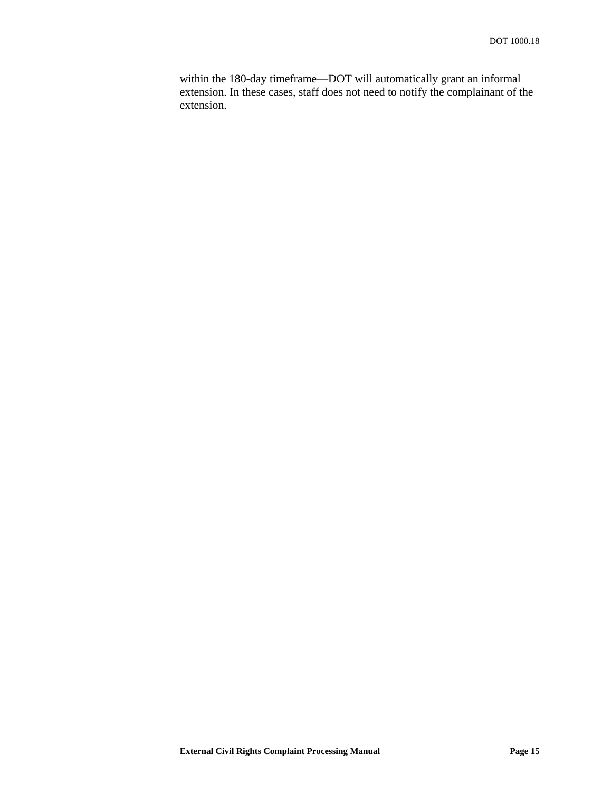within the 180-day timeframe—DOT will automatically grant an informal extension. In these cases, staff does not need to notify the complainant of the extension.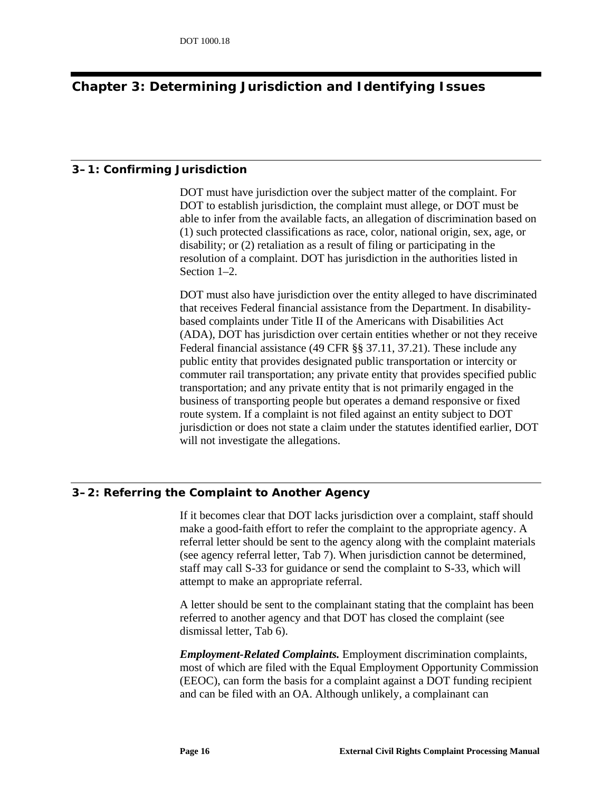# <span id="page-21-0"></span>**Chapter 3: Determining Jurisdiction and Identifying Issues**

#### **3–1: Confirming Jurisdiction**

DOT must have jurisdiction over the subject matter of the complaint. For DOT to establish jurisdiction, the complaint must allege, or DOT must be able to infer from the available facts, an allegation of discrimination based on (1) such protected classifications as race, color, national origin, sex, age, or disability; or (2) retaliation as a result of filing or participating in the resolution of a complaint. DOT has jurisdiction in the authorities listed in Section 1–2.

DOT must also have jurisdiction over the entity alleged to have discriminated that receives Federal financial assistance from the Department. In disabilitybased complaints under Title II of the Americans with Disabilities Act (ADA), DOT has jurisdiction over certain entities whether or not they receive Federal financial assistance (49 CFR §§ 37.11, 37.21). These include any public entity that provides designated public transportation or intercity or commuter rail transportation; any private entity that provides specified public transportation; and any private entity that is not primarily engaged in the business of transporting people but operates a demand responsive or fixed route system. If a complaint is not filed against an entity subject to DOT jurisdiction or does not state a claim under the statutes identified earlier, DOT will not investigate the allegations.

# <span id="page-21-1"></span>**3–2: Referring the Complaint to Another Agency**

If it becomes clear that DOT lacks jurisdiction over a complaint, staff should make a good-faith effort to refer the complaint to the appropriate agency. A referral letter should be sent to the agency along with the complaint materials (see agency referral letter, [Tab 7\)](#page-54-4). When jurisdiction cannot be determined, staff may call S-33 for guidance or send the complaint to S-33, which will attempt to make an appropriate referral.

A letter should be sent to the complainant stating that the complaint has been referred to another agency and that DOT has closed the complaint (see dismissal letter, [Tab 6\)](#page-54-5).

*Employment-Related Complaints.* Employment discrimination complaints, most of which are filed with the Equal Employment Opportunity Commission (EEOC), can form the basis for a complaint against a DOT funding recipient and can be filed with an OA. Although unlikely, a complainant can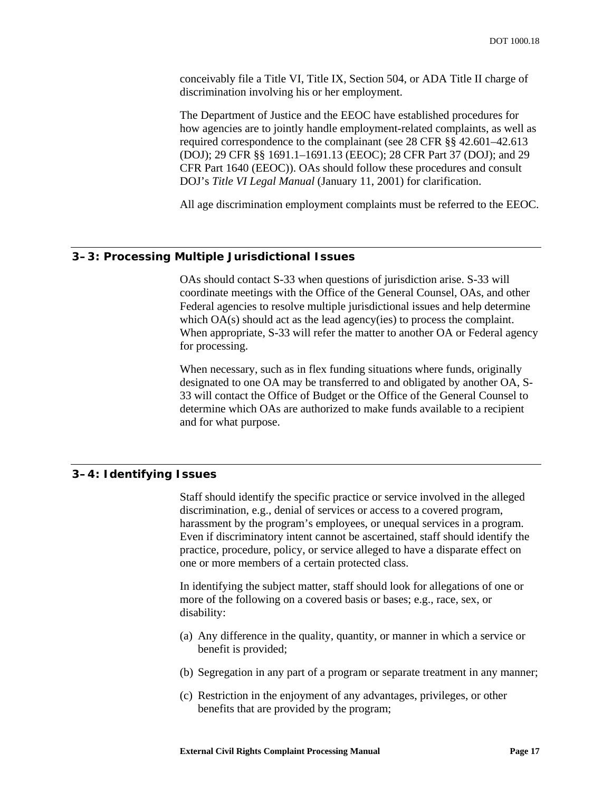<span id="page-22-0"></span>conceivably file a Title VI, Title IX, Section 504, or ADA Title II charge of discrimination involving his or her employment.

The Department of Justice and the EEOC have established procedures for how agencies are to jointly handle employment-related complaints, as well as required correspondence to the complainant (see 28 CFR §§ 42.601–42.613 (DOJ); 29 CFR §§ 1691.1–1691.13 (EEOC); 28 CFR Part 37 (DOJ); and 29 CFR Part 1640 (EEOC)). OAs should follow these procedures and consult DOJ's *Title VI Legal Manual* (January 11, 2001) for clarification.

All age discrimination employment complaints must be referred to the EEOC.

#### **3–3: Processing Multiple Jurisdictional Issues**

OAs should contact S-33 when questions of jurisdiction arise. S-33 will coordinate meetings with the Office of the General Counsel, OAs, and other Federal agencies to resolve multiple jurisdictional issues and help determine which OA(s) should act as the lead agency(ies) to process the complaint. When appropriate, S-33 will refer the matter to another OA or Federal agency for processing.

When necessary, such as in flex funding situations where funds, originally designated to one OA may be transferred to and obligated by another OA, S-33 will contact the Office of Budget or the Office of the General Counsel to determine which OAs are authorized to make funds available to a recipient and for what purpose.

# **3–4: Identifying Issues**

Staff should identify the specific practice or service involved in the alleged discrimination, e.g., denial of services or access to a covered program, harassment by the program's employees, or unequal services in a program. Even if discriminatory intent cannot be ascertained, staff should identify the practice, procedure, policy, or service alleged to have a disparate effect on one or more members of a certain protected class.

In identifying the subject matter, staff should look for allegations of one or more of the following on a covered basis or bases; e.g., race, sex, or disability:

- (a) Any difference in the quality, quantity, or manner in which a service or benefit is provided;
- (b) Segregation in any part of a program or separate treatment in any manner;
- (c) Restriction in the enjoyment of any advantages, privileges, or other benefits that are provided by the program;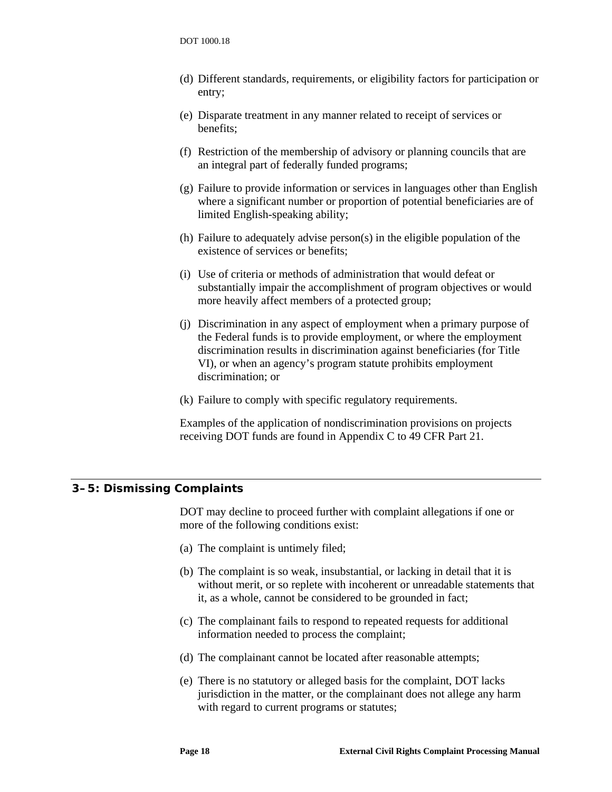- <span id="page-23-0"></span>(d) Different standards, requirements, or eligibility factors for participation or entry;
- (e) Disparate treatment in any manner related to receipt of services or benefits;
- (f) Restriction of the membership of advisory or planning councils that are an integral part of federally funded programs;
- (g) Failure to provide information or services in languages other than English where a significant number or proportion of potential beneficiaries are of limited English-speaking ability;
- (h) Failure to adequately advise person(s) in the eligible population of the existence of services or benefits;
- (i) Use of criteria or methods of administration that would defeat or substantially impair the accomplishment of program objectives or would more heavily affect members of a protected group;
- (j) Discrimination in any aspect of employment when a primary purpose of the Federal funds is to provide employment, or where the employment discrimination results in discrimination against beneficiaries (for Title VI), or when an agency's program statute prohibits employment discrimination; or
- (k) Failure to comply with specific regulatory requirements.

Examples of the application of nondiscrimination provisions on projects receiving DOT funds are found in Appendix C to 49 CFR Part 21.

#### **3–5: Dismissing Complaints**

DOT may decline to proceed further with complaint allegations if one or more of the following conditions exist:

- (a) The complaint is untimely filed;
- (b) The complaint is so weak, insubstantial, or lacking in detail that it is without merit, or so replete with incoherent or unreadable statements that it, as a whole, cannot be considered to be grounded in fact;
- (c) The complainant fails to respond to repeated requests for additional information needed to process the complaint;
- (d) The complainant cannot be located after reasonable attempts;
- (e) There is no statutory or alleged basis for the complaint, DOT lacks jurisdiction in the matter, or the complainant does not allege any harm with regard to current programs or statutes;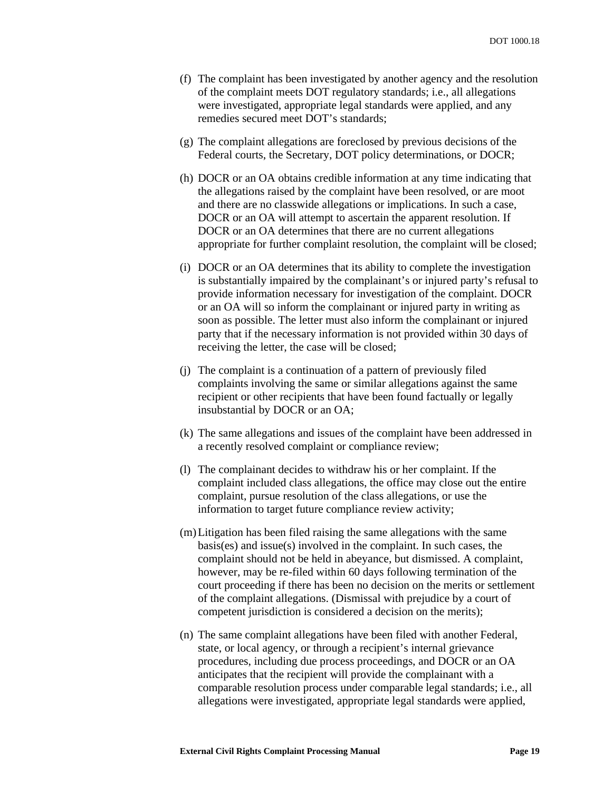- (f) The complaint has been investigated by another agency and the resolution of the complaint meets DOT regulatory standards; i.e., all allegations were investigated, appropriate legal standards were applied, and any remedies secured meet DOT's standards;
- (g) The complaint allegations are foreclosed by previous decisions of the Federal courts, the Secretary, DOT policy determinations, or DOCR;
- (h) DOCR or an OA obtains credible information at any time indicating that the allegations raised by the complaint have been resolved, or are moot and there are no classwide allegations or implications. In such a case, DOCR or an OA will attempt to ascertain the apparent resolution. If DOCR or an OA determines that there are no current allegations appropriate for further complaint resolution, the complaint will be closed;
- (i) DOCR or an OA determines that its ability to complete the investigation is substantially impaired by the complainant's or injured party's refusal to provide information necessary for investigation of the complaint. DOCR or an OA will so inform the complainant or injured party in writing as soon as possible. The letter must also inform the complainant or injured party that if the necessary information is not provided within 30 days of receiving the letter, the case will be closed;
- (j) The complaint is a continuation of a pattern of previously filed complaints involving the same or similar allegations against the same recipient or other recipients that have been found factually or legally insubstantial by DOCR or an OA;
- (k) The same allegations and issues of the complaint have been addressed in a recently resolved complaint or compliance review;
- (l) The complainant decides to withdraw his or her complaint. If the complaint included class allegations, the office may close out the entire complaint, pursue resolution of the class allegations, or use the information to target future compliance review activity;
- (m)Litigation has been filed raising the same allegations with the same basis(es) and issue(s) involved in the complaint. In such cases, the complaint should not be held in abeyance, but dismissed. A complaint, however, may be re-filed within 60 days following termination of the court proceeding if there has been no decision on the merits or settlement of the complaint allegations. (Dismissal with prejudice by a court of competent jurisdiction is considered a decision on the merits);
- (n) The same complaint allegations have been filed with another Federal, state, or local agency, or through a recipient's internal grievance procedures, including due process proceedings, and DOCR or an OA anticipates that the recipient will provide the complainant with a comparable resolution process under comparable legal standards; i.e., all allegations were investigated, appropriate legal standards were applied,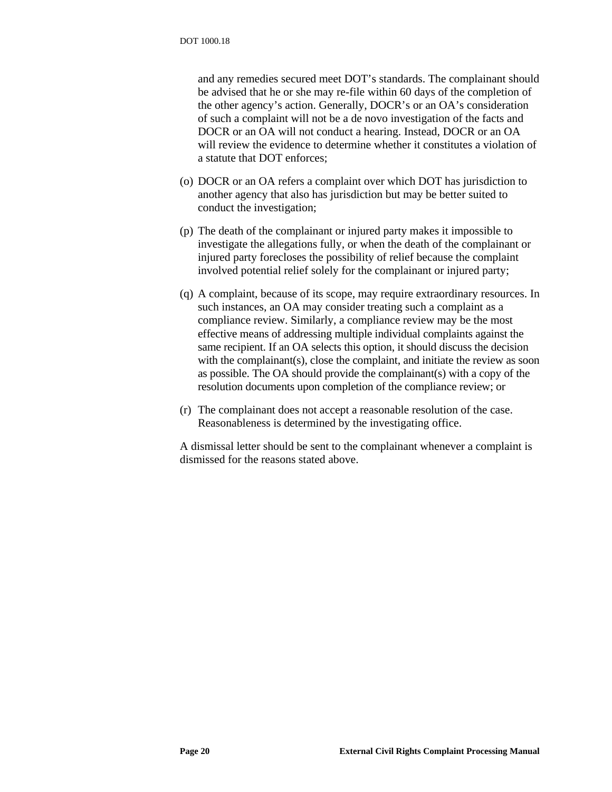and any remedies secured meet DOT's standards. The complainant should be advised that he or she may re-file within 60 days of the completion of the other agency's action. Generally, DOCR's or an OA's consideration of such a complaint will not be a de novo investigation of the facts and DOCR or an OA will not conduct a hearing. Instead, DOCR or an OA will review the evidence to determine whether it constitutes a violation of a statute that DOT enforces;

- (o) DOCR or an OA refers a complaint over which DOT has jurisdiction to another agency that also has jurisdiction but may be better suited to conduct the investigation;
- (p) The death of the complainant or injured party makes it impossible to investigate the allegations fully, or when the death of the complainant or injured party forecloses the possibility of relief because the complaint involved potential relief solely for the complainant or injured party;
- (q) A complaint, because of its scope, may require extraordinary resources. In such instances, an OA may consider treating such a complaint as a compliance review. Similarly, a compliance review may be the most effective means of addressing multiple individual complaints against the same recipient. If an OA selects this option, it should discuss the decision with the complainant(s), close the complaint, and initiate the review as soon as possible. The OA should provide the complainant(s) with a copy of the resolution documents upon completion of the compliance review; or
- (r) The complainant does not accept a reasonable resolution of the case. Reasonableness is determined by the investigating office.

A dismissal letter should be sent to the complainant whenever a complaint is dismissed for the reasons stated above.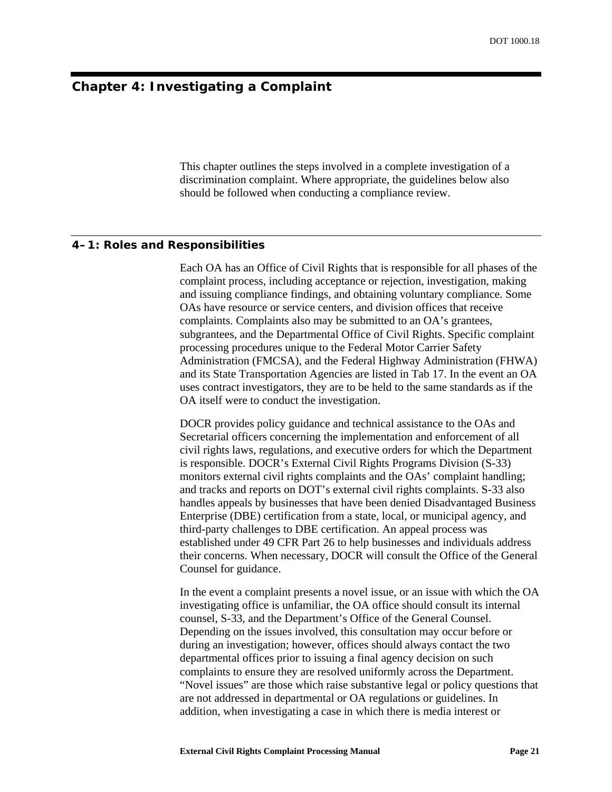# <span id="page-26-0"></span>**Chapter 4: Investigating a Complaint**

This chapter outlines the steps involved in a complete investigation of a discrimination complaint. Where appropriate, the guidelines below also should be followed when conducting a compliance review.

#### **4–1: Roles and Responsibilities**

Each OA has an Office of Civil Rights that is responsible for all phases of the complaint process, including acceptance or rejection, investigation, making and issuing compliance findings, and obtaining voluntary compliance. Some OAs have resource or service centers, and division offices that receive complaints. Complaints also may be submitted to an OA's grantees, subgrantees, and the Departmental Office of Civil Rights. Specific complaint processing procedures unique to the Federal Motor Carrier Safety Administration (FMCSA), and the Federal Highway Administration (FHWA) and its State Transportation Agencies are listed in [Tab 17.](#page-54-8) In the event an OA uses contract investigators, they are to be held to the same standards as if the OA itself were to conduct the investigation.

DOCR provides policy guidance and technical assistance to the OAs and Secretarial officers concerning the implementation and enforcement of all civil rights laws, regulations, and executive orders for which the Department is responsible. DOCR's External Civil Rights Programs Division (S-33) monitors external civil rights complaints and the OAs' complaint handling; and tracks and reports on DOT's external civil rights complaints. S-33 also handles appeals by businesses that have been denied Disadvantaged Business Enterprise (DBE) certification from a state, local, or municipal agency, and third-party challenges to DBE certification. An appeal process was established under 49 CFR Part 26 to help businesses and individuals address their concerns. When necessary, DOCR will consult the Office of the General Counsel for guidance.

In the event a complaint presents a novel issue, or an issue with which the OA investigating office is unfamiliar, the OA office should consult its internal counsel, S-33, and the Department's Office of the General Counsel. Depending on the issues involved, this consultation may occur before or during an investigation; however, offices should always contact the two departmental offices prior to issuing a final agency decision on such complaints to ensure they are resolved uniformly across the Department. "Novel issues" are those which raise substantive legal or policy questions that are not addressed in departmental or OA regulations or guidelines. In addition, when investigating a case in which there is media interest or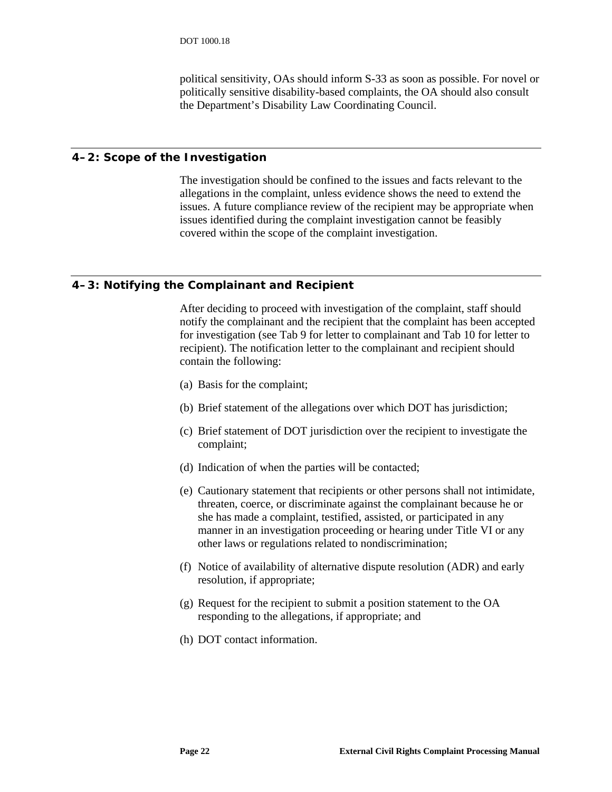political sensitivity, OAs should inform S-33 as soon as possible. For novel or politically sensitive disability-based complaints, the OA should also consult the Department's Disability Law Coordinating Council.

#### <span id="page-27-0"></span>**4–2: Scope of the Investigation**

The investigation should be confined to the issues and facts relevant to the allegations in the complaint, unless evidence shows the need to extend the issues. A future compliance review of the recipient may be appropriate when issues identified during the complaint investigation cannot be feasibly covered within the scope of the complaint investigation.

# **4–3: Notifying the Complainant and Recipient**

After deciding to proceed with investigation of the complaint, staff should notify the complainant and the recipient that the complaint has been accepted for investigation (see [Tab 9](#page-54-9) for letter to complainant and [Tab 10](#page-54-10) for letter to recipient). The notification letter to the complainant and recipient should contain the following:

- (a) Basis for the complaint;
- (b) Brief statement of the allegations over which DOT has jurisdiction;
- (c) Brief statement of DOT jurisdiction over the recipient to investigate the complaint;
- (d) Indication of when the parties will be contacted;
- (e) Cautionary statement that recipients or other persons shall not intimidate, threaten, coerce, or discriminate against the complainant because he or she has made a complaint, testified, assisted, or participated in any manner in an investigation proceeding or hearing under Title VI or any other laws or regulations related to nondiscrimination;
- (f) Notice of availability of alternative dispute resolution (ADR) and early resolution, if appropriate;
- (g) Request for the recipient to submit a position statement to the OA responding to the allegations, if appropriate; and
- (h) DOT contact information.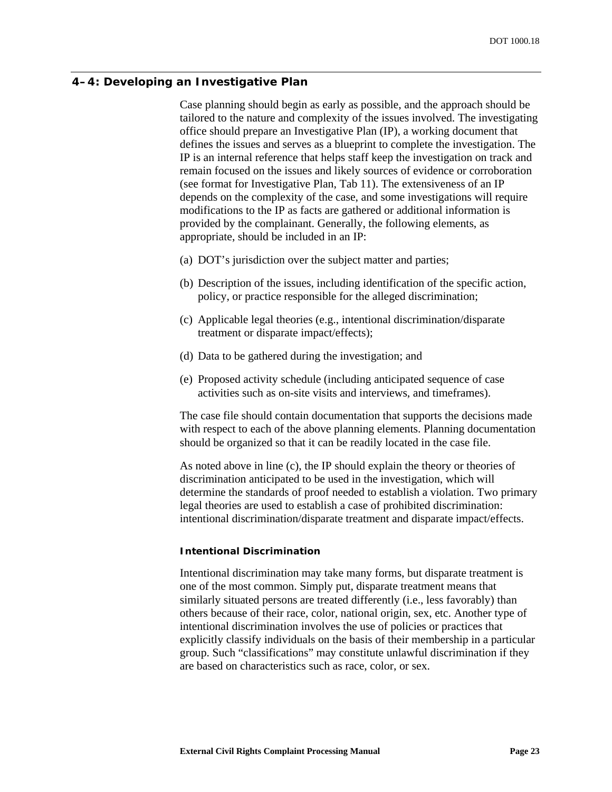#### <span id="page-28-0"></span>**4–4: Developing an Investigative Plan**

Case planning should begin as early as possible, and the approach should be tailored to the nature and complexity of the issues involved. The investigating office should prepare an Investigative Plan (IP), a working document that defines the issues and serves as a blueprint to complete the investigation. The IP is an internal reference that helps staff keep the investigation on track and remain focused on the issues and likely sources of evidence or corroboration (see format for Investigative Plan, [Tab 11\)](#page-54-11). The extensiveness of an IP depends on the complexity of the case, and some investigations will require modifications to the IP as facts are gathered or additional information is provided by the complainant. Generally, the following elements, as appropriate, should be included in an IP:

- (a) DOT's jurisdiction over the subject matter and parties;
- (b) Description of the issues, including identification of the specific action, policy, or practice responsible for the alleged discrimination;
- (c) Applicable legal theories (e.g., intentional discrimination/disparate treatment or disparate impact/effects);
- (d) Data to be gathered during the investigation; and
- (e) Proposed activity schedule (including anticipated sequence of case activities such as on-site visits and interviews, and timeframes).

The case file should contain documentation that supports the decisions made with respect to each of the above planning elements. Planning documentation should be organized so that it can be readily located in the case file.

As noted above in line (c), the IP should explain the theory or theories of discrimination anticipated to be used in the investigation, which will determine the standards of proof needed to establish a violation. Two primary legal theories are used to establish a case of prohibited discrimination: intentional discrimination/disparate treatment and disparate impact/effects.

#### *Intentional Discrimination*

Intentional discrimination may take many forms, but disparate treatment is one of the most common. Simply put, disparate treatment means that similarly situated persons are treated differently (i.e., less favorably) than others because of their race, color, national origin, sex, etc. Another type of intentional discrimination involves the use of policies or practices that explicitly classify individuals on the basis of their membership in a particular group. Such "classifications" may constitute unlawful discrimination if they are based on characteristics such as race, color, or sex.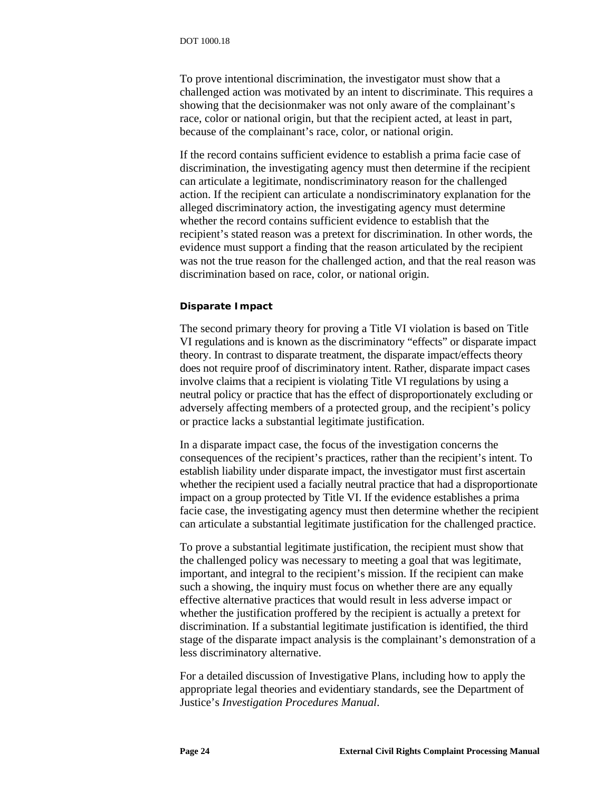<span id="page-29-0"></span>To prove intentional discrimination, the investigator must show that a challenged action was motivated by an intent to discriminate. This requires a showing that the decisionmaker was not only aware of the complainant's race, color or national origin, but that the recipient acted, at least in part, because of the complainant's race, color, or national origin.

If the record contains sufficient evidence to establish a prima facie case of discrimination, the investigating agency must then determine if the recipient can articulate a legitimate, nondiscriminatory reason for the challenged action. If the recipient can articulate a nondiscriminatory explanation for the alleged discriminatory action, the investigating agency must determine whether the record contains sufficient evidence to establish that the recipient's stated reason was a pretext for discrimination. In other words, the evidence must support a finding that the reason articulated by the recipient was not the true reason for the challenged action, and that the real reason was discrimination based on race, color, or national origin.

#### *Disparate Impact*

The second primary theory for proving a Title VI violation is based on Title VI regulations and is known as the discriminatory "effects" or disparate impact theory. In contrast to disparate treatment, the disparate impact/effects theory does not require proof of discriminatory intent. Rather, disparate impact cases involve claims that a recipient is violating Title VI regulations by using a neutral policy or practice that has the effect of disproportionately excluding or adversely affecting members of a protected group, and the recipient's policy or practice lacks a substantial legitimate justification.

In a disparate impact case, the focus of the investigation concerns the consequences of the recipient's practices, rather than the recipient's intent. To establish liability under disparate impact, the investigator must first ascertain whether the recipient used a facially neutral practice that had a disproportionate impact on a group protected by Title VI. If the evidence establishes a prima facie case, the investigating agency must then determine whether the recipient can articulate a substantial legitimate justification for the challenged practice.

To prove a substantial legitimate justification, the recipient must show that the challenged policy was necessary to meeting a goal that was legitimate, important, and integral to the recipient's mission. If the recipient can make such a showing, the inquiry must focus on whether there are any equally effective alternative practices that would result in less adverse impact or whether the justification proffered by the recipient is actually a pretext for discrimination. If a substantial legitimate justification is identified, the third stage of the disparate impact analysis is the complainant's demonstration of a less discriminatory alternative.

For a detailed discussion of Investigative Plans, including how to apply the appropriate legal theories and evidentiary standards, see the Department of Justice's *Investigation Procedures Manual*.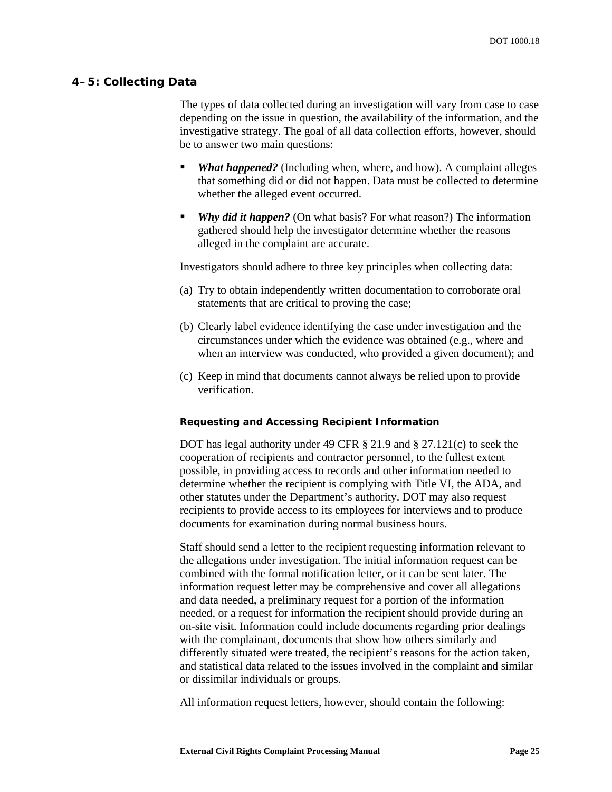## <span id="page-30-0"></span>**4–5: Collecting Data**

The types of data collected during an investigation will vary from case to case depending on the issue in question, the availability of the information, and the investigative strategy. The goal of all data collection efforts, however, should be to answer two main questions:

- **What happened?** (Including when, where, and how). A complaint alleges that something did or did not happen. Data must be collected to determine whether the alleged event occurred.
- *Why did it happen?* (On what basis? For what reason?) The information gathered should help the investigator determine whether the reasons alleged in the complaint are accurate.

Investigators should adhere to three key principles when collecting data:

- (a) Try to obtain independently written documentation to corroborate oral statements that are critical to proving the case;
- (b) Clearly label evidence identifying the case under investigation and the circumstances under which the evidence was obtained (e.g., where and when an interview was conducted, who provided a given document); and
- (c) Keep in mind that documents cannot always be relied upon to provide verification.

#### *Requesting and Accessing Recipient Information*

DOT has legal authority under 49 CFR § 21.9 and § 27.121(c) to seek the cooperation of recipients and contractor personnel, to the fullest extent possible, in providing access to records and other information needed to determine whether the recipient is complying with Title VI, the ADA, and other statutes under the Department's authority. DOT may also request recipients to provide access to its employees for interviews and to produce documents for examination during normal business hours.

Staff should send a letter to the recipient requesting information relevant to the allegations under investigation. The initial information request can be combined with the formal notification letter, or it can be sent later. The information request letter may be comprehensive and cover all allegations and data needed, a preliminary request for a portion of the information needed, or a request for information the recipient should provide during an on-site visit. Information could include documents regarding prior dealings with the complainant, documents that show how others similarly and differently situated were treated, the recipient's reasons for the action taken, and statistical data related to the issues involved in the complaint and similar or dissimilar individuals or groups.

All information request letters, however, should contain the following: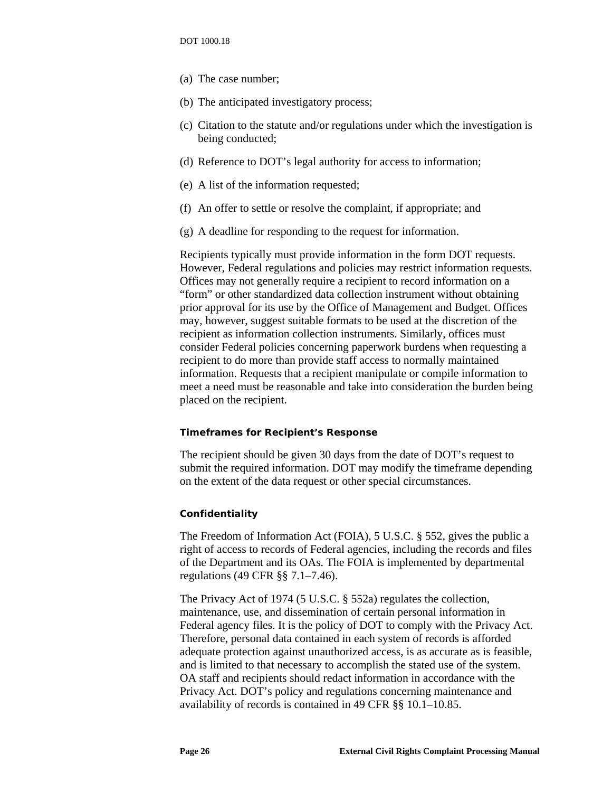- <span id="page-31-0"></span>(a) The case number;
- (b) The anticipated investigatory process;
- (c) Citation to the statute and/or regulations under which the investigation is being conducted;
- (d) Reference to DOT's legal authority for access to information;
- (e) A list of the information requested;
- (f) An offer to settle or resolve the complaint, if appropriate; and
- (g) A deadline for responding to the request for information.

Recipients typically must provide information in the form DOT requests. However, Federal regulations and policies may restrict information requests. Offices may not generally require a recipient to record information on a "form" or other standardized data collection instrument without obtaining prior approval for its use by the Office of Management and Budget. Offices may, however, suggest suitable formats to be used at the discretion of the recipient as information collection instruments. Similarly, offices must consider Federal policies concerning paperwork burdens when requesting a recipient to do more than provide staff access to normally maintained information. Requests that a recipient manipulate or compile information to meet a need must be reasonable and take into consideration the burden being placed on the recipient.

#### *Timeframes for Recipient's Response*

The recipient should be given 30 days from the date of DOT's request to submit the required information. DOT may modify the timeframe depending on the extent of the data request or other special circumstances.

#### *Confidentiality*

The Freedom of Information Act (FOIA), 5 U.S.C. § 552, gives the public a right of access to records of Federal agencies, including the records and files of the Department and its OAs. The FOIA is implemented by departmental regulations (49 CFR §§ 7.1–7.46).

The Privacy Act of 1974 (5 U.S.C. § 552a) regulates the collection, maintenance, use, and dissemination of certain personal information in Federal agency files. It is the policy of DOT to comply with the Privacy Act. Therefore, personal data contained in each system of records is afforded adequate protection against unauthorized access, is as accurate as is feasible, and is limited to that necessary to accomplish the stated use of the system. OA staff and recipients should redact information in accordance with the Privacy Act. DOT's policy and regulations concerning maintenance and availability of records is contained in 49 CFR §§ 10.1–10.85.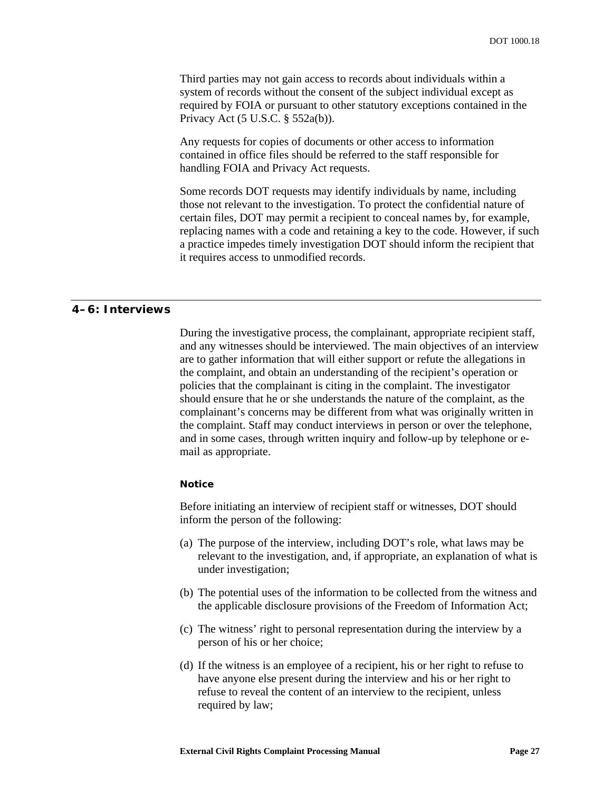<span id="page-32-0"></span>Third parties may not gain access to records about individuals within a system of records without the consent of the subject individual except as required by FOIA or pursuant to other statutory exceptions contained in the Privacy Act (5 U.S.C. § 552a(b)).

Any requests for copies of documents or other access to information contained in office files should be referred to the staff responsible for handling FOIA and Privacy Act requests.

Some records DOT requests may identify individuals by name, including those not relevant to the investigation. To protect the confidential nature of certain files, DOT may permit a recipient to conceal names by, for example, replacing names with a code and retaining a key to the code. However, if such a practice impedes timely investigation DOT should inform the recipient that it requires access to unmodified records.

#### **4–6: Interviews**

During the investigative process, the complainant, appropriate recipient staff, and any witnesses should be interviewed. The main objectives of an interview are to gather information that will either support or refute the allegations in the complaint, and obtain an understanding of the recipient's operation or policies that the complainant is citing in the complaint. The investigator should ensure that he or she understands the nature of the complaint, as the complainant's concerns may be different from what was originally written in the complaint. Staff may conduct interviews in person or over the telephone, and in some cases, through written inquiry and follow-up by telephone or email as appropriate.

#### *Notice*

Before initiating an interview of recipient staff or witnesses, DOT should inform the person of the following:

- (a) The purpose of the interview, including DOT's role, what laws may be relevant to the investigation, and, if appropriate, an explanation of what is under investigation;
- (b) The potential uses of the information to be collected from the witness and the applicable disclosure provisions of the Freedom of Information Act;
- (c) The witness' right to personal representation during the interview by a person of his or her choice;
- (d) If the witness is an employee of a recipient, his or her right to refuse to have anyone else present during the interview and his or her right to refuse to reveal the content of an interview to the recipient, unless required by law;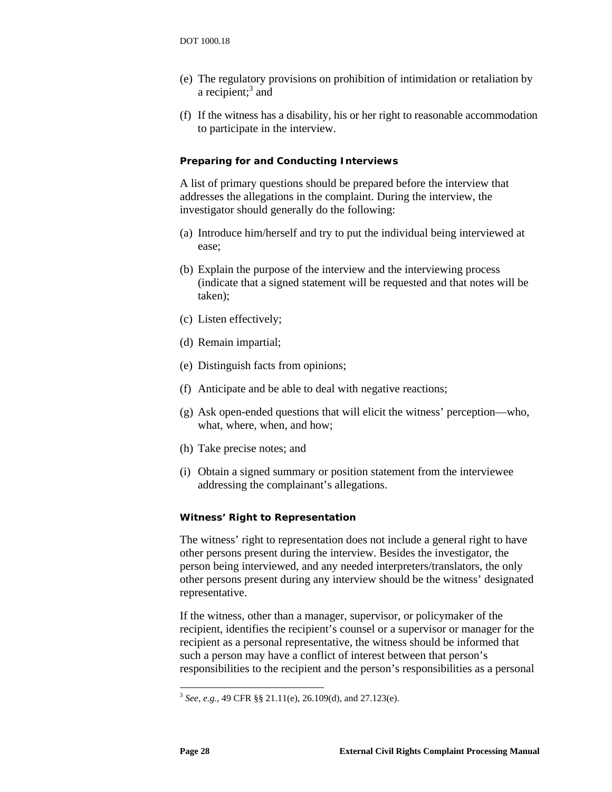- <span id="page-33-0"></span>(e) The regulatory provisions on prohibition of intimidation or retaliation by arecipient; $3$  and
- (f) If the witness has a disability, his or her right to reasonable accommodation to participate in the interview.

#### *Preparing for and Conducting Interviews*

A list of primary questions should be prepared before the interview that addresses the allegations in the complaint. During the interview, the investigator should generally do the following:

- (a) Introduce him/herself and try to put the individual being interviewed at ease;
- (b) Explain the purpose of the interview and the interviewing process (indicate that a signed statement will be requested and that notes will be taken);
- (c) Listen effectively;
- (d) Remain impartial;
- (e) Distinguish facts from opinions;
- (f) Anticipate and be able to deal with negative reactions;
- (g) Ask open-ended questions that will elicit the witness' perception—who, what, where, when, and how;
- (h) Take precise notes; and
- (i) Obtain a signed summary or position statement from the interviewee addressing the complainant's allegations.

#### *Witness' Right to Representation*

The witness' right to representation does not include a general right to have other persons present during the interview. Besides the investigator, the person being interviewed, and any needed interpreters/translators, the only other persons present during any interview should be the witness' designated representative.

If the witness, other than a manager, supervisor, or policymaker of the recipient, identifies the recipient's counsel or a supervisor or manager for the recipient as a personal representative, the witness should be informed that such a person may have a conflict of interest between that person's responsibilities to the recipient and the person's responsibilities as a personal

<span id="page-33-1"></span><sup>3</sup> *See, e.g.,* 49 CFR §§ 21.11(e), 26.109(d), and 27.123(e).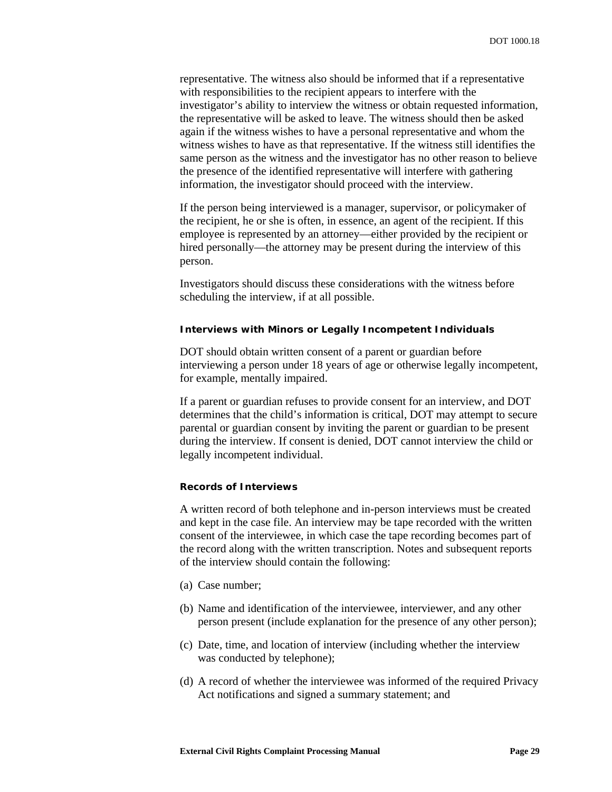<span id="page-34-0"></span>representative. The witness also should be informed that if a representative with responsibilities to the recipient appears to interfere with the investigator's ability to interview the witness or obtain requested information, the representative will be asked to leave. The witness should then be asked again if the witness wishes to have a personal representative and whom the witness wishes to have as that representative. If the witness still identifies the same person as the witness and the investigator has no other reason to believe the presence of the identified representative will interfere with gathering information, the investigator should proceed with the interview.

If the person being interviewed is a manager, supervisor, or policymaker of the recipient, he or she is often, in essence, an agent of the recipient. If this employee is represented by an attorney—either provided by the recipient or hired personally—the attorney may be present during the interview of this person.

Investigators should discuss these considerations with the witness before scheduling the interview, if at all possible.

#### *Interviews with Minors or Legally Incompetent Individuals*

DOT should obtain written consent of a parent or guardian before interviewing a person under 18 years of age or otherwise legally incompetent, for example, mentally impaired.

If a parent or guardian refuses to provide consent for an interview, and DOT determines that the child's information is critical, DOT may attempt to secure parental or guardian consent by inviting the parent or guardian to be present during the interview. If consent is denied, DOT cannot interview the child or legally incompetent individual.

#### *Records of Interviews*

A written record of both telephone and in-person interviews must be created and kept in the case file. An interview may be tape recorded with the written consent of the interviewee, in which case the tape recording becomes part of the record along with the written transcription. Notes and subsequent reports of the interview should contain the following:

- (a) Case number;
- (b) Name and identification of the interviewee, interviewer, and any other person present (include explanation for the presence of any other person);
- (c) Date, time, and location of interview (including whether the interview was conducted by telephone);
- (d) A record of whether the interviewee was informed of the required Privacy Act notifications and signed a summary statement; and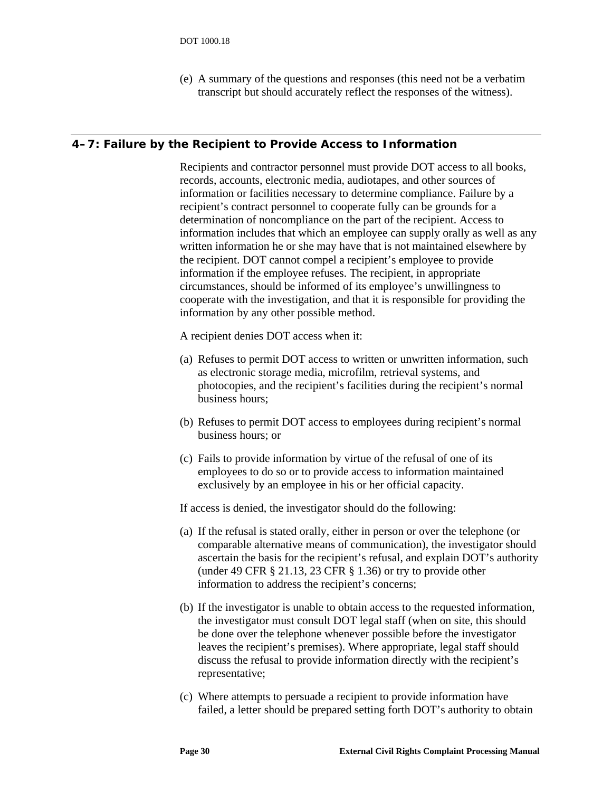(e) A summary of the questions and responses (this need not be a verbatim transcript but should accurately reflect the responses of the witness).

#### <span id="page-35-0"></span>**4–7: Failure by the Recipient to Provide Access to Information**

Recipients and contractor personnel must provide DOT access to all books, records, accounts, electronic media, audiotapes, and other sources of information or facilities necessary to determine compliance. Failure by a recipient's contract personnel to cooperate fully can be grounds for a determination of noncompliance on the part of the recipient. Access to information includes that which an employee can supply orally as well as any written information he or she may have that is not maintained elsewhere by the recipient. DOT cannot compel a recipient's employee to provide information if the employee refuses. The recipient, in appropriate circumstances, should be informed of its employee's unwillingness to cooperate with the investigation, and that it is responsible for providing the information by any other possible method.

A recipient denies DOT access when it:

- (a) Refuses to permit DOT access to written or unwritten information, such as electronic storage media, microfilm, retrieval systems, and photocopies, and the recipient's facilities during the recipient's normal business hours;
- (b) Refuses to permit DOT access to employees during recipient's normal business hours; or
- (c) Fails to provide information by virtue of the refusal of one of its employees to do so or to provide access to information maintained exclusively by an employee in his or her official capacity.

If access is denied, the investigator should do the following:

- (a) If the refusal is stated orally, either in person or over the telephone (or comparable alternative means of communication), the investigator should ascertain the basis for the recipient's refusal, and explain DOT's authority (under 49 CFR § 21.13, 23 CFR § 1.36) or try to provide other information to address the recipient's concerns;
- (b) If the investigator is unable to obtain access to the requested information, the investigator must consult DOT legal staff (when on site, this should be done over the telephone whenever possible before the investigator leaves the recipient's premises). Where appropriate, legal staff should discuss the refusal to provide information directly with the recipient's representative;
- (c) Where attempts to persuade a recipient to provide information have failed, a letter should be prepared setting forth DOT's authority to obtain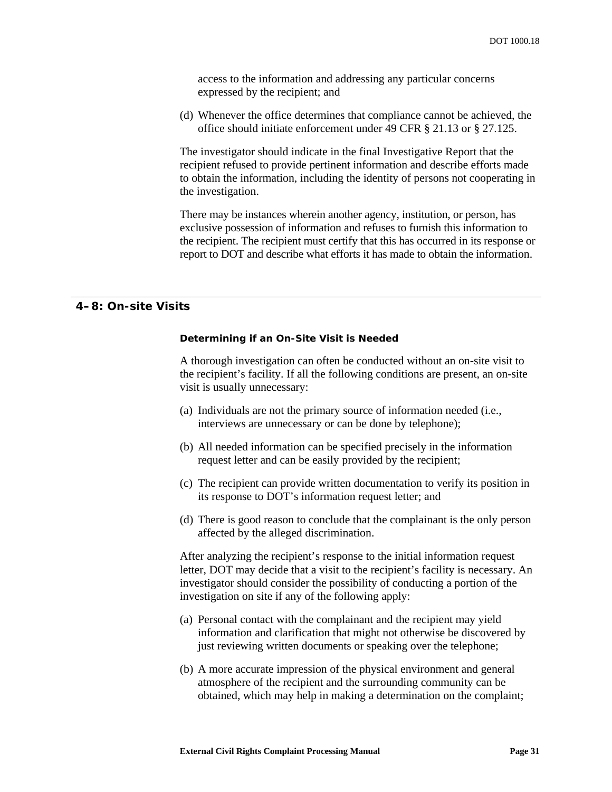access to the information and addressing any particular concerns expressed by the recipient; and

(d) Whenever the office determines that compliance cannot be achieved, the office should initiate enforcement under 49 CFR § 21.13 or § 27.125.

The investigator should indicate in the final Investigative Report that the recipient refused to provide pertinent information and describe efforts made to obtain the information, including the identity of persons not cooperating in the investigation.

There may be instances wherein another agency, institution, or person, has exclusive possession of information and refuses to furnish this information to the recipient. The recipient must certify that this has occurred in its response or report to DOT and describe what efforts it has made to obtain the information.

#### **4–8: On-site Visits**

#### *Determining if an On-Site Visit is Needed*

A thorough investigation can often be conducted without an on-site visit to the recipient's facility. If all the following conditions are present, an on-site visit is usually unnecessary:

- (a) Individuals are not the primary source of information needed (i.e., interviews are unnecessary or can be done by telephone);
- (b) All needed information can be specified precisely in the information request letter and can be easily provided by the recipient;
- (c) The recipient can provide written documentation to verify its position in its response to DOT's information request letter; and
- (d) There is good reason to conclude that the complainant is the only person affected by the alleged discrimination.

After analyzing the recipient's response to the initial information request letter, DOT may decide that a visit to the recipient's facility is necessary. An investigator should consider the possibility of conducting a portion of the investigation on site if any of the following apply:

- (a) Personal contact with the complainant and the recipient may yield information and clarification that might not otherwise be discovered by just reviewing written documents or speaking over the telephone;
- (b) A more accurate impression of the physical environment and general atmosphere of the recipient and the surrounding community can be obtained, which may help in making a determination on the complaint;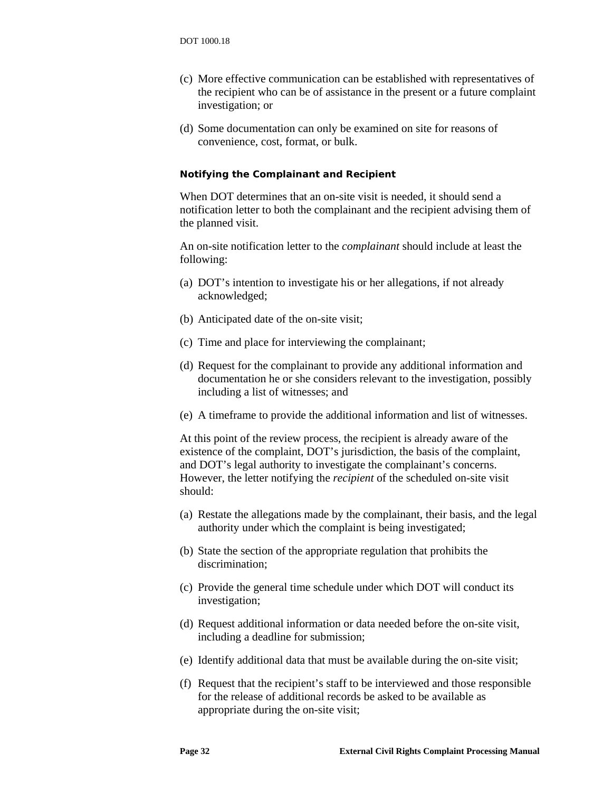- (c) More effective communication can be established with representatives of the recipient who can be of assistance in the present or a future complaint investigation; or
- (d) Some documentation can only be examined on site for reasons of convenience, cost, format, or bulk.

#### *Notifying the Complainant and Recipient*

When DOT determines that an on-site visit is needed, it should send a notification letter to both the complainant and the recipient advising them of the planned visit.

An on-site notification letter to the *complainant* should include at least the following:

- (a) DOT's intention to investigate his or her allegations, if not already acknowledged;
- (b) Anticipated date of the on-site visit;
- (c) Time and place for interviewing the complainant;
- (d) Request for the complainant to provide any additional information and documentation he or she considers relevant to the investigation, possibly including a list of witnesses; and
- (e) A timeframe to provide the additional information and list of witnesses.

At this point of the review process, the recipient is already aware of the existence of the complaint, DOT's jurisdiction, the basis of the complaint, and DOT's legal authority to investigate the complainant's concerns. However, the letter notifying the *recipient* of the scheduled on-site visit should:

- (a) Restate the allegations made by the complainant, their basis, and the legal authority under which the complaint is being investigated;
- (b) State the section of the appropriate regulation that prohibits the discrimination;
- (c) Provide the general time schedule under which DOT will conduct its investigation;
- (d) Request additional information or data needed before the on-site visit, including a deadline for submission;
- (e) Identify additional data that must be available during the on-site visit;
- (f) Request that the recipient's staff to be interviewed and those responsible for the release of additional records be asked to be available as appropriate during the on-site visit;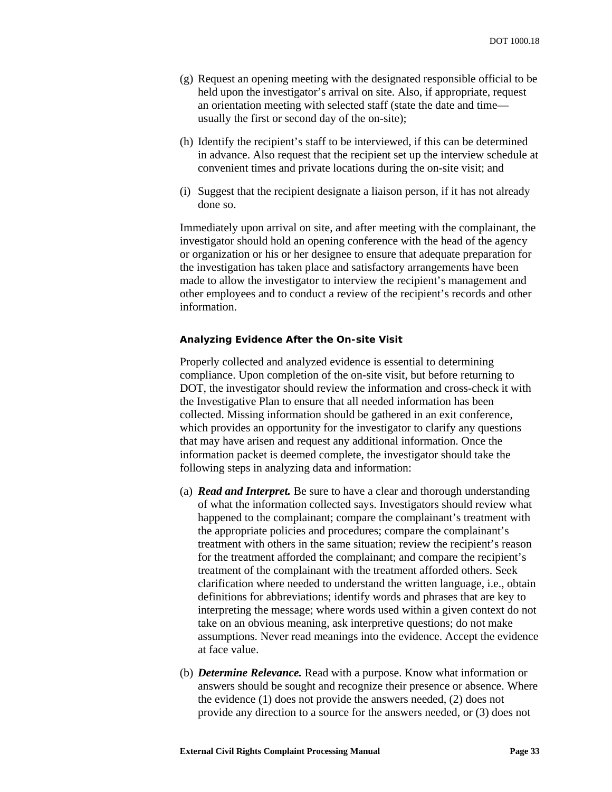- (g) Request an opening meeting with the designated responsible official to be held upon the investigator's arrival on site. Also, if appropriate, request an orientation meeting with selected staff (state the date and time usually the first or second day of the on-site);
- (h) Identify the recipient's staff to be interviewed, if this can be determined in advance. Also request that the recipient set up the interview schedule at convenient times and private locations during the on-site visit; and
- (i) Suggest that the recipient designate a liaison person, if it has not already done so.

Immediately upon arrival on site, and after meeting with the complainant, the investigator should hold an opening conference with the head of the agency or organization or his or her designee to ensure that adequate preparation for the investigation has taken place and satisfactory arrangements have been made to allow the investigator to interview the recipient's management and other employees and to conduct a review of the recipient's records and other information.

#### *Analyzing Evidence After the On-site Visit*

Properly collected and analyzed evidence is essential to determining compliance. Upon completion of the on-site visit, but before returning to DOT, the investigator should review the information and cross-check it with the Investigative Plan to ensure that all needed information has been collected. Missing information should be gathered in an exit conference, which provides an opportunity for the investigator to clarify any questions that may have arisen and request any additional information. Once the information packet is deemed complete, the investigator should take the following steps in analyzing data and information:

- (a) *Read and Interpret.* Be sure to have a clear and thorough understanding of what the information collected says. Investigators should review what happened to the complainant; compare the complainant's treatment with the appropriate policies and procedures; compare the complainant's treatment with others in the same situation; review the recipient's reason for the treatment afforded the complainant; and compare the recipient's treatment of the complainant with the treatment afforded others. Seek clarification where needed to understand the written language, i.e., obtain definitions for abbreviations; identify words and phrases that are key to interpreting the message; where words used within a given context do not take on an obvious meaning, ask interpretive questions; do not make assumptions. Never read meanings into the evidence. Accept the evidence at face value.
- (b) *Determine Relevance.* Read with a purpose. Know what information or answers should be sought and recognize their presence or absence. Where the evidence (1) does not provide the answers needed, (2) does not provide any direction to a source for the answers needed, or (3) does not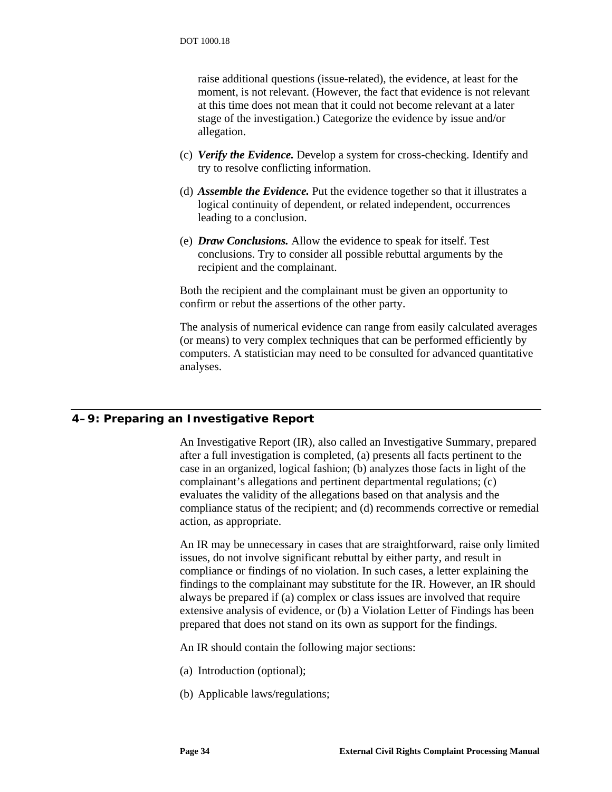raise additional questions (issue-related), the evidence, at least for the moment, is not relevant. (However, the fact that evidence is not relevant at this time does not mean that it could not become relevant at a later stage of the investigation.) Categorize the evidence by issue and/or allegation.

- (c) *Verify the Evidence.* Develop a system for cross-checking. Identify and try to resolve conflicting information.
- (d) *Assemble the Evidence.* Put the evidence together so that it illustrates a logical continuity of dependent, or related independent, occurrences leading to a conclusion.
- (e) *Draw Conclusions.* Allow the evidence to speak for itself. Test conclusions. Try to consider all possible rebuttal arguments by the recipient and the complainant.

Both the recipient and the complainant must be given an opportunity to confirm or rebut the assertions of the other party.

The analysis of numerical evidence can range from easily calculated averages (or means) to very complex techniques that can be performed efficiently by computers. A statistician may need to be consulted for advanced quantitative analyses.

### **4–9: Preparing an Investigative Report**

An Investigative Report (IR), also called an Investigative Summary, prepared after a full investigation is completed, (a) presents all facts pertinent to the case in an organized, logical fashion; (b) analyzes those facts in light of the complainant's allegations and pertinent departmental regulations; (c) evaluates the validity of the allegations based on that analysis and the compliance status of the recipient; and (d) recommends corrective or remedial action, as appropriate.

An IR may be unnecessary in cases that are straightforward, raise only limited issues, do not involve significant rebuttal by either party, and result in compliance or findings of no violation. In such cases, a letter explaining the findings to the complainant may substitute for the IR. However, an IR should always be prepared if (a) complex or class issues are involved that require extensive analysis of evidence, or (b) a Violation Letter of Findings has been prepared that does not stand on its own as support for the findings.

An IR should contain the following major sections:

- (a) Introduction (optional);
- (b) Applicable laws/regulations;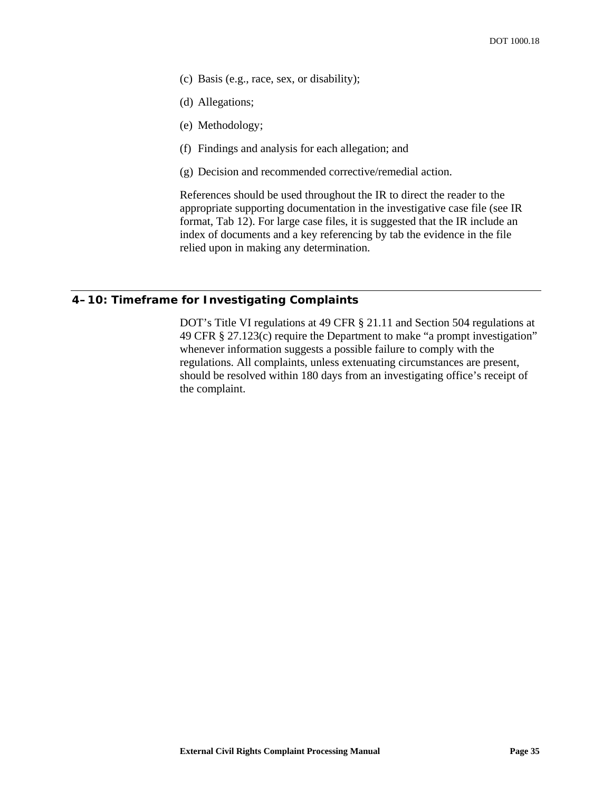- (c) Basis (e.g., race, sex, or disability);
- (d) Allegations;
- (e) Methodology;
- (f) Findings and analysis for each allegation; and
- (g) Decision and recommended corrective/remedial action.

References should be used throughout the IR to direct the reader to the appropriate supporting documentation in the investigative case file (see IR format, [Tab 12\)](#page-54-0). For large case files, it is suggested that the IR include an index of documents and a key referencing by tab the evidence in the file relied upon in making any determination.

### **4–10: Timeframe for Investigating Complaints**

DOT's Title VI regulations at 49 CFR § 21.11 and Section 504 regulations at 49 CFR § 27.123(c) require the Department to make "a prompt investigation" whenever information suggests a possible failure to comply with the regulations. All complaints, unless extenuating circumstances are present, should be resolved within 180 days from an investigating office's receipt of the complaint.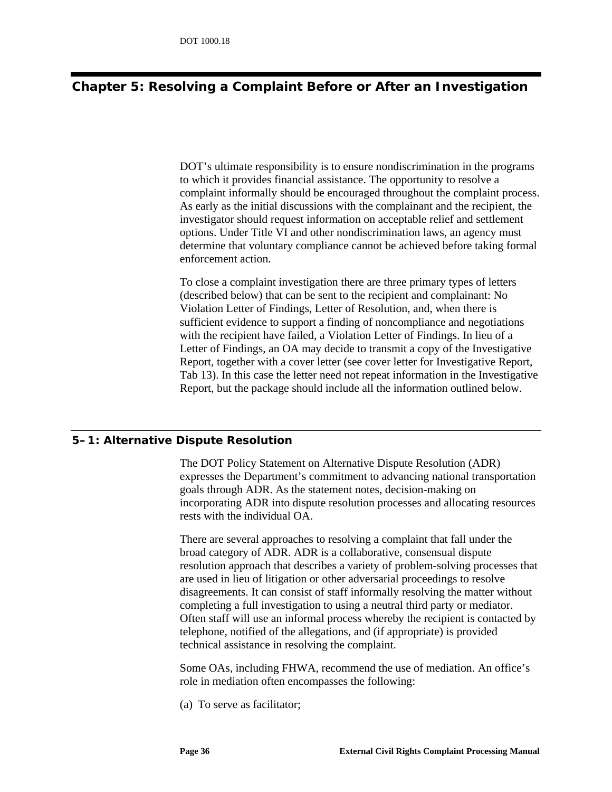# **Chapter 5: Resolving a Complaint Before or After an Investigation**

DOT's ultimate responsibility is to ensure nondiscrimination in the programs to which it provides financial assistance. The opportunity to resolve a complaint informally should be encouraged throughout the complaint process. As early as the initial discussions with the complainant and the recipient, the investigator should request information on acceptable relief and settlement options. Under Title VI and other nondiscrimination laws, an agency must determine that voluntary compliance cannot be achieved before taking formal enforcement action.

To close a complaint investigation there are three primary types of letters (described below) that can be sent to the recipient and complainant: No Violation Letter of Findings, Letter of Resolution, and, when there is sufficient evidence to support a finding of noncompliance and negotiations with the recipient have failed, a Violation Letter of Findings. In lieu of a Letter of Findings, an OA may decide to transmit a copy of the Investigative Report, together with a cover letter (see cover letter for Investigative Report, [Tab 13\)](#page-54-1). In this case the letter need not repeat information in the Investigative Report, but the package should include all the information outlined below.

# **5–1: Alternative Dispute Resolution**

The DOT Policy Statement on Alternative Dispute Resolution (ADR) expresses the Department's commitment to advancing national transportation goals through ADR. As the statement notes, decision-making on incorporating ADR into dispute resolution processes and allocating resources rests with the individual OA.

There are several approaches to resolving a complaint that fall under the broad category of ADR. ADR is a collaborative, consensual dispute resolution approach that describes a variety of problem-solving processes that are used in lieu of litigation or other adversarial proceedings to resolve disagreements. It can consist of staff informally resolving the matter without completing a full investigation to using a neutral third party or mediator. Often staff will use an informal process whereby the recipient is contacted by telephone, notified of the allegations, and (if appropriate) is provided technical assistance in resolving the complaint.

Some OAs, including FHWA, recommend the use of mediation. An office's role in mediation often encompasses the following:

(a) To serve as facilitator;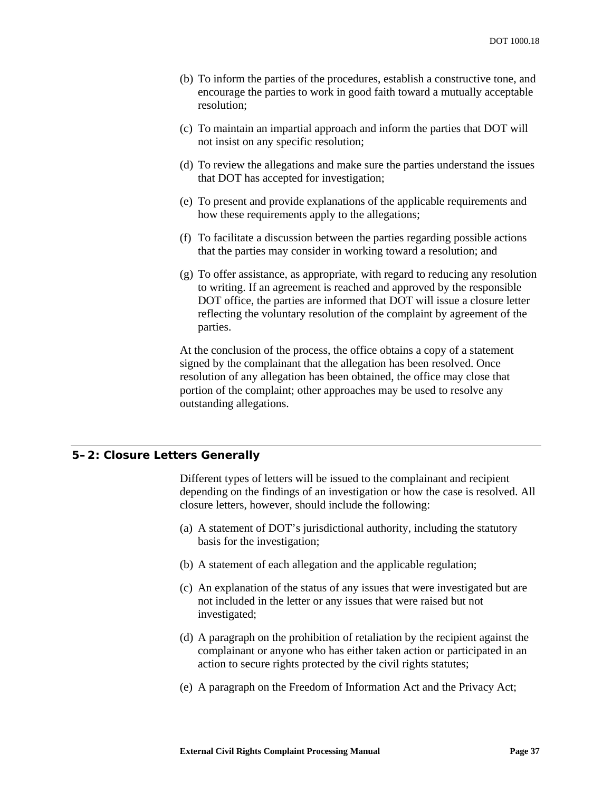- (b) To inform the parties of the procedures, establish a constructive tone, and encourage the parties to work in good faith toward a mutually acceptable resolution;
- (c) To maintain an impartial approach and inform the parties that DOT will not insist on any specific resolution;
- (d) To review the allegations and make sure the parties understand the issues that DOT has accepted for investigation;
- (e) To present and provide explanations of the applicable requirements and how these requirements apply to the allegations;
- (f) To facilitate a discussion between the parties regarding possible actions that the parties may consider in working toward a resolution; and
- (g) To offer assistance, as appropriate, with regard to reducing any resolution to writing. If an agreement is reached and approved by the responsible DOT office, the parties are informed that DOT will issue a closure letter reflecting the voluntary resolution of the complaint by agreement of the parties.

At the conclusion of the process, the office obtains a copy of a statement signed by the complainant that the allegation has been resolved. Once resolution of any allegation has been obtained, the office may close that portion of the complaint; other approaches may be used to resolve any outstanding allegations.

#### <span id="page-42-0"></span>**5–2: Closure Letters Generally**

Different types of letters will be issued to the complainant and recipient depending on the findings of an investigation or how the case is resolved. All closure letters, however, should include the following:

- (a) A statement of DOT's jurisdictional authority, including the statutory basis for the investigation;
- (b) A statement of each allegation and the applicable regulation;
- (c) An explanation of the status of any issues that were investigated but are not included in the letter or any issues that were raised but not investigated;
- (d) A paragraph on the prohibition of retaliation by the recipient against the complainant or anyone who has either taken action or participated in an action to secure rights protected by the civil rights statutes;
- (e) A paragraph on the Freedom of Information Act and the Privacy Act;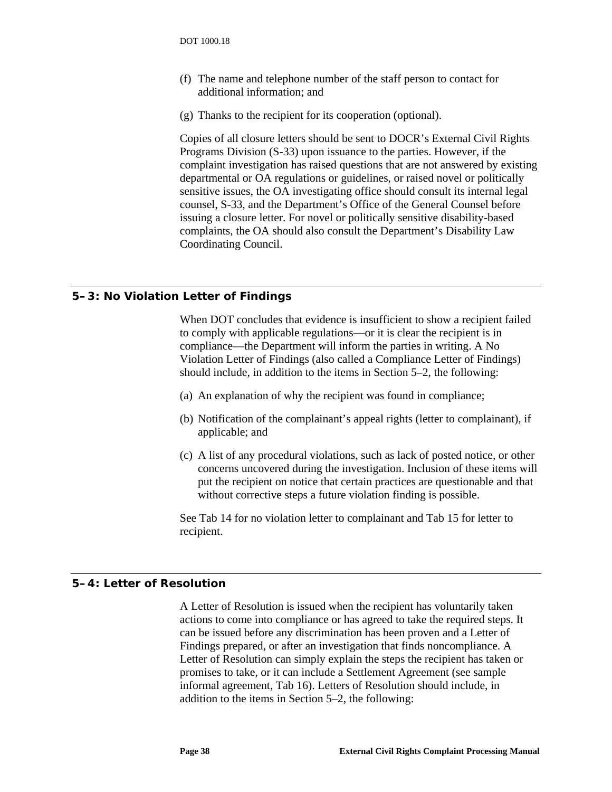- (f) The name and telephone number of the staff person to contact for additional information; and
- (g) Thanks to the recipient for its cooperation (optional).

Copies of all closure letters should be sent to DOCR's External Civil Rights Programs Division (S-33) upon issuance to the parties. However, if the complaint investigation has raised questions that are not answered by existing departmental or OA regulations or guidelines, or raised novel or politically sensitive issues, the OA investigating office should consult its internal legal counsel, S-33, and the Department's Office of the General Counsel before issuing a closure letter. For novel or politically sensitive disability-based complaints, the OA should also consult the Department's Disability Law Coordinating Council.

### **5–3: No Violation Letter of Findings**

When DOT concludes that evidence is insufficient to show a recipient failed to comply with applicable regulations—or it is clear the recipient is in compliance—the Department will inform the parties in writing. A No Violation Letter of Findings (also called a Compliance Letter of Findings) should include, in addition to the items in Section [5–2,](#page-42-0) the following:

- (a) An explanation of why the recipient was found in compliance;
- (b) Notification of the complainant's appeal rights (letter to complainant), if applicable; and
- (c) A list of any procedural violations, such as lack of posted notice, or other concerns uncovered during the investigation. Inclusion of these items will put the recipient on notice that certain practices are questionable and that without corrective steps a future violation finding is possible.

See [Tab 14](#page-54-2) for no violation letter to complainant and [Tab 15](#page-54-3) for letter to recipient.

#### **5–4: Letter of Resolution**

A Letter of Resolution is issued when the recipient has voluntarily taken actions to come into compliance or has agreed to take the required steps. It can be issued before any discrimination has been proven and a Letter of Findings prepared, or after an investigation that finds noncompliance. A Letter of Resolution can simply explain the steps the recipient has taken or promises to take, or it can include a Settlement Agreement (see sample informal agreement, [Tab 16\)](#page-54-4). Letters of Resolution should include, in addition to the items in Section [5–2,](#page-42-0) the following: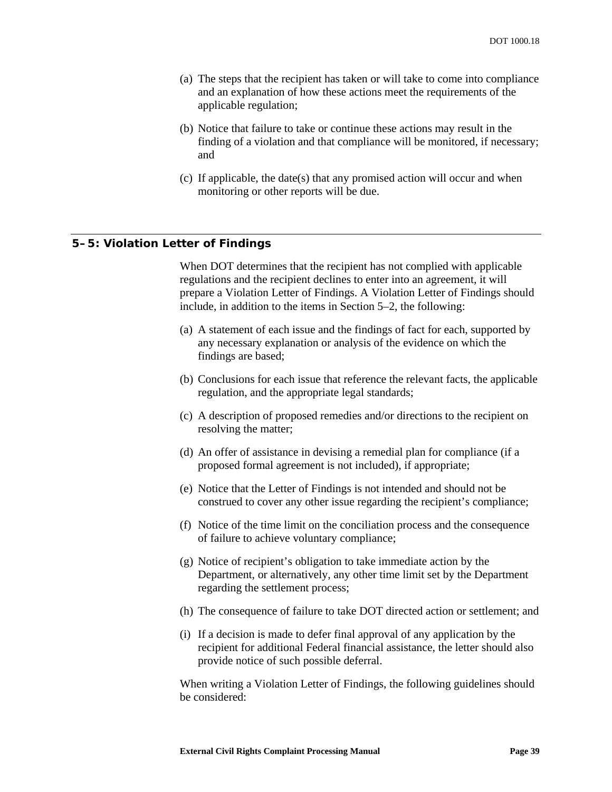- (a) The steps that the recipient has taken or will take to come into compliance and an explanation of how these actions meet the requirements of the applicable regulation;
- (b) Notice that failure to take or continue these actions may result in the finding of a violation and that compliance will be monitored, if necessary; and
- (c) If applicable, the date(s) that any promised action will occur and when monitoring or other reports will be due.

#### **5–5: Violation Letter of Findings**

When DOT determines that the recipient has not complied with applicable regulations and the recipient declines to enter into an agreement, it will prepare a Violation Letter of Findings. A Violation Letter of Findings should include, in addition to the items in Section [5–2,](#page-42-0) the following:

- (a) A statement of each issue and the findings of fact for each, supported by any necessary explanation or analysis of the evidence on which the findings are based;
- (b) Conclusions for each issue that reference the relevant facts, the applicable regulation, and the appropriate legal standards;
- (c) A description of proposed remedies and/or directions to the recipient on resolving the matter;
- (d) An offer of assistance in devising a remedial plan for compliance (if a proposed formal agreement is not included), if appropriate;
- (e) Notice that the Letter of Findings is not intended and should not be construed to cover any other issue regarding the recipient's compliance;
- (f) Notice of the time limit on the conciliation process and the consequence of failure to achieve voluntary compliance;
- (g) Notice of recipient's obligation to take immediate action by the Department, or alternatively, any other time limit set by the Department regarding the settlement process;
- (h) The consequence of failure to take DOT directed action or settlement; and
- (i) If a decision is made to defer final approval of any application by the recipient for additional Federal financial assistance, the letter should also provide notice of such possible deferral.

When writing a Violation Letter of Findings, the following guidelines should be considered: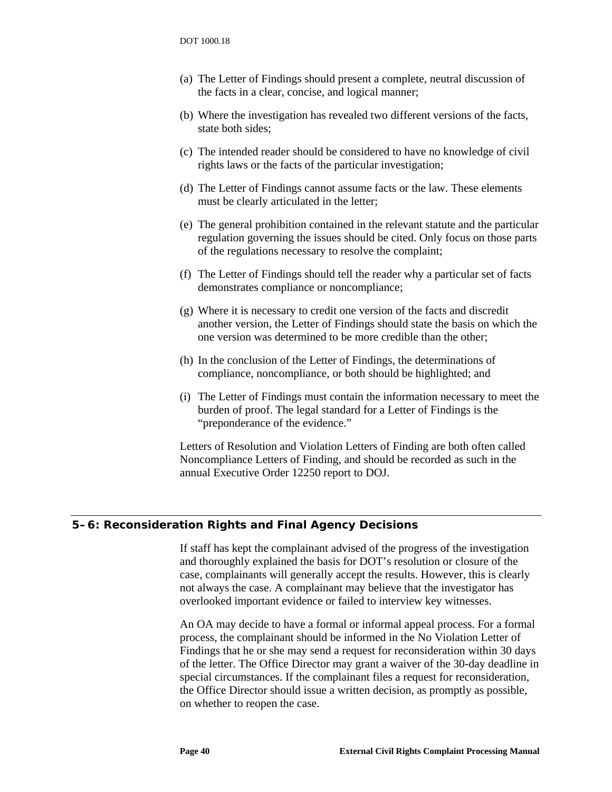- (a) The Letter of Findings should present a complete, neutral discussion of the facts in a clear, concise, and logical manner;
- (b) Where the investigation has revealed two different versions of the facts, state both sides;
- (c) The intended reader should be considered to have no knowledge of civil rights laws or the facts of the particular investigation;
- (d) The Letter of Findings cannot assume facts or the law. These elements must be clearly articulated in the letter;
- (e) The general prohibition contained in the relevant statute and the particular regulation governing the issues should be cited. Only focus on those parts of the regulations necessary to resolve the complaint;
- (f) The Letter of Findings should tell the reader why a particular set of facts demonstrates compliance or noncompliance;
- (g) Where it is necessary to credit one version of the facts and discredit another version, the Letter of Findings should state the basis on which the one version was determined to be more credible than the other;
- (h) In the conclusion of the Letter of Findings, the determinations of compliance, noncompliance, or both should be highlighted; and
- (i) The Letter of Findings must contain the information necessary to meet the burden of proof. The legal standard for a Letter of Findings is the "preponderance of the evidence."

Letters of Resolution and Violation Letters of Finding are both often called Noncompliance Letters of Finding, and should be recorded as such in the annual Executive Order 12250 report to DOJ.

#### **5–6: Reconsideration Rights and Final Agency Decisions**

If staff has kept the complainant advised of the progress of the investigation and thoroughly explained the basis for DOT's resolution or closure of the case, complainants will generally accept the results. However, this is clearly not always the case. A complainant may believe that the investigator has overlooked important evidence or failed to interview key witnesses.

An OA may decide to have a formal or informal appeal process. For a formal process, the complainant should be informed in the No Violation Letter of Findings that he or she may send a request for reconsideration within 30 days of the letter. The Office Director may grant a waiver of the 30-day deadline in special circumstances. If the complainant files a request for reconsideration, the Office Director should issue a written decision, as promptly as possible, on whether to reopen the case.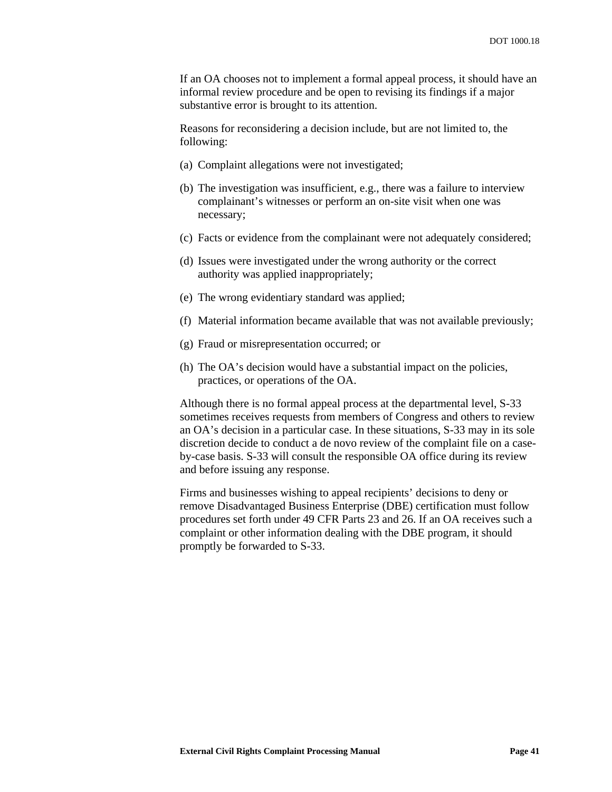If an OA chooses not to implement a formal appeal process, it should have an informal review procedure and be open to revising its findings if a major substantive error is brought to its attention.

Reasons for reconsidering a decision include, but are not limited to, the following:

- (a) Complaint allegations were not investigated;
- (b) The investigation was insufficient, e.g., there was a failure to interview complainant's witnesses or perform an on-site visit when one was necessary;
- (c) Facts or evidence from the complainant were not adequately considered;
- (d) Issues were investigated under the wrong authority or the correct authority was applied inappropriately;
- (e) The wrong evidentiary standard was applied;
- (f) Material information became available that was not available previously;
- (g) Fraud or misrepresentation occurred; or
- (h) The OA's decision would have a substantial impact on the policies, practices, or operations of the OA.

Although there is no formal appeal process at the departmental level, S-33 sometimes receives requests from members of Congress and others to review an OA's decision in a particular case. In these situations, S-33 may in its sole discretion decide to conduct a de novo review of the complaint file on a caseby-case basis. S-33 will consult the responsible OA office during its review and before issuing any response.

Firms and businesses wishing to appeal recipients' decisions to deny or remove Disadvantaged Business Enterprise (DBE) certification must follow procedures set forth under 49 CFR Parts 23 and 26. If an OA receives such a complaint or other information dealing with the DBE program, it should promptly be forwarded to S-33.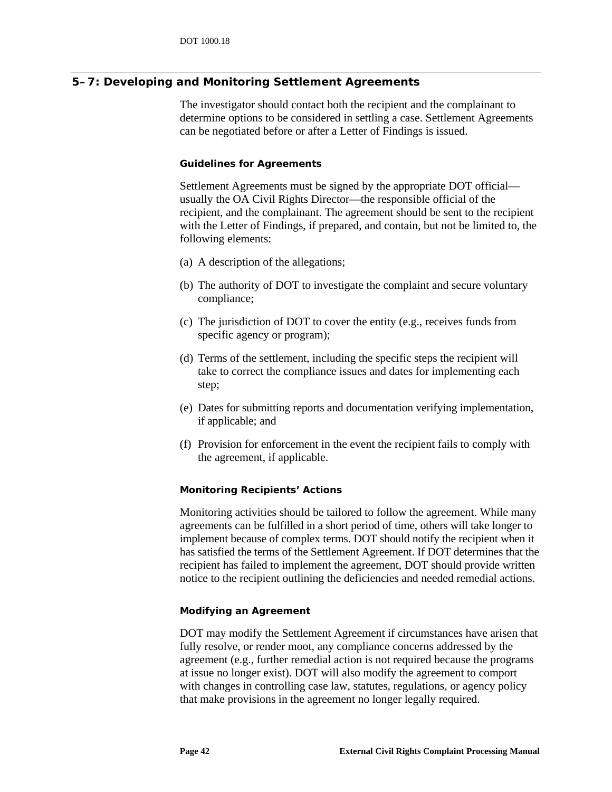# **5–7: Developing and Monitoring Settlement Agreements**

The investigator should contact both the recipient and the complainant to determine options to be considered in settling a case. Settlement Agreements can be negotiated before or after a Letter of Findings is issued.

#### *Guidelines for Agreements*

Settlement Agreements must be signed by the appropriate DOT official usually the OA Civil Rights Director—the responsible official of the recipient, and the complainant. The agreement should be sent to the recipient with the Letter of Findings, if prepared, and contain, but not be limited to, the following elements:

- (a) A description of the allegations;
- (b) The authority of DOT to investigate the complaint and secure voluntary compliance;
- (c) The jurisdiction of DOT to cover the entity (e.g., receives funds from specific agency or program);
- (d) Terms of the settlement, including the specific steps the recipient will take to correct the compliance issues and dates for implementing each step;
- (e) Dates for submitting reports and documentation verifying implementation, if applicable; and
- (f) Provision for enforcement in the event the recipient fails to comply with the agreement, if applicable.

#### *Monitoring Recipients' Actions*

Monitoring activities should be tailored to follow the agreement. While many agreements can be fulfilled in a short period of time, others will take longer to implement because of complex terms. DOT should notify the recipient when it has satisfied the terms of the Settlement Agreement. If DOT determines that the recipient has failed to implement the agreement, DOT should provide written notice to the recipient outlining the deficiencies and needed remedial actions.

#### *Modifying an Agreement*

DOT may modify the Settlement Agreement if circumstances have arisen that fully resolve, or render moot, any compliance concerns addressed by the agreement (e.g., further remedial action is not required because the programs at issue no longer exist). DOT will also modify the agreement to comport with changes in controlling case law, statutes, regulations, or agency policy that make provisions in the agreement no longer legally required.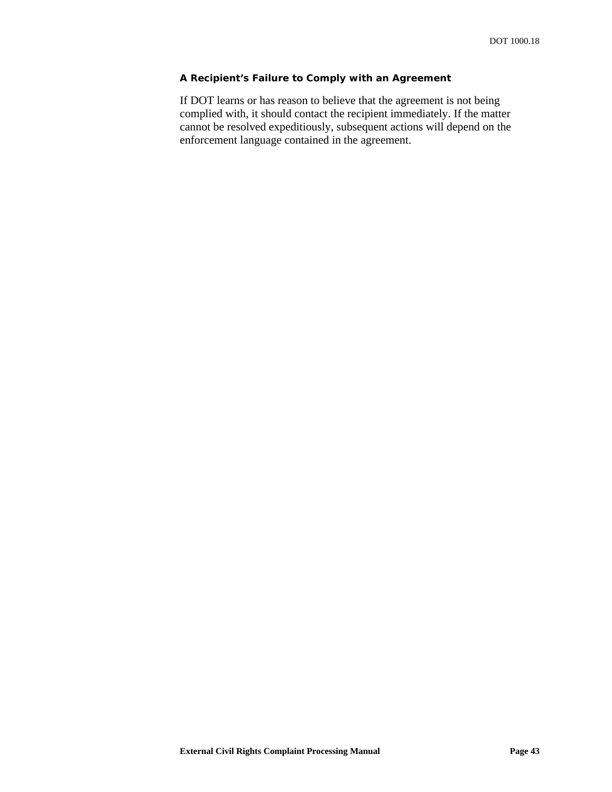#### *A Recipient's Failure to Comply with an Agreement*

If DOT learns or has reason to believe that the agreement is not being complied with, it should contact the recipient immediately. If the matter cannot be resolved expeditiously, subsequent actions will depend on the enforcement language contained in the agreement.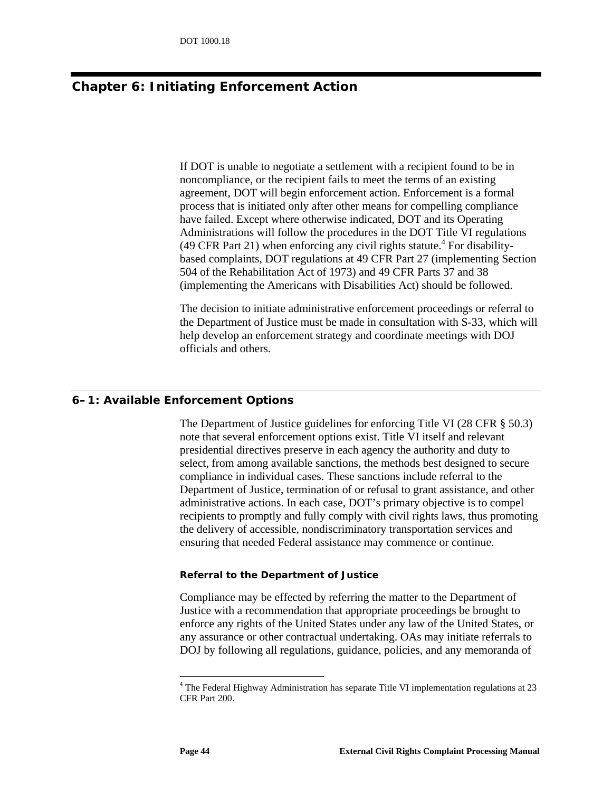# **Chapter 6: Initiating Enforcement Action**

If DOT is unable to negotiate a settlement with a recipient found to be in noncompliance, or the recipient fails to meet the terms of an existing agreement, DOT will begin enforcement action. Enforcement is a formal process that is initiated only after other means for compelling compliance have failed. Except where otherwise indicated, DOT and its Operating Administrations will follow the procedures in the DOT Title VI regulations  $(49$  $(49$  $(49$  CFR Part 21) when enforcing any civil rights statute.<sup>4</sup> For disabilitybased complaints, DOT regulations at 49 CFR Part 27 (implementing Section 504 of the Rehabilitation Act of 1973) and 49 CFR Parts 37 and 38 (implementing the Americans with Disabilities Act) should be followed.

The decision to initiate administrative enforcement proceedings or referral to the Department of Justice must be made in consultation with S-33, which will help develop an enforcement strategy and coordinate meetings with DOJ officials and others.

#### **6–1: Available Enforcement Options**

The Department of Justice guidelines for enforcing Title VI (28 CFR § 50.3) note that several enforcement options exist. Title VI itself and relevant presidential directives preserve in each agency the authority and duty to select, from among available sanctions, the methods best designed to secure compliance in individual cases. These sanctions include referral to the Department of Justice, termination of or refusal to grant assistance, and other administrative actions. In each case, DOT's primary objective is to compel recipients to promptly and fully comply with civil rights laws, thus promoting the delivery of accessible, nondiscriminatory transportation services and ensuring that needed Federal assistance may commence or continue.

#### *Referral to the Department of Justice*

Compliance may be effected by referring the matter to the Department of Justice with a recommendation that appropriate proceedings be brought to enforce any rights of the United States under any law of the United States, or any assurance or other contractual undertaking. OAs may initiate referrals to DOJ by following all regulations, guidance, policies, and any memoranda of

<span id="page-49-0"></span><sup>&</sup>lt;sup>4</sup> The Federal Highway Administration has separate Title VI implementation regulations at 23 CFR Part 200.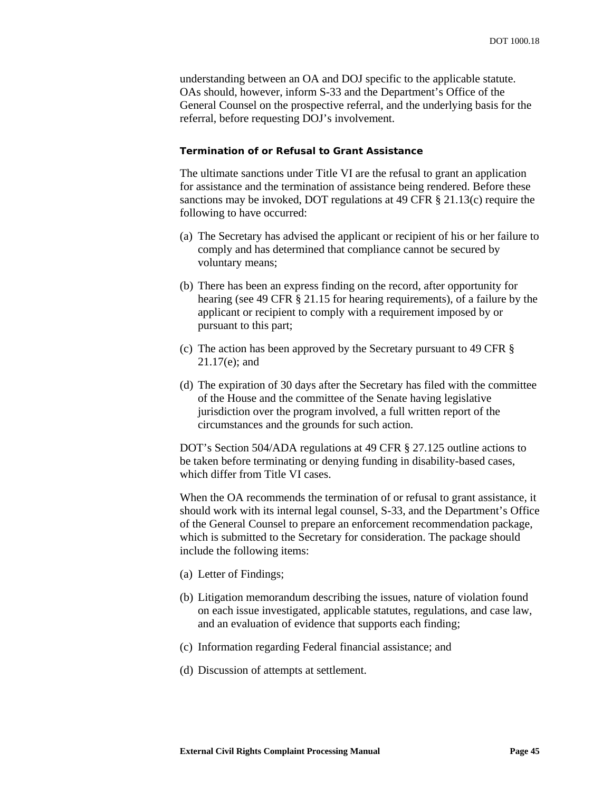understanding between an OA and DOJ specific to the applicable statute. OAs should, however, inform S-33 and the Department's Office of the General Counsel on the prospective referral, and the underlying basis for the referral, before requesting DOJ's involvement.

#### *Termination of or Refusal to Grant Assistance*

The ultimate sanctions under Title VI are the refusal to grant an application for assistance and the termination of assistance being rendered. Before these sanctions may be invoked, DOT regulations at 49 CFR § 21.13(c) require the following to have occurred:

- (a) The Secretary has advised the applicant or recipient of his or her failure to comply and has determined that compliance cannot be secured by voluntary means;
- (b) There has been an express finding on the record, after opportunity for hearing (see 49 CFR § 21.15 for hearing requirements), of a failure by the applicant or recipient to comply with a requirement imposed by or pursuant to this part;
- (c) The action has been approved by the Secretary pursuant to 49 CFR § 21.17(e); and
- (d) The expiration of 30 days after the Secretary has filed with the committee of the House and the committee of the Senate having legislative jurisdiction over the program involved, a full written report of the circumstances and the grounds for such action.

DOT's Section 504/ADA regulations at 49 CFR § 27.125 outline actions to be taken before terminating or denying funding in disability-based cases, which differ from Title VI cases.

When the OA recommends the termination of or refusal to grant assistance, it should work with its internal legal counsel, S-33, and the Department's Office of the General Counsel to prepare an enforcement recommendation package, which is submitted to the Secretary for consideration. The package should include the following items:

- (a) Letter of Findings;
- (b) Litigation memorandum describing the issues, nature of violation found on each issue investigated, applicable statutes, regulations, and case law, and an evaluation of evidence that supports each finding;
- (c) Information regarding Federal financial assistance; and
- (d) Discussion of attempts at settlement.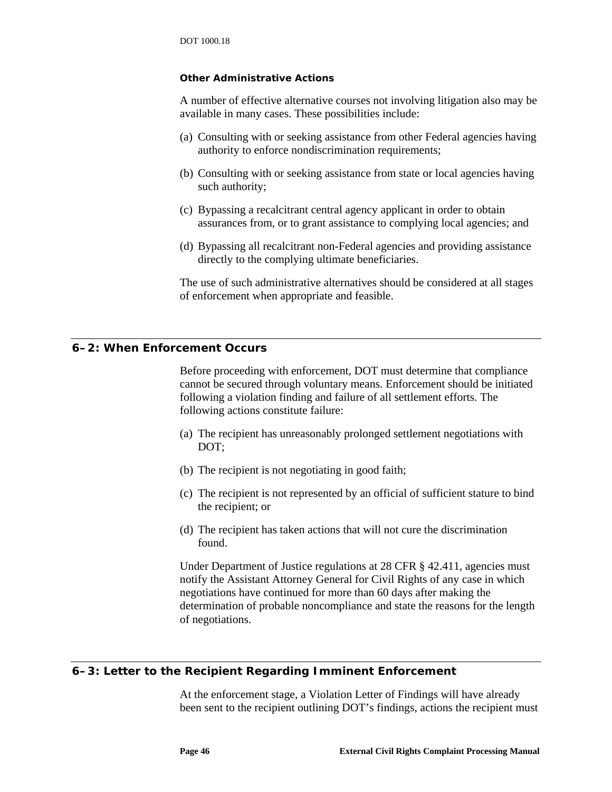#### *Other Administrative Actions*

A number of effective alternative courses not involving litigation also may be available in many cases. These possibilities include:

- (a) Consulting with or seeking assistance from other Federal agencies having authority to enforce nondiscrimination requirements;
- (b) Consulting with or seeking assistance from state or local agencies having such authority;
- (c) Bypassing a recalcitrant central agency applicant in order to obtain assurances from, or to grant assistance to complying local agencies; and
- (d) Bypassing all recalcitrant non-Federal agencies and providing assistance directly to the complying ultimate beneficiaries.

The use of such administrative alternatives should be considered at all stages of enforcement when appropriate and feasible.

### **6–2: When Enforcement Occurs**

Before proceeding with enforcement, DOT must determine that compliance cannot be secured through voluntary means. Enforcement should be initiated following a violation finding and failure of all settlement efforts. The following actions constitute failure:

- (a) The recipient has unreasonably prolonged settlement negotiations with DOT;
- (b) The recipient is not negotiating in good faith;
- (c) The recipient is not represented by an official of sufficient stature to bind the recipient; or
- (d) The recipient has taken actions that will not cure the discrimination found.

Under Department of Justice regulations at 28 CFR § 42.411, agencies must notify the Assistant Attorney General for Civil Rights of any case in which negotiations have continued for more than 60 days after making the determination of probable noncompliance and state the reasons for the length of negotiations.

### **6–3: Letter to the Recipient Regarding Imminent Enforcement**

At the enforcement stage, a Violation Letter of Findings will have already been sent to the recipient outlining DOT's findings, actions the recipient must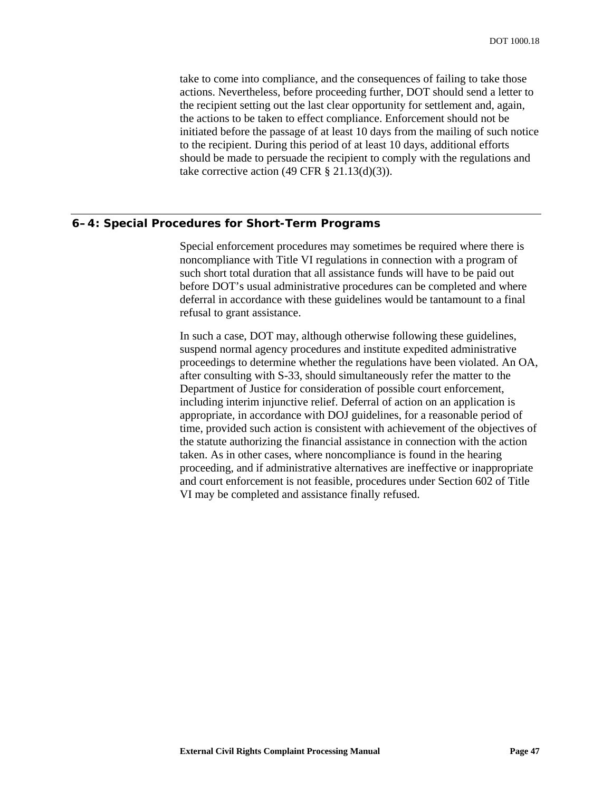take to come into compliance, and the consequences of failing to take those actions. Nevertheless, before proceeding further, DOT should send a letter to the recipient setting out the last clear opportunity for settlement and, again, the actions to be taken to effect compliance. Enforcement should not be initiated before the passage of at least 10 days from the mailing of such notice to the recipient. During this period of at least 10 days, additional efforts should be made to persuade the recipient to comply with the regulations and take corrective action  $(49 \text{ CFR} \text{ § } 21.13 \text{ (d)}(3))$ .

#### **6–4: Special Procedures for Short-Term Programs**

Special enforcement procedures may sometimes be required where there is noncompliance with Title VI regulations in connection with a program of such short total duration that all assistance funds will have to be paid out before DOT's usual administrative procedures can be completed and where deferral in accordance with these guidelines would be tantamount to a final refusal to grant assistance.

In such a case, DOT may, although otherwise following these guidelines, suspend normal agency procedures and institute expedited administrative proceedings to determine whether the regulations have been violated. An OA, after consulting with S-33, should simultaneously refer the matter to the Department of Justice for consideration of possible court enforcement, including interim injunctive relief. Deferral of action on an application is appropriate, in accordance with DOJ guidelines, for a reasonable period of time, provided such action is consistent with achievement of the objectives of the statute authorizing the financial assistance in connection with the action taken. As in other cases, where noncompliance is found in the hearing proceeding, and if administrative alternatives are ineffective or inappropriate and court enforcement is not feasible, procedures under Section 602 of Title VI may be completed and assistance finally refused.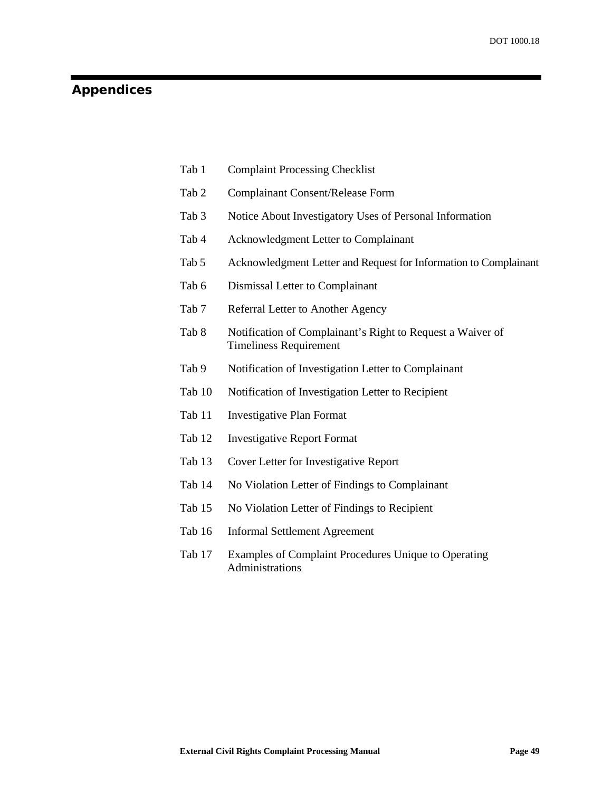# **Appendices**

| <b>Complaint Processing Checklist</b><br>Tab 1 |  |
|------------------------------------------------|--|
|------------------------------------------------|--|

- Tab 2 Complainant Consent/Release Form
- Tab 3 Notice About Investigatory Uses of Personal Information
- Tab 4 Acknowledgment Letter to Complainant
- Tab 5 Acknowledgment Letter and Request for Information to Complainant
- Tab 6 Dismissal Letter to Complainant
- Tab 7 Referral Letter to Another Agency
- Tab 8 Notification of Complainant's Right to Request a Waiver of Timeliness Requirement
- Tab 9 Notification of Investigation Letter to Complainant
- Tab 10 Notification of Investigation Letter to Recipient
- Tab 11 Investigative Plan Format
- <span id="page-54-0"></span>Tab 12 Investigative Report Format
- <span id="page-54-1"></span>Tab 13 Cover Letter for Investigative Report
- <span id="page-54-2"></span>Tab 14 No Violation Letter of Findings to Complainant
- <span id="page-54-3"></span>Tab 15 No Violation Letter of Findings to Recipient
- <span id="page-54-4"></span>Tab 16 Informal Settlement Agreement
- Tab 17 Examples of Complaint Procedures Unique to Operating Administrations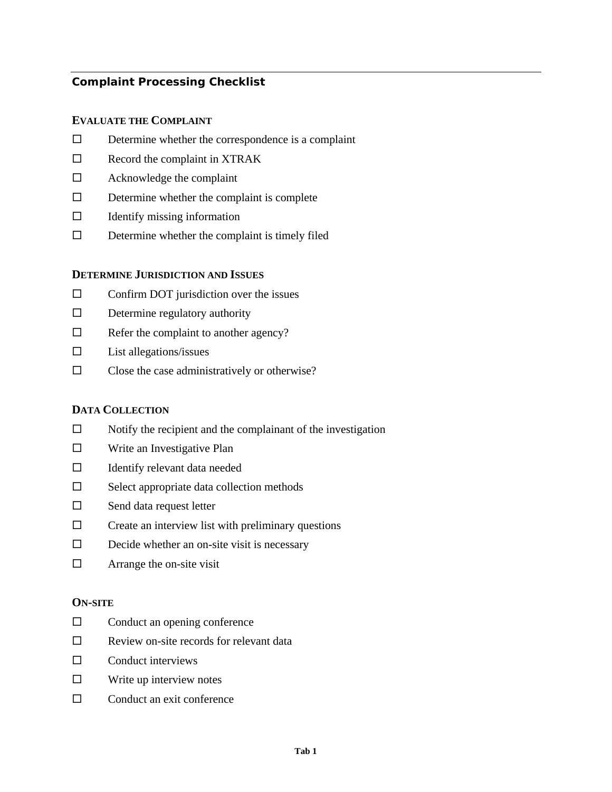# **Complaint Processing Checklist**

#### **EVALUATE THE COMPLAINT**

- $\square$  Determine whether the correspondence is a complaint
- $\square$  Record the complaint in XTRAK
- Acknowledge the complaint
- $\square$  Determine whether the complaint is complete
- $\Box$  Identify missing information
- $\square$  Determine whether the complaint is timely filed

### **DETERMINE JURISDICTION AND ISSUES**

- $\Box$  Confirm DOT jurisdiction over the issues
- $\square$  Determine regulatory authority
- $\Box$  Refer the complaint to another agency?
- $\square$  List allegations/issues
- $\square$  Close the case administratively or otherwise?

# **DATA COLLECTION**

- $\Box$  Notify the recipient and the complainant of the investigation
- $\square$  Write an Investigative Plan
- $\Box$  Identify relevant data needed
- $\square$  Select appropriate data collection methods
- $\square$  Send data request letter
- $\square$  Create an interview list with preliminary questions
- $\square$  Decide whether an on-site visit is necessary
- $\Box$  Arrange the on-site visit

#### **ON-SITE**

- $\Box$  Conduct an opening conference
- $\square$  Review on-site records for relevant data
- $\Box$  Conduct interviews
- $\square$  Write up interview notes
- $\Box$  Conduct an exit conference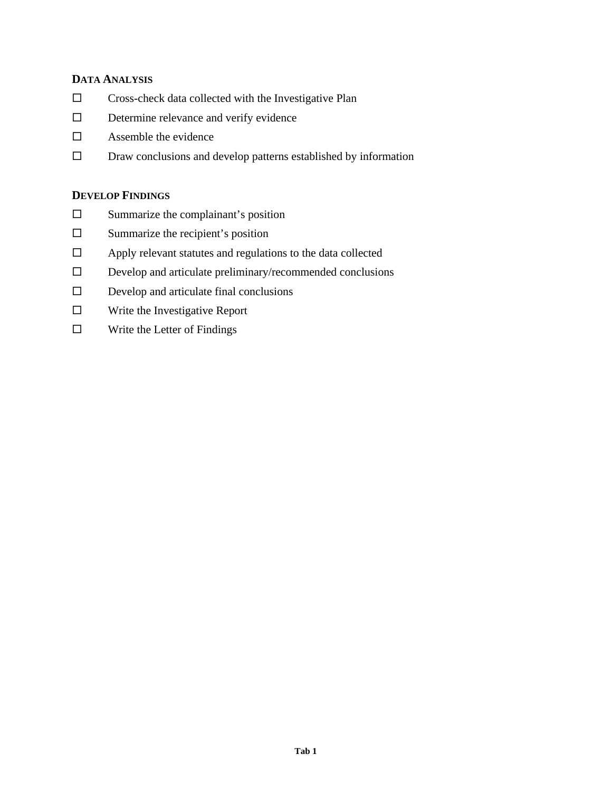# **DATA ANALYSIS**

- $\square$  Cross-check data collected with the Investigative Plan
- Determine relevance and verify evidence
- $\square$  Assemble the evidence
- $\square$  Draw conclusions and develop patterns established by information

# **DEVELOP FINDINGS**

- $\square$  Summarize the complainant's position
- $\square$  Summarize the recipient's position
- Apply relevant statutes and regulations to the data collected
- $\square$  Develop and articulate preliminary/recommended conclusions
- $\square$  Develop and articulate final conclusions
- $\square$  Write the Investigative Report
- $\square$  Write the Letter of Findings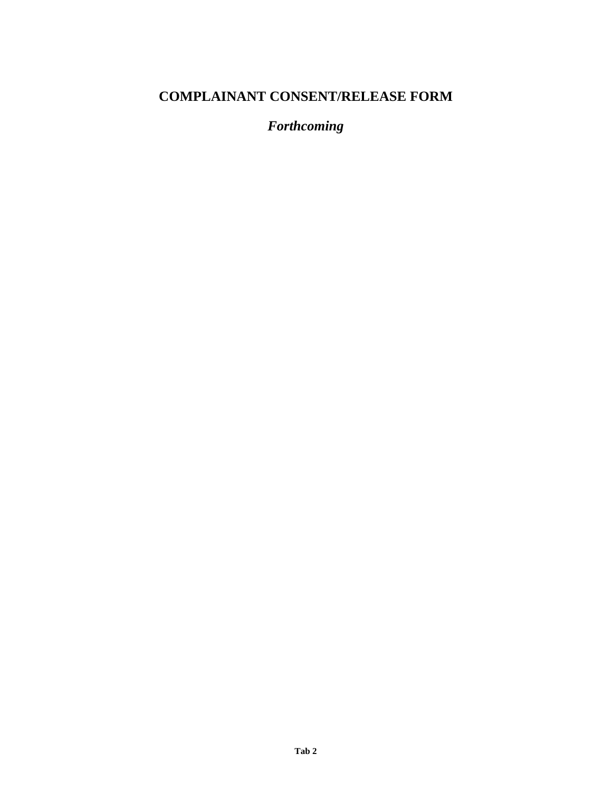# **COMPLAINANT CONSENT/RELEASE FORM**

*Forthcoming*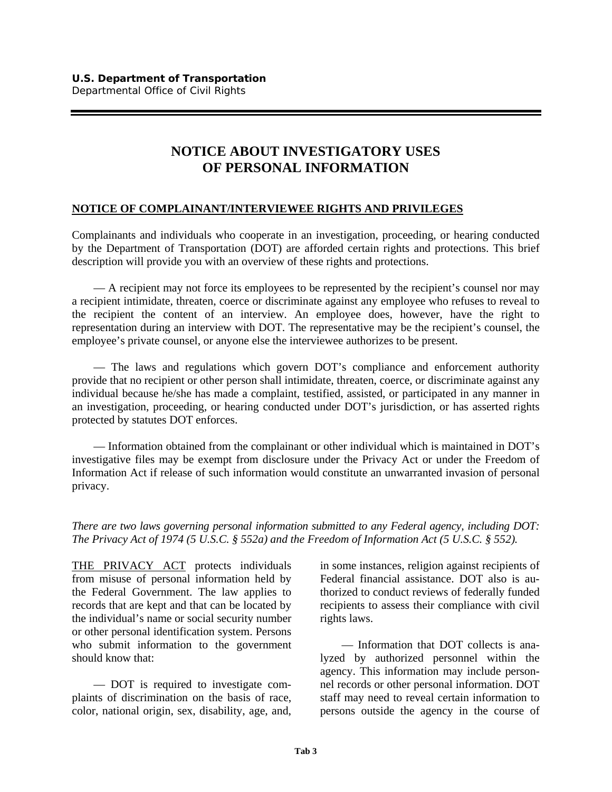# **NOTICE ABOUT INVESTIGATORY USES OF PERSONAL INFORMATION**

# **NOTICE OF COMPLAINANT/INTERVIEWEE RIGHTS AND PRIVILEGES**

Complainants and individuals who cooperate in an investigation, proceeding, or hearing conducted by the Department of Transportation (DOT) are afforded certain rights and protections. This brief description will provide you with an overview of these rights and protections.

— A recipient may not force its employees to be represented by the recipient's counsel nor may a recipient intimidate, threaten, coerce or discriminate against any employee who refuses to reveal to the recipient the content of an interview. An employee does, however, have the right to representation during an interview with DOT. The representative may be the recipient's counsel, the employee's private counsel, or anyone else the interviewee authorizes to be present.

— The laws and regulations which govern DOT's compliance and enforcement authority provide that no recipient or other person shall intimidate, threaten, coerce, or discriminate against any individual because he/she has made a complaint, testified, assisted, or participated in any manner in an investigation, proceeding, or hearing conducted under DOT's jurisdiction, or has asserted rights protected by statutes DOT enforces.

— Information obtained from the complainant or other individual which is maintained in DOT's investigative files may be exempt from disclosure under the Privacy Act or under the Freedom of Information Act if release of such information would constitute an unwarranted invasion of personal privacy.

*There are two laws governing personal information submitted to any Federal agency, including DOT: The Privacy Act of 1974 (5 U.S.C. § 552a) and the Freedom of Information Act (5 U.S.C. § 552).*

THE PRIVACY ACT protects individuals from misuse of personal information held by the Federal Government. The law applies to records that are kept and that can be located by the individual's name or social security number or other personal identification system. Persons who submit information to the government should know that:

— DOT is required to investigate complaints of discrimination on the basis of race, color, national origin, sex, disability, age, and,

in some instances, religion against recipients of Federal financial assistance. DOT also is authorized to conduct reviews of federally funded recipients to assess their compliance with civil rights laws.

— Information that DOT collects is analyzed by authorized personnel within the agency. This information may include personnel records or other personal information. DOT staff may need to reveal certain information to persons outside the agency in the course of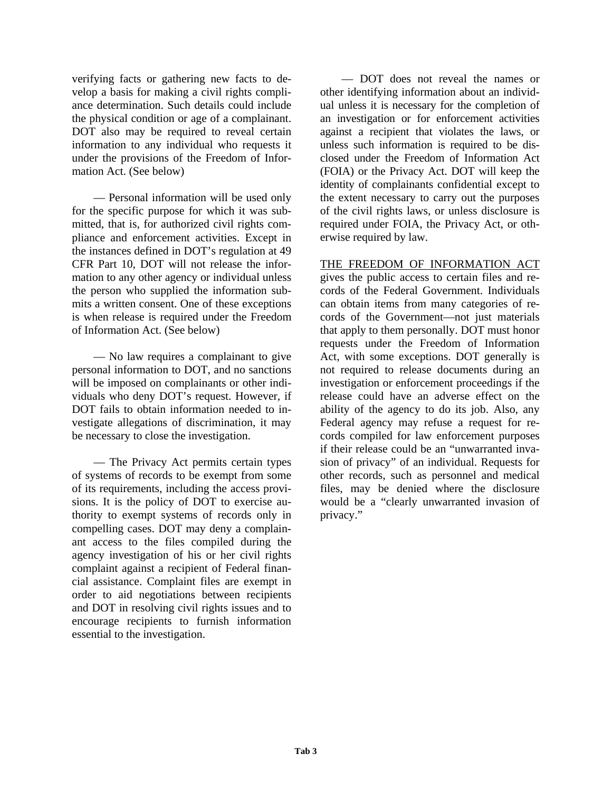verifying facts or gathering new facts to develop a basis for making a civil rights compliance determination. Such details could include the physical condition or age of a complainant. DOT also may be required to reveal certain information to any individual who requests it under the provisions of the Freedom of Information Act. (See below)

— Personal information will be used only for the specific purpose for which it was submitted, that is, for authorized civil rights compliance and enforcement activities. Except in the instances defined in DOT's regulation at 49 CFR Part 10, DOT will not release the information to any other agency or individual unless the person who supplied the information submits a written consent. One of these exceptions is when release is required under the Freedom of Information Act. (See below)

— No law requires a complainant to give personal information to DOT, and no sanctions will be imposed on complainants or other individuals who deny DOT's request. However, if DOT fails to obtain information needed to investigate allegations of discrimination, it may be necessary to close the investigation.

— The Privacy Act permits certain types of systems of records to be exempt from some of its requirements, including the access provisions. It is the policy of DOT to exercise authority to exempt systems of records only in compelling cases. DOT may deny a complainant access to the files compiled during the agency investigation of his or her civil rights complaint against a recipient of Federal financial assistance. Complaint files are exempt in order to aid negotiations between recipients and DOT in resolving civil rights issues and to encourage recipients to furnish information essential to the investigation.

— DOT does not reveal the names or other identifying information about an individual unless it is necessary for the completion of an investigation or for enforcement activities against a recipient that violates the laws, or unless such information is required to be disclosed under the Freedom of Information Act (FOIA) or the Privacy Act. DOT will keep the identity of complainants confidential except to the extent necessary to carry out the purposes of the civil rights laws, or unless disclosure is required under FOIA, the Privacy Act, or otherwise required by law.

THE FREEDOM OF INFORMATION ACT gives the public access to certain files and records of the Federal Government. Individuals can obtain items from many categories of records of the Government—not just materials that apply to them personally. DOT must honor requests under the Freedom of Information Act, with some exceptions. DOT generally is not required to release documents during an investigation or enforcement proceedings if the release could have an adverse effect on the ability of the agency to do its job. Also, any Federal agency may refuse a request for records compiled for law enforcement purposes if their release could be an "unwarranted invasion of privacy" of an individual. Requests for other records, such as personnel and medical files, may be denied where the disclosure would be a "clearly unwarranted invasion of privacy."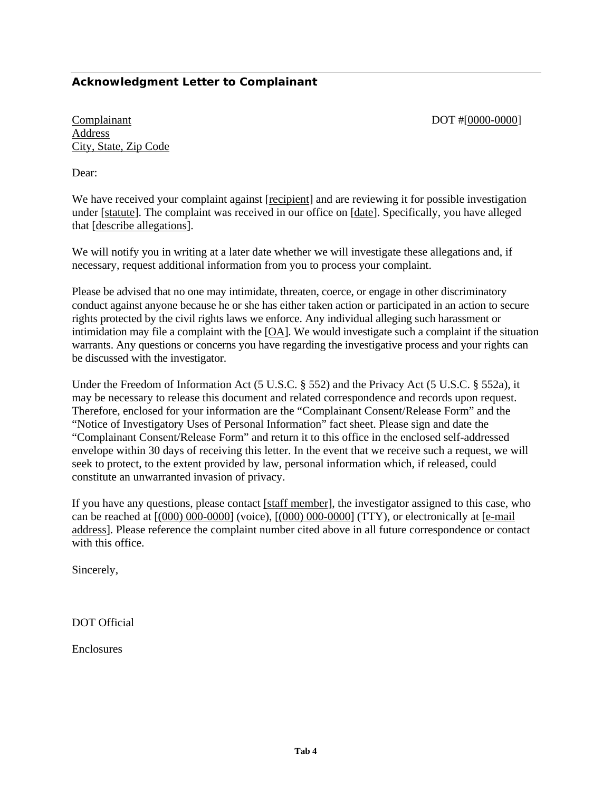# **Acknowledgment Letter to Complainant**

Complainant DOT #[0000-0000] Address City, State, Zip Code

Dear:

We have received your complaint against [recipient] and are reviewing it for possible investigation under [statute]. The complaint was received in our office on [date]. Specifically, you have alleged that [describe allegations].

We will notify you in writing at a later date whether we will investigate these allegations and, if necessary, request additional information from you to process your complaint.

Please be advised that no one may intimidate, threaten, coerce, or engage in other discriminatory conduct against anyone because he or she has either taken action or participated in an action to secure rights protected by the civil rights laws we enforce. Any individual alleging such harassment or intimidation may file a complaint with the [OA]. We would investigate such a complaint if the situation warrants. Any questions or concerns you have regarding the investigative process and your rights can be discussed with the investigator.

Under the Freedom of Information Act (5 U.S.C. § 552) and the Privacy Act (5 U.S.C. § 552a), it may be necessary to release this document and related correspondence and records upon request. Therefore, enclosed for your information are the "Complainant Consent/Release Form" and the "Notice of Investigatory Uses of Personal Information" fact sheet. Please sign and date the "Complainant Consent/Release Form" and return it to this office in the enclosed self-addressed envelope within 30 days of receiving this letter. In the event that we receive such a request, we will seek to protect, to the extent provided by law, personal information which, if released, could constitute an unwarranted invasion of privacy.

If you have any questions, please contact [staff member], the investigator assigned to this case, who can be reached at  $[(000) 000-0000]$  (voice),  $[(000) 000-0000]$  (TTY), or electronically at  $[e$ -mail address]. Please reference the complaint number cited above in all future correspondence or contact with this office.

Sincerely,

DOT Official

Enclosures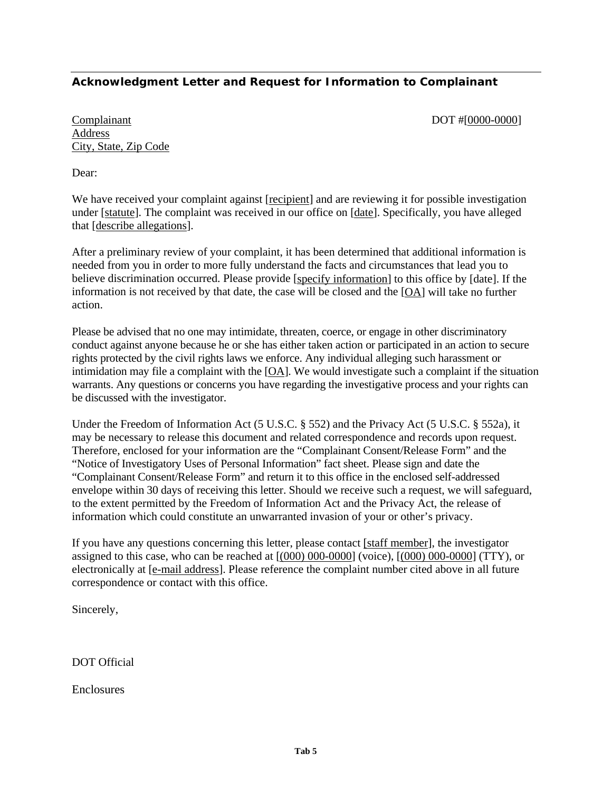# **Acknowledgment Letter and Request for Information to Complainant**

Complainant DOT #[0000-0000] Address City, State, Zip Code

Dear:

We have received your complaint against [recipient] and are reviewing it for possible investigation under [statute]. The complaint was received in our office on [date]. Specifically, you have alleged that [describe allegations].

After a preliminary review of your complaint, it has been determined that additional information is needed from you in order to more fully understand the facts and circumstances that lead you to believe discrimination occurred. Please provide [specify information] to this office by [date]. If the information is not received by that date, the case will be closed and the [OA] will take no further action.

Please be advised that no one may intimidate, threaten, coerce, or engage in other discriminatory conduct against anyone because he or she has either taken action or participated in an action to secure rights protected by the civil rights laws we enforce. Any individual alleging such harassment or intimidation may file a complaint with the [OA]. We would investigate such a complaint if the situation warrants. Any questions or concerns you have regarding the investigative process and your rights can be discussed with the investigator.

Under the Freedom of Information Act (5 U.S.C. § 552) and the Privacy Act (5 U.S.C. § 552a), it may be necessary to release this document and related correspondence and records upon request. Therefore, enclosed for your information are the "Complainant Consent/Release Form" and the "Notice of Investigatory Uses of Personal Information" fact sheet. Please sign and date the "Complainant Consent/Release Form" and return it to this office in the enclosed self-addressed envelope within 30 days of receiving this letter. Should we receive such a request, we will safeguard, to the extent permitted by the Freedom of Information Act and the Privacy Act, the release of information which could constitute an unwarranted invasion of your or other's privacy.

If you have any questions concerning this letter, please contact [staff member], the investigator assigned to this case, who can be reached at [(000) 000-0000] (voice), [(000) 000-0000] (TTY), or electronically at [e-mail address]. Please reference the complaint number cited above in all future correspondence or contact with this office.

Sincerely,

DOT Official

Enclosures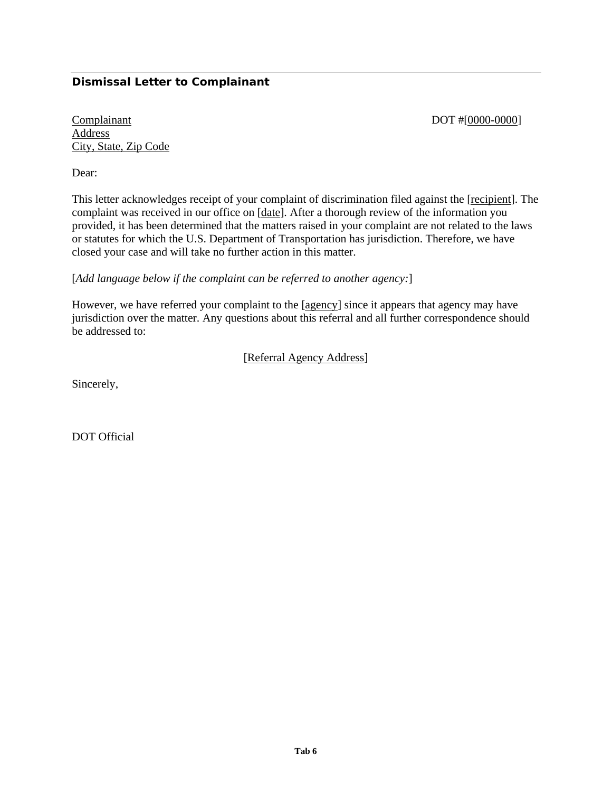# **Dismissal Letter to Complainant**

Complainant DOT #[0000-0000] Address City, State, Zip Code

Dear:

This letter acknowledges receipt of your complaint of discrimination filed against the [recipient]. The complaint was received in our office on [date]. After a thorough review of the information you provided, it has been determined that the matters raised in your complaint are not related to the laws or statutes for which the U.S. Department of Transportation has jurisdiction. Therefore, we have closed your case and will take no further action in this matter.

[*Add language below if the complaint can be referred to another agency:*]

However, we have referred your complaint to the [agency] since it appears that agency may have jurisdiction over the matter. Any questions about this referral and all further correspondence should be addressed to:

### [Referral Agency Address]

Sincerely,

DOT Official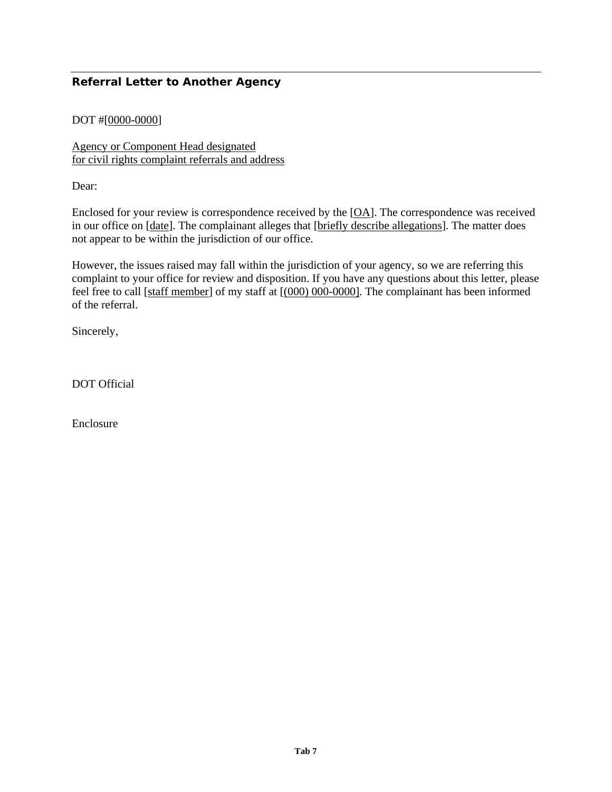# **Referral Letter to Another Agency**

# DOT #[0000-0000]

Agency or Component Head designated for civil rights complaint referrals and address

Dear:

Enclosed for your review is correspondence received by the [OA]. The correspondence was received in our office on [date]. The complainant alleges that [briefly describe allegations]. The matter does not appear to be within the jurisdiction of our office.

However, the issues raised may fall within the jurisdiction of your agency, so we are referring this complaint to your office for review and disposition. If you have any questions about this letter, please feel free to call [staff member] of my staff at  $[(000) 000-0000]$ . The complainant has been informed of the referral.

Sincerely,

DOT Official

Enclosure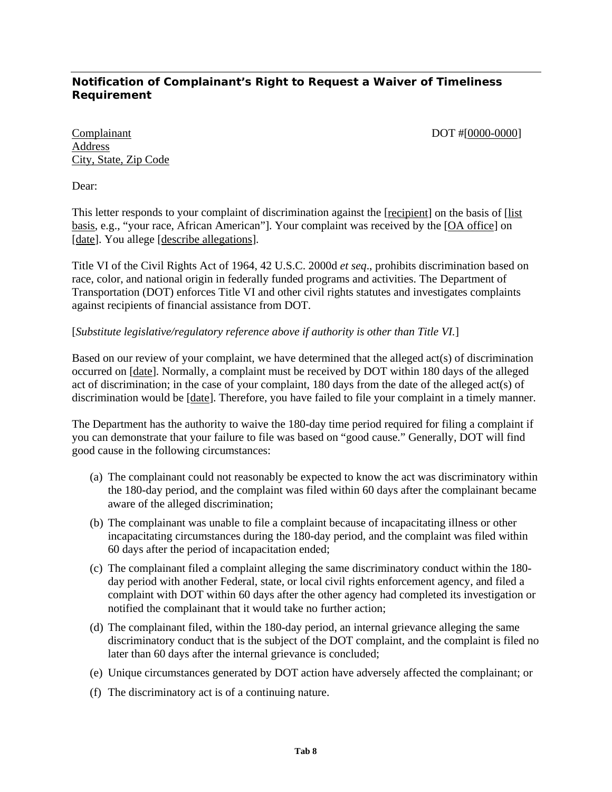# **Notification of Complainant's Right to Request a Waiver of Timeliness Requirement**

Complainant DOT #[0000-0000] Address City, State, Zip Code

Dear:

This letter responds to your complaint of discrimination against the [recipient] on the basis of [list basis, e.g., "your race, African American"]. Your complaint was received by the [OA office] on [date]. You allege [describe allegations].

Title VI of the Civil Rights Act of 1964, 42 U.S.C. 2000d *et seq*., prohibits discrimination based on race, color, and national origin in federally funded programs and activities. The Department of Transportation (DOT) enforces Title VI and other civil rights statutes and investigates complaints against recipients of financial assistance from DOT.

# [*Substitute legislative/regulatory reference above if authority is other than Title VI.*]

Based on our review of your complaint, we have determined that the alleged act(s) of discrimination occurred on [date]. Normally, a complaint must be received by DOT within 180 days of the alleged act of discrimination; in the case of your complaint, 180 days from the date of the alleged act(s) of discrimination would be [date]. Therefore, you have failed to file your complaint in a timely manner.

The Department has the authority to waive the 180-day time period required for filing a complaint if you can demonstrate that your failure to file was based on "good cause." Generally, DOT will find good cause in the following circumstances:

- (a) The complainant could not reasonably be expected to know the act was discriminatory within the 180-day period, and the complaint was filed within 60 days after the complainant became aware of the alleged discrimination;
- (b) The complainant was unable to file a complaint because of incapacitating illness or other incapacitating circumstances during the 180-day period, and the complaint was filed within 60 days after the period of incapacitation ended;
- (c) The complainant filed a complaint alleging the same discriminatory conduct within the 180 day period with another Federal, state, or local civil rights enforcement agency, and filed a complaint with DOT within 60 days after the other agency had completed its investigation or notified the complainant that it would take no further action;
- (d) The complainant filed, within the 180-day period, an internal grievance alleging the same discriminatory conduct that is the subject of the DOT complaint, and the complaint is filed no later than 60 days after the internal grievance is concluded;
- (e) Unique circumstances generated by DOT action have adversely affected the complainant; or
- (f) The discriminatory act is of a continuing nature.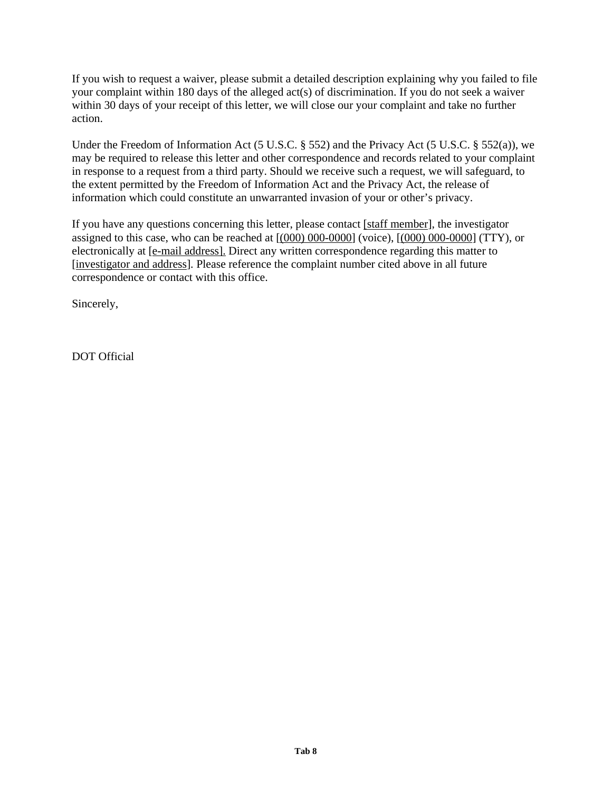If you wish to request a waiver, please submit a detailed description explaining why you failed to file your complaint within 180 days of the alleged act(s) of discrimination. If you do not seek a waiver within 30 days of your receipt of this letter, we will close our your complaint and take no further action.

Under the Freedom of Information Act (5 U.S.C. § 552) and the Privacy Act (5 U.S.C. § 552(a)), we may be required to release this letter and other correspondence and records related to your complaint in response to a request from a third party. Should we receive such a request, we will safeguard, to the extent permitted by the Freedom of Information Act and the Privacy Act, the release of information which could constitute an unwarranted invasion of your or other's privacy.

If you have any questions concerning this letter, please contact [staff member], the investigator assigned to this case, who can be reached at  $[(000) 000-0000]$  (voice),  $[(000) 000-0000]$  (TTY), or electronically at [e-mail address]. Direct any written correspondence regarding this matter to [investigator and address]. Please reference the complaint number cited above in all future correspondence or contact with this office.

Sincerely,

DOT Official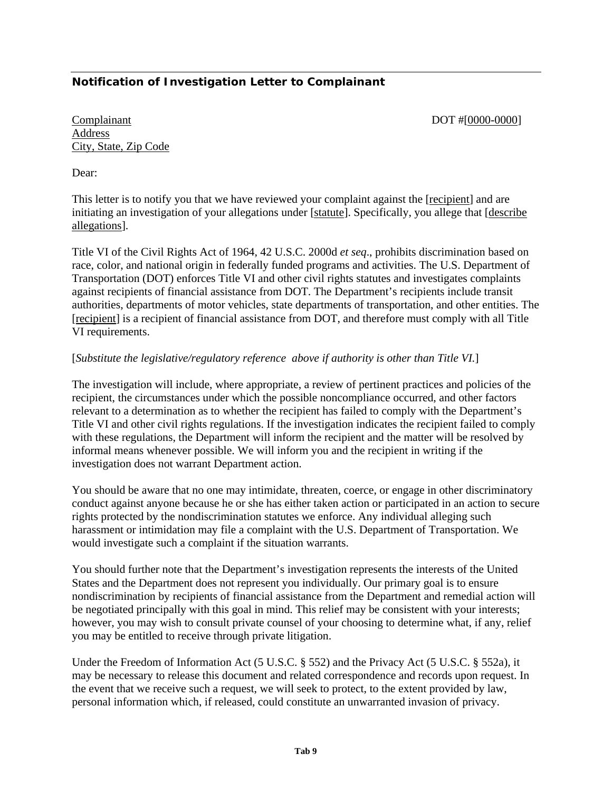# **Notification of Investigation Letter to Complainant**

### Complainant DOT #[0000-0000] Address City, State, Zip Code

Dear:

This letter is to notify you that we have reviewed your complaint against the [recipient] and are initiating an investigation of your allegations under [statute]. Specifically, you allege that [describe allegations].

Title VI of the Civil Rights Act of 1964, 42 U.S.C. 2000d *et seq*., prohibits discrimination based on race, color, and national origin in federally funded programs and activities. The U.S. Department of Transportation (DOT) enforces Title VI and other civil rights statutes and investigates complaints against recipients of financial assistance from DOT. The Department's recipients include transit authorities, departments of motor vehicles, state departments of transportation, and other entities. The [recipient] is a recipient of financial assistance from DOT, and therefore must comply with all Title VI requirements.

# [*Substitute the legislative/regulatory reference above if authority is other than Title VI.*]

The investigation will include, where appropriate, a review of pertinent practices and policies of the recipient, the circumstances under which the possible noncompliance occurred, and other factors relevant to a determination as to whether the recipient has failed to comply with the Department's Title VI and other civil rights regulations. If the investigation indicates the recipient failed to comply with these regulations, the Department will inform the recipient and the matter will be resolved by informal means whenever possible. We will inform you and the recipient in writing if the investigation does not warrant Department action.

You should be aware that no one may intimidate, threaten, coerce, or engage in other discriminatory conduct against anyone because he or she has either taken action or participated in an action to secure rights protected by the nondiscrimination statutes we enforce. Any individual alleging such harassment or intimidation may file a complaint with the U.S. Department of Transportation. We would investigate such a complaint if the situation warrants.

You should further note that the Department's investigation represents the interests of the United States and the Department does not represent you individually. Our primary goal is to ensure nondiscrimination by recipients of financial assistance from the Department and remedial action will be negotiated principally with this goal in mind. This relief may be consistent with your interests; however, you may wish to consult private counsel of your choosing to determine what, if any, relief you may be entitled to receive through private litigation.

Under the Freedom of Information Act (5 U.S.C. § 552) and the Privacy Act (5 U.S.C. § 552a), it may be necessary to release this document and related correspondence and records upon request. In the event that we receive such a request, we will seek to protect, to the extent provided by law, personal information which, if released, could constitute an unwarranted invasion of privacy.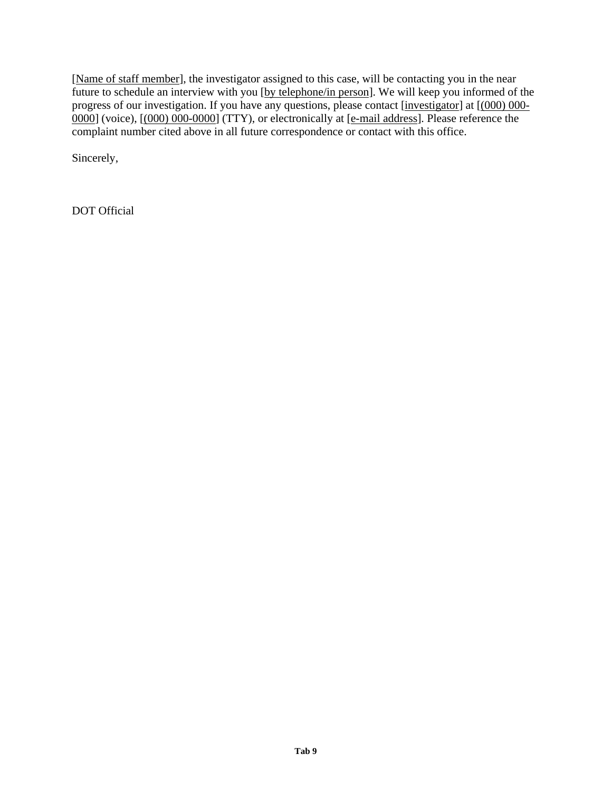[Name of staff member], the investigator assigned to this case, will be contacting you in the near future to schedule an interview with you [by telephone/in person]. We will keep you informed of the progress of our investigation. If you have any questions, please contact [investigator] at [(000) 000- 0000] (voice), [(000) 000-0000] (TTY), or electronically at [e-mail address]. Please reference the complaint number cited above in all future correspondence or contact with this office.

Sincerely,

DOT Official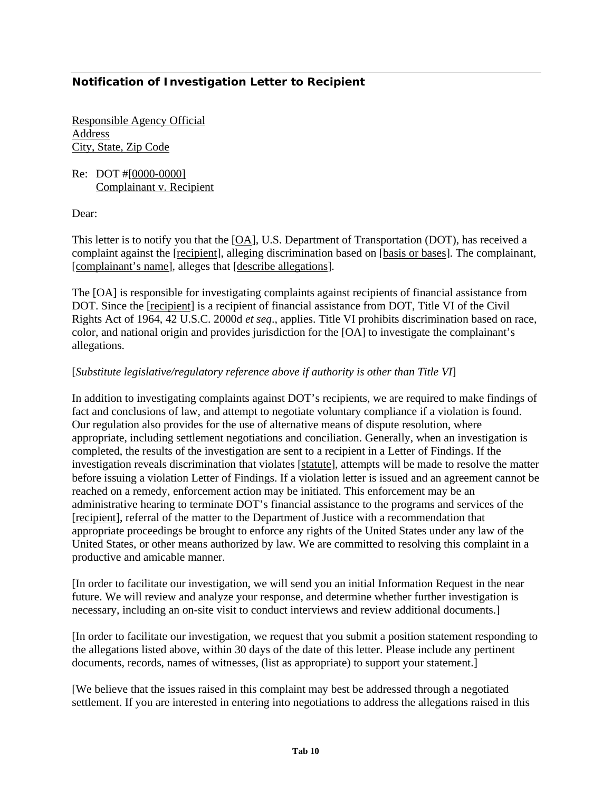# **Notification of Investigation Letter to Recipient**

Responsible Agency Official Address City, State, Zip Code

Re: DOT #[0000-0000] Complainant v. Recipient

Dear:

This letter is to notify you that the [OA], U.S. Department of Transportation (DOT), has received a complaint against the [recipient], alleging discrimination based on [basis or bases]. The complainant, [complainant's name], alleges that [describe allegations].

The [OA] is responsible for investigating complaints against recipients of financial assistance from DOT. Since the [recipient] is a recipient of financial assistance from DOT, Title VI of the Civil Rights Act of 1964, 42 U.S.C. 2000d *et seq*., applies. Title VI prohibits discrimination based on race, color, and national origin and provides jurisdiction for the [OA] to investigate the complainant's allegations.

# [*Substitute legislative/regulatory reference above if authority is other than Title VI*]

In addition to investigating complaints against DOT's recipients, we are required to make findings of fact and conclusions of law, and attempt to negotiate voluntary compliance if a violation is found. Our regulation also provides for the use of alternative means of dispute resolution, where appropriate, including settlement negotiations and conciliation. Generally, when an investigation is completed, the results of the investigation are sent to a recipient in a Letter of Findings. If the investigation reveals discrimination that violates [statute], attempts will be made to resolve the matter before issuing a violation Letter of Findings. If a violation letter is issued and an agreement cannot be reached on a remedy, enforcement action may be initiated. This enforcement may be an administrative hearing to terminate DOT's financial assistance to the programs and services of the [recipient], referral of the matter to the Department of Justice with a recommendation that appropriate proceedings be brought to enforce any rights of the United States under any law of the United States, or other means authorized by law. We are committed to resolving this complaint in a productive and amicable manner.

[In order to facilitate our investigation, we will send you an initial Information Request in the near future. We will review and analyze your response, and determine whether further investigation is necessary, including an on-site visit to conduct interviews and review additional documents.]

[In order to facilitate our investigation, we request that you submit a position statement responding to the allegations listed above, within 30 days of the date of this letter. Please include any pertinent documents, records, names of witnesses, (list as appropriate) to support your statement.]

[We believe that the issues raised in this complaint may best be addressed through a negotiated settlement. If you are interested in entering into negotiations to address the allegations raised in this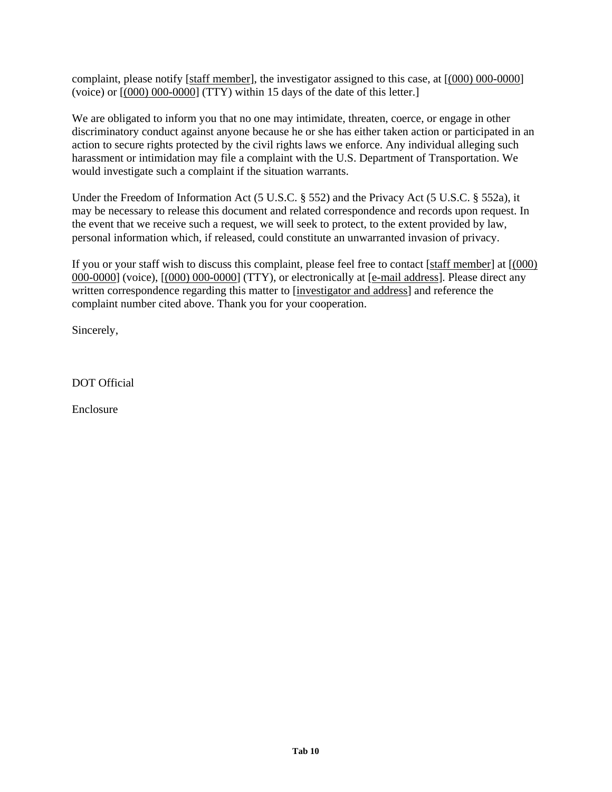complaint, please notify [staff member], the investigator assigned to this case, at [(000) 000-0000] (voice) or  $[(000) 000-0000]$  (TTY) within 15 days of the date of this letter.

We are obligated to inform you that no one may intimidate, threaten, coerce, or engage in other discriminatory conduct against anyone because he or she has either taken action or participated in an action to secure rights protected by the civil rights laws we enforce. Any individual alleging such harassment or intimidation may file a complaint with the U.S. Department of Transportation. We would investigate such a complaint if the situation warrants.

Under the Freedom of Information Act (5 U.S.C. § 552) and the Privacy Act (5 U.S.C. § 552a), it may be necessary to release this document and related correspondence and records upon request. In the event that we receive such a request, we will seek to protect, to the extent provided by law, personal information which, if released, could constitute an unwarranted invasion of privacy.

If you or your staff wish to discuss this complaint, please feel free to contact [staff member] at  $(000)$ 000-0000] (voice), [(000) 000-0000] (TTY), or electronically at [e-mail address]. Please direct any written correspondence regarding this matter to [investigator and address] and reference the complaint number cited above. Thank you for your cooperation.

Sincerely,

DOT Official

Enclosure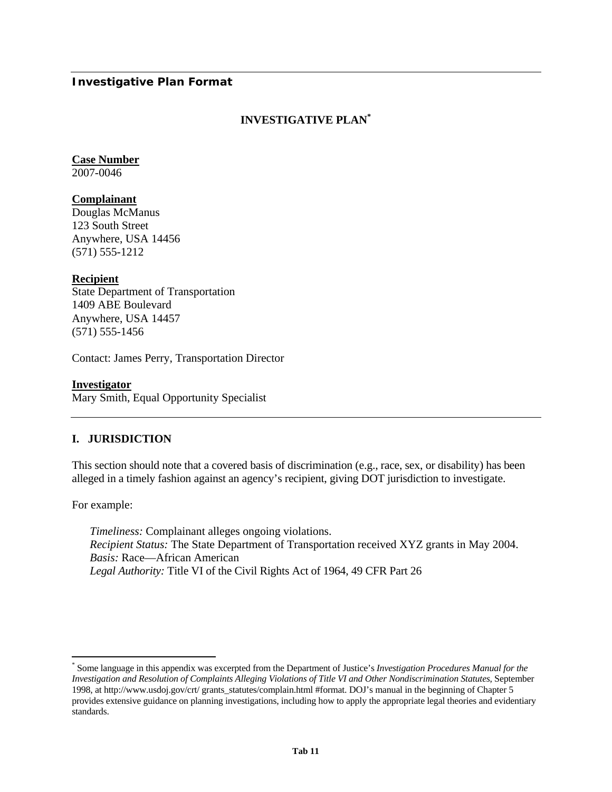### **Investigative Plan Format**

# **INVESTIGATIVE PLA[N\\*](#page-71-0)**

# **Case Number**

2007-0046

### **Complainant**

Douglas McManus 123 South Street Anywhere, USA 14456 (571) 555-1212

### **Recipient**

State Department of Transportation 1409 ABE Boulevard Anywhere, USA 14457 (571) 555-1456

Contact: James Perry, Transportation Director

#### **Investigator**

Mary Smith, Equal Opportunity Specialist

# **I. JURISDICTION**

This section should note that a covered basis of discrimination (e.g., race, sex, or disability) has been alleged in a timely fashion against an agency's recipient, giving DOT jurisdiction to investigate.

For example:

 $\overline{a}$ 

*Timeliness:* Complainant alleges ongoing violations. *Recipient Status:* The State Department of Transportation received XYZ grants in May 2004. *Basis:* Race—African American *Legal Authority:* Title VI of the Civil Rights Act of 1964, 49 CFR Part 26

<span id="page-71-0"></span><sup>\*</sup> Some language in this appendix was excerpted from the Department of Justice's *Investigation Procedures Manual for the Investigation and Resolution of Complaints Alleging Violations of Title VI and Other Nondiscrimination Statutes*, September 1998, at http://www.usdoj.gov/crt/ grants\_statutes/complain.html #format. DOJ's manual in the beginning of Chapter 5 provides extensive guidance on planning investigations, including how to apply the appropriate legal theories and evidentiary standards.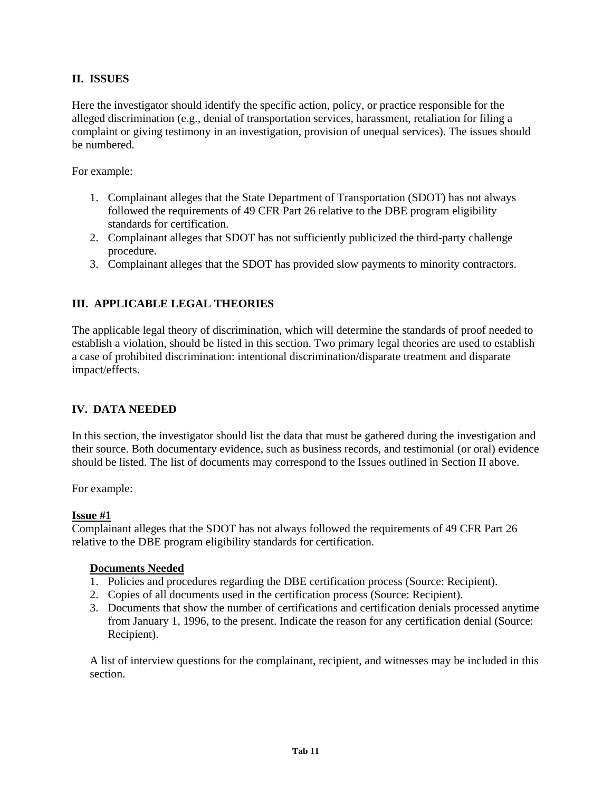# **II. ISSUES**

Here the investigator should identify the specific action, policy, or practice responsible for the alleged discrimination (e.g., denial of transportation services, harassment, retaliation for filing a complaint or giving testimony in an investigation, provision of unequal services). The issues should be numbered.

For example:

- 1. Complainant alleges that the State Department of Transportation (SDOT) has not always followed the requirements of 49 CFR Part 26 relative to the DBE program eligibility standards for certification.
- 2. Complainant alleges that SDOT has not sufficiently publicized the third-party challenge procedure.
- 3. Complainant alleges that the SDOT has provided slow payments to minority contractors.

## **III. APPLICABLE LEGAL THEORIES**

The applicable legal theory of discrimination, which will determine the standards of proof needed to establish a violation, should be listed in this section. Two primary legal theories are used to establish a case of prohibited discrimination: intentional discrimination/disparate treatment and disparate impact/effects.

## **IV. DATA NEEDED**

In this section, the investigator should list the data that must be gathered during the investigation and their source. Both documentary evidence, such as business records, and testimonial (or oral) evidence should be listed. The list of documents may correspond to the Issues outlined in Section II above.

For example:

#### **Issue #1**

Complainant alleges that the SDOT has not always followed the requirements of 49 CFR Part 26 relative to the DBE program eligibility standards for certification.

#### **Documents Needed**

- 1. Policies and procedures regarding the DBE certification process (Source: Recipient).
- 2. Copies of all documents used in the certification process (Source: Recipient).
- 3. Documents that show the number of certifications and certification denials processed anytime from January 1, 1996, to the present. Indicate the reason for any certification denial (Source: Recipient).

A list of interview questions for the complainant, recipient, and witnesses may be included in this section.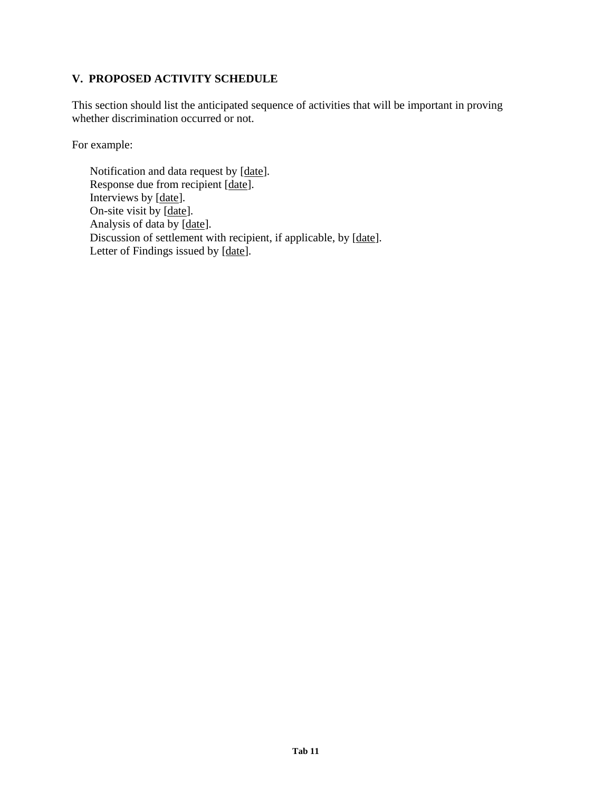## **V. PROPOSED ACTIVITY SCHEDULE**

This section should list the anticipated sequence of activities that will be important in proving whether discrimination occurred or not.

For example:

Notification and data request by [date]. Response due from recipient [date]. Interviews by [date]. On-site visit by  $\boxed{\text{date}}$ . Analysis of data by [date]. Discussion of settlement with recipient, if applicable, by [date]. Letter of Findings issued by [date].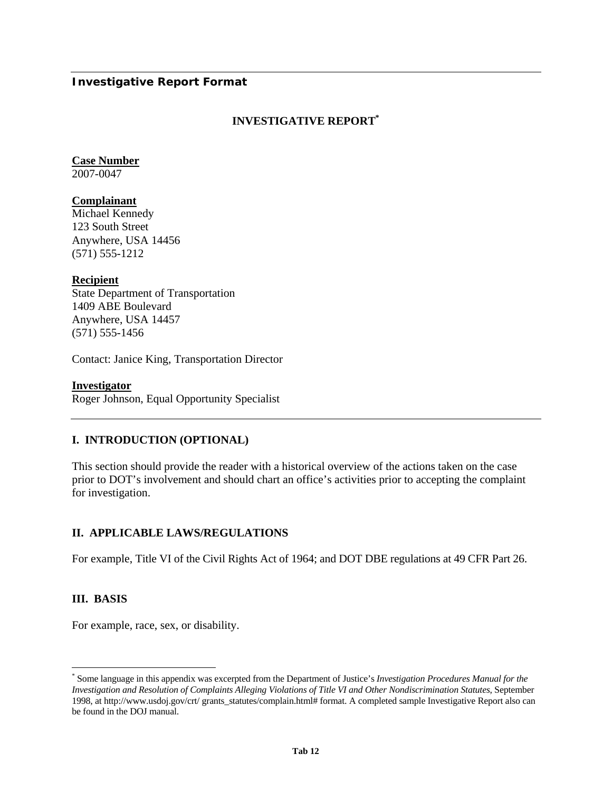## **Investigative Report Format**

## **INVESTIGATIVE REPOR[T\\*](#page-74-0)**

# **Case Number**

2007-0047

## **Complainant**

Michael Kennedy 123 South Street Anywhere, USA 14456 (571) 555-1212

### **Recipient**

State Department of Transportation 1409 ABE Boulevard Anywhere, USA 14457 (571) 555-1456

Contact: Janice King, Transportation Director

#### **Investigator**

Roger Johnson, Equal Opportunity Specialist

## **I. INTRODUCTION (OPTIONAL)**

This section should provide the reader with a historical overview of the actions taken on the case prior to DOT's involvement and should chart an office's activities prior to accepting the complaint for investigation.

## **II. APPLICABLE LAWS/REGULATIONS**

For example, Title VI of the Civil Rights Act of 1964; and DOT DBE regulations at 49 CFR Part 26.

## **III. BASIS**

 $\overline{a}$ 

For example, race, sex, or disability.

<span id="page-74-0"></span><sup>\*</sup> Some language in this appendix was excerpted from the Department of Justice's *Investigation Procedures Manual for the Investigation and Resolution of Complaints Alleging Violations of Title VI and Other Nondiscrimination Statutes*, September 1998, at http://www.usdoj.gov/crt/ grants\_statutes/complain.html# format. A completed sample Investigative Report also can be found in the DOJ manual.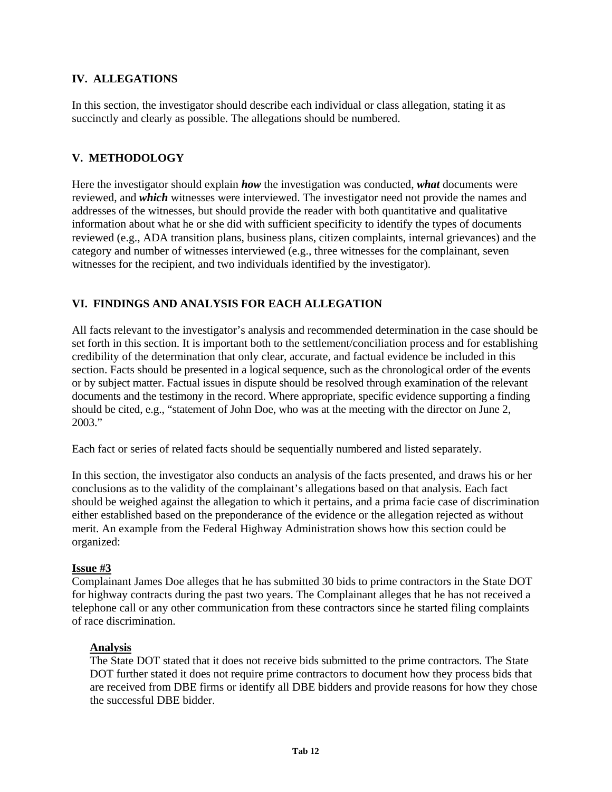## **IV. ALLEGATIONS**

In this section, the investigator should describe each individual or class allegation, stating it as succinctly and clearly as possible. The allegations should be numbered.

## **V. METHODOLOGY**

Here the investigator should explain *how* the investigation was conducted, *what* documents were reviewed, and *which* witnesses were interviewed. The investigator need not provide the names and addresses of the witnesses, but should provide the reader with both quantitative and qualitative information about what he or she did with sufficient specificity to identify the types of documents reviewed (e.g., ADA transition plans, business plans, citizen complaints, internal grievances) and the category and number of witnesses interviewed (e.g., three witnesses for the complainant, seven witnesses for the recipient, and two individuals identified by the investigator).

## **VI. FINDINGS AND ANALYSIS FOR EACH ALLEGATION**

All facts relevant to the investigator's analysis and recommended determination in the case should be set forth in this section. It is important both to the settlement/conciliation process and for establishing credibility of the determination that only clear, accurate, and factual evidence be included in this section. Facts should be presented in a logical sequence, such as the chronological order of the events or by subject matter. Factual issues in dispute should be resolved through examination of the relevant documents and the testimony in the record. Where appropriate, specific evidence supporting a finding should be cited, e.g., "statement of John Doe, who was at the meeting with the director on June 2, 2003."

Each fact or series of related facts should be sequentially numbered and listed separately.

In this section, the investigator also conducts an analysis of the facts presented, and draws his or her conclusions as to the validity of the complainant's allegations based on that analysis. Each fact should be weighed against the allegation to which it pertains, and a prima facie case of discrimination either established based on the preponderance of the evidence or the allegation rejected as without merit. An example from the Federal Highway Administration shows how this section could be organized:

## **Issue #3**

Complainant James Doe alleges that he has submitted 30 bids to prime contractors in the State DOT for highway contracts during the past two years. The Complainant alleges that he has not received a telephone call or any other communication from these contractors since he started filing complaints of race discrimination.

## **Analysis**

The State DOT stated that it does not receive bids submitted to the prime contractors. The State DOT further stated it does not require prime contractors to document how they process bids that are received from DBE firms or identify all DBE bidders and provide reasons for how they chose the successful DBE bidder.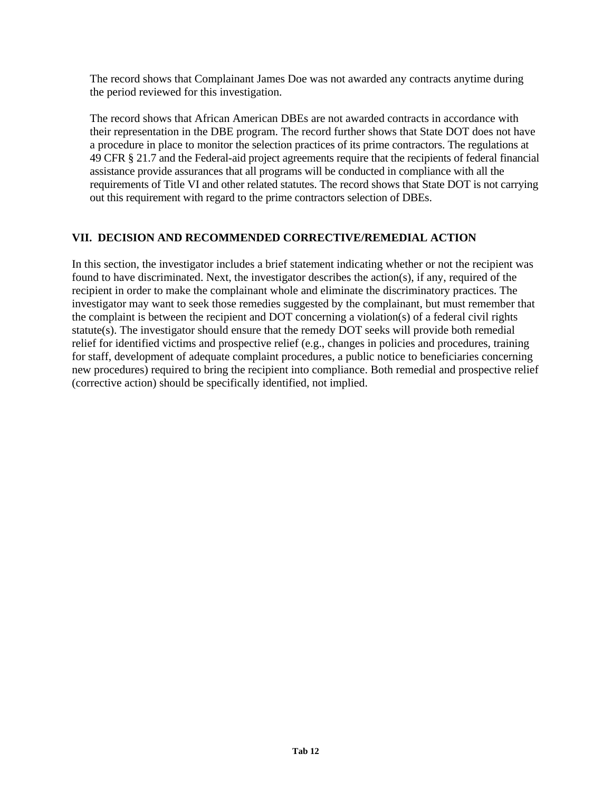The record shows that Complainant James Doe was not awarded any contracts anytime during the period reviewed for this investigation.

The record shows that African American DBEs are not awarded contracts in accordance with their representation in the DBE program. The record further shows that State DOT does not have a procedure in place to monitor the selection practices of its prime contractors. The regulations at 49 CFR § 21.7 and the Federal-aid project agreements require that the recipients of federal financial assistance provide assurances that all programs will be conducted in compliance with all the requirements of Title VI and other related statutes. The record shows that State DOT is not carrying out this requirement with regard to the prime contractors selection of DBEs.

## **VII. DECISION AND RECOMMENDED CORRECTIVE/REMEDIAL ACTION**

In this section, the investigator includes a brief statement indicating whether or not the recipient was found to have discriminated. Next, the investigator describes the action(s), if any, required of the recipient in order to make the complainant whole and eliminate the discriminatory practices. The investigator may want to seek those remedies suggested by the complainant, but must remember that the complaint is between the recipient and DOT concerning a violation(s) of a federal civil rights statute(s). The investigator should ensure that the remedy DOT seeks will provide both remedial relief for identified victims and prospective relief (e.g., changes in policies and procedures, training for staff, development of adequate complaint procedures, a public notice to beneficiaries concerning new procedures) required to bring the recipient into compliance. Both remedial and prospective relief (corrective action) should be specifically identified, not implied.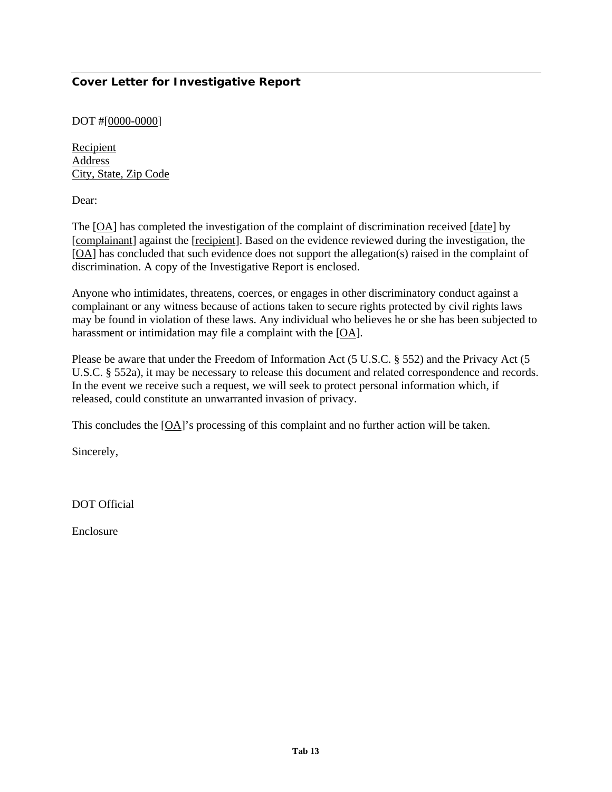# **Cover Letter for Investigative Report**

### DOT #[0000-0000]

Recipient Address City, State, Zip Code

Dear:

The [OA] has completed the investigation of the complaint of discrimination received [date] by [complainant] against the [recipient]. Based on the evidence reviewed during the investigation, the [OA] has concluded that such evidence does not support the allegation(s) raised in the complaint of discrimination. A copy of the Investigative Report is enclosed.

Anyone who intimidates, threatens, coerces, or engages in other discriminatory conduct against a complainant or any witness because of actions taken to secure rights protected by civil rights laws may be found in violation of these laws. Any individual who believes he or she has been subjected to harassment or intimidation may file a complaint with the [OA].

Please be aware that under the Freedom of Information Act (5 U.S.C. § 552) and the Privacy Act (5 U.S.C. § 552a), it may be necessary to release this document and related correspondence and records. In the event we receive such a request, we will seek to protect personal information which, if released, could constitute an unwarranted invasion of privacy.

This concludes the [OA]'s processing of this complaint and no further action will be taken.

Sincerely,

DOT Official

Enclosure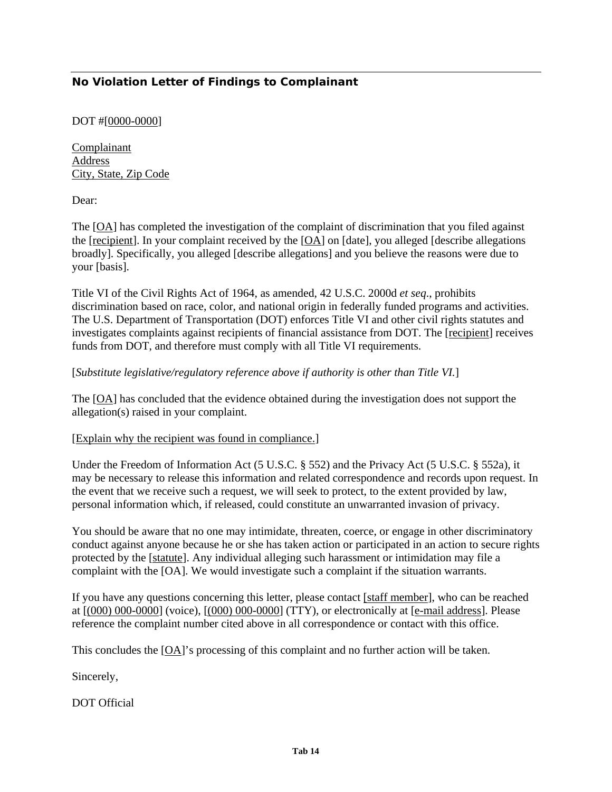# **No Violation Letter of Findings to Complainant**

## DOT #[0000-0000]

Complainant Address City, State, Zip Code

Dear:

The [OA] has completed the investigation of the complaint of discrimination that you filed against the [recipient]. In your complaint received by the [OA] on [date], you alleged [describe allegations broadly]. Specifically, you alleged [describe allegations] and you believe the reasons were due to your [basis].

Title VI of the Civil Rights Act of 1964, as amended, 42 U.S.C. 2000d *et seq*., prohibits discrimination based on race, color, and national origin in federally funded programs and activities. The U.S. Department of Transportation (DOT) enforces Title VI and other civil rights statutes and investigates complaints against recipients of financial assistance from DOT. The [recipient] receives funds from DOT, and therefore must comply with all Title VI requirements.

### [*Substitute legislative/regulatory reference above if authority is other than Title VI.*]

The [OA] has concluded that the evidence obtained during the investigation does not support the allegation(s) raised in your complaint.

#### [Explain why the recipient was found in compliance.]

Under the Freedom of Information Act (5 U.S.C. § 552) and the Privacy Act (5 U.S.C. § 552a), it may be necessary to release this information and related correspondence and records upon request. In the event that we receive such a request, we will seek to protect, to the extent provided by law, personal information which, if released, could constitute an unwarranted invasion of privacy.

You should be aware that no one may intimidate, threaten, coerce, or engage in other discriminatory conduct against anyone because he or she has taken action or participated in an action to secure rights protected by the [statute]. Any individual alleging such harassment or intimidation may file a complaint with the [OA]. We would investigate such a complaint if the situation warrants.

If you have any questions concerning this letter, please contact [staff member], who can be reached at [(000) 000-0000] (voice), [(000) 000-0000] (TTY), or electronically at [e-mail address]. Please reference the complaint number cited above in all correspondence or contact with this office.

This concludes the [OA]'s processing of this complaint and no further action will be taken.

Sincerely,

DOT Official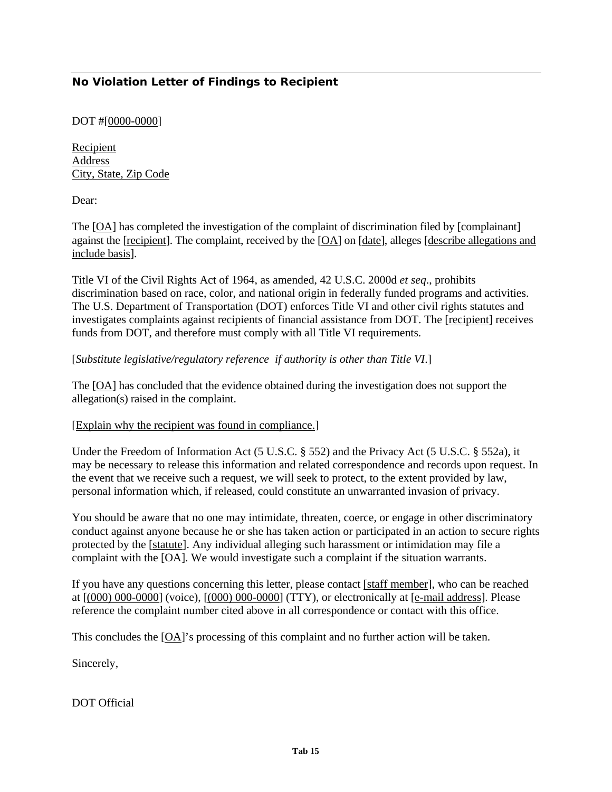# **No Violation Letter of Findings to Recipient**

## DOT #[0000-0000]

Recipient Address City, State, Zip Code

Dear:

The [OA] has completed the investigation of the complaint of discrimination filed by [complainant] against the [recipient]. The complaint, received by the [OA] on [date], alleges [describe allegations and include basis].

Title VI of the Civil Rights Act of 1964, as amended, 42 U.S.C. 2000d *et seq*., prohibits discrimination based on race, color, and national origin in federally funded programs and activities. The U.S. Department of Transportation (DOT) enforces Title VI and other civil rights statutes and investigates complaints against recipients of financial assistance from DOT. The [recipient] receives funds from DOT, and therefore must comply with all Title VI requirements.

### [*Substitute legislative/regulatory reference if authority is other than Title VI*.]

The [OA] has concluded that the evidence obtained during the investigation does not support the allegation(s) raised in the complaint.

#### [Explain why the recipient was found in compliance.]

Under the Freedom of Information Act (5 U.S.C. § 552) and the Privacy Act (5 U.S.C. § 552a), it may be necessary to release this information and related correspondence and records upon request. In the event that we receive such a request, we will seek to protect, to the extent provided by law, personal information which, if released, could constitute an unwarranted invasion of privacy.

You should be aware that no one may intimidate, threaten, coerce, or engage in other discriminatory conduct against anyone because he or she has taken action or participated in an action to secure rights protected by the [statute]. Any individual alleging such harassment or intimidation may file a complaint with the [OA]. We would investigate such a complaint if the situation warrants.

If you have any questions concerning this letter, please contact [staff member], who can be reached at [(000) 000-0000] (voice), [(000) 000-0000] (TTY), or electronically at [e-mail address]. Please reference the complaint number cited above in all correspondence or contact with this office.

This concludes the [OA]'s processing of this complaint and no further action will be taken.

Sincerely,

DOT Official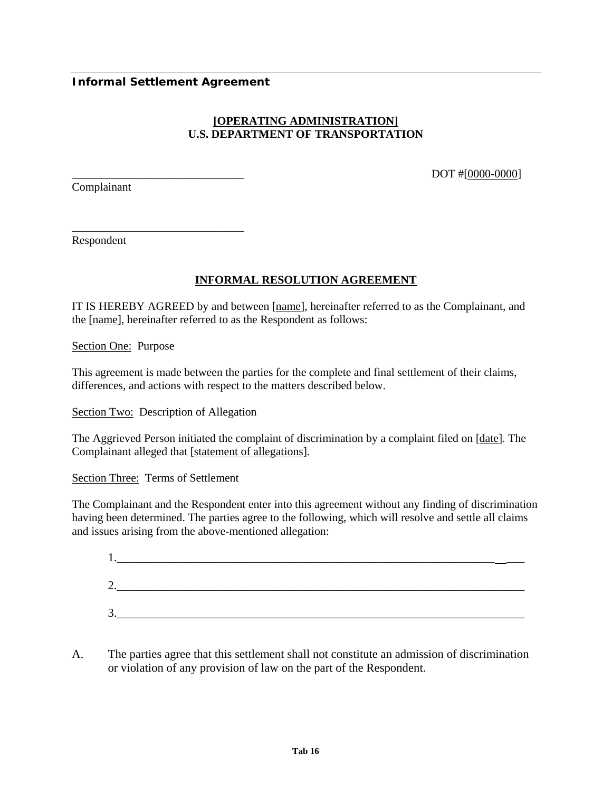## **Informal Settlement Agreement**

\_\_\_\_\_\_\_\_\_\_\_\_\_\_\_\_\_\_\_\_\_\_\_\_\_\_\_\_\_\_

# **[OPERATING ADMINISTRATION] U.S. DEPARTMENT OF TRANSPORTATION**

Complainant

DOT #[0000-0000]

Respondent

# **INFORMAL RESOLUTION AGREEMENT**

IT IS HEREBY AGREED by and between [name], hereinafter referred to as the Complainant, and the [name], hereinafter referred to as the Respondent as follows:

Section One: Purpose

This agreement is made between the parties for the complete and final settlement of their claims, differences, and actions with respect to the matters described below.

Section Two: Description of Allegation

The Aggrieved Person initiated the complaint of discrimination by a complaint filed on [date]. The Complainant alleged that [statement of allegations].

Section Three: Terms of Settlement

The Complainant and the Respondent enter into this agreement without any finding of discrimination having been determined. The parties agree to the following, which will resolve and settle all claims and issues arising from the above-mentioned allegation:

| ◠<br>ـ ت |  |  |
|----------|--|--|
| 3.       |  |  |

A. The parties agree that this settlement shall not constitute an admission of discrimination or violation of any provision of law on the part of the Respondent.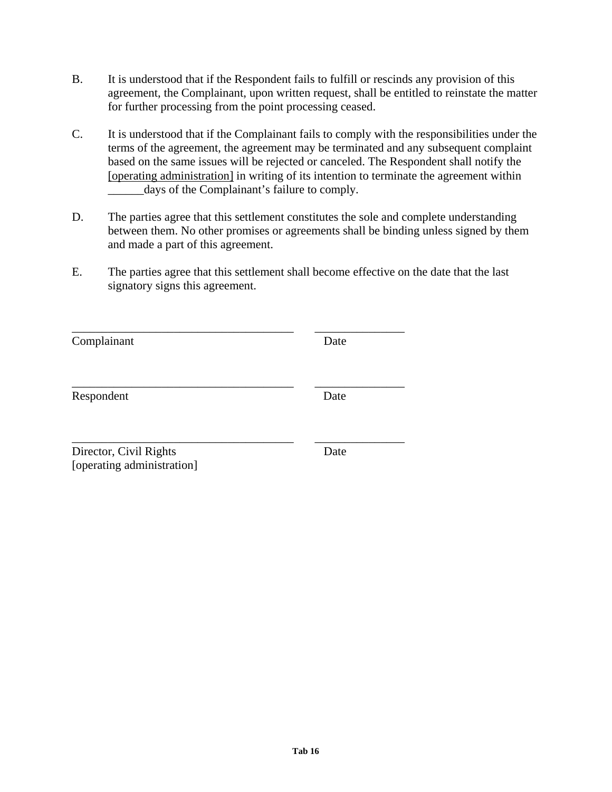- B. It is understood that if the Respondent fails to fulfill or rescinds any provision of this agreement, the Complainant, upon written request, shall be entitled to reinstate the matter for further processing from the point processing ceased.
- C. It is understood that if the Complainant fails to comply with the responsibilities under the terms of the agreement, the agreement may be terminated and any subsequent complaint based on the same issues will be rejected or canceled. The Respondent shall notify the [operating administration] in writing of its intention to terminate the agreement within days of the Complainant's failure to comply.
- D. The parties agree that this settlement constitutes the sole and complete understanding between them. No other promises or agreements shall be binding unless signed by them and made a part of this agreement.
- E. The parties agree that this settlement shall become effective on the date that the last signatory signs this agreement.

| Complainant                                          | Date |
|------------------------------------------------------|------|
| Respondent                                           | Date |
| Director, Civil Rights<br>[operating administration] | Date |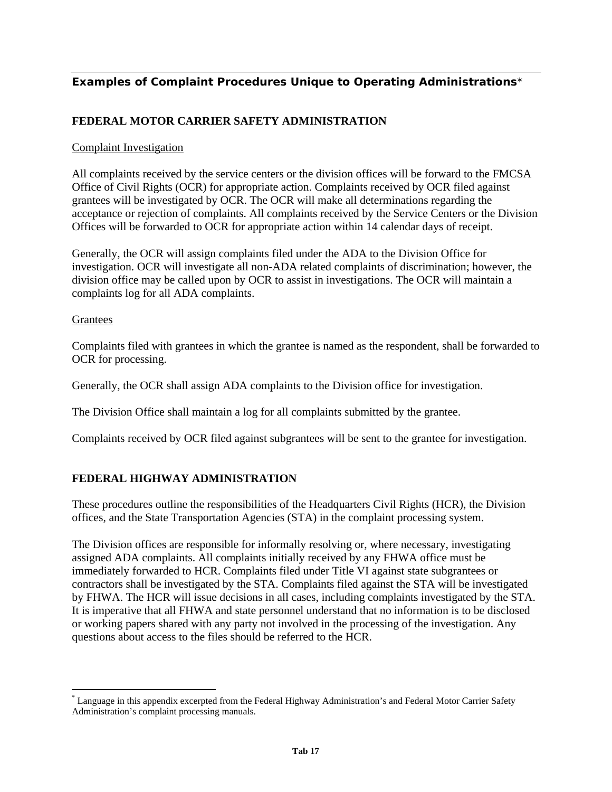# **Examples of Complaint Procedures Unique to Operating Administrations**[\\*](#page-82-0)

## **FEDERAL MOTOR CARRIER SAFETY ADMINISTRATION**

### Complaint Investigation

All complaints received by the service centers or the division offices will be forward to the FMCSA Office of Civil Rights (OCR) for appropriate action. Complaints received by OCR filed against grantees will be investigated by OCR. The OCR will make all determinations regarding the acceptance or rejection of complaints. All complaints received by the Service Centers or the Division Offices will be forwarded to OCR for appropriate action within 14 calendar days of receipt.

Generally, the OCR will assign complaints filed under the ADA to the Division Office for investigation. OCR will investigate all non-ADA related complaints of discrimination; however, the division office may be called upon by OCR to assist in investigations. The OCR will maintain a complaints log for all ADA complaints.

### Grantees

 $\overline{a}$ 

Complaints filed with grantees in which the grantee is named as the respondent, shall be forwarded to OCR for processing.

Generally, the OCR shall assign ADA complaints to the Division office for investigation.

The Division Office shall maintain a log for all complaints submitted by the grantee.

Complaints received by OCR filed against subgrantees will be sent to the grantee for investigation.

# **FEDERAL HIGHWAY ADMINISTRATION**

These procedures outline the responsibilities of the Headquarters Civil Rights (HCR), the Division offices, and the State Transportation Agencies (STA) in the complaint processing system.

The Division offices are responsible for informally resolving or, where necessary, investigating assigned ADA complaints. All complaints initially received by any FHWA office must be immediately forwarded to HCR. Complaints filed under Title VI against state subgrantees or contractors shall be investigated by the STA. Complaints filed against the STA will be investigated by FHWA. The HCR will issue decisions in all cases, including complaints investigated by the STA. It is imperative that all FHWA and state personnel understand that no information is to be disclosed or working papers shared with any party not involved in the processing of the investigation. Any questions about access to the files should be referred to the HCR.

<span id="page-82-0"></span><sup>\*</sup> Language in this appendix excerpted from the Federal Highway Administration's and Federal Motor Carrier Safety Administration's complaint processing manuals.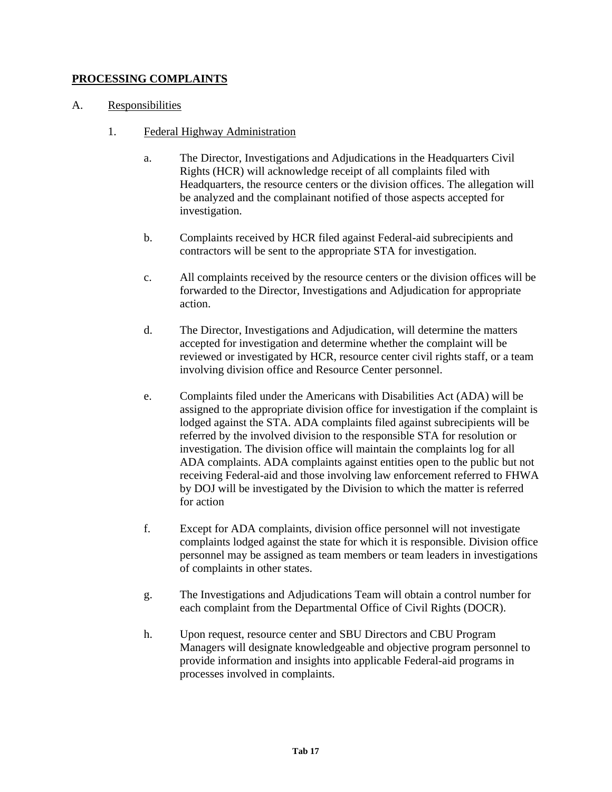# **PROCESSING COMPLAINTS**

## A. Responsibilities

- 1. Federal Highway Administration
	- a. The Director, Investigations and Adjudications in the Headquarters Civil Rights (HCR) will acknowledge receipt of all complaints filed with Headquarters, the resource centers or the division offices. The allegation will be analyzed and the complainant notified of those aspects accepted for investigation.
	- b. Complaints received by HCR filed against Federal-aid subrecipients and contractors will be sent to the appropriate STA for investigation.
	- c. All complaints received by the resource centers or the division offices will be forwarded to the Director, Investigations and Adjudication for appropriate action.
	- d. The Director, Investigations and Adjudication, will determine the matters accepted for investigation and determine whether the complaint will be reviewed or investigated by HCR, resource center civil rights staff, or a team involving division office and Resource Center personnel.
	- e. Complaints filed under the Americans with Disabilities Act (ADA) will be assigned to the appropriate division office for investigation if the complaint is lodged against the STA. ADA complaints filed against subrecipients will be referred by the involved division to the responsible STA for resolution or investigation. The division office will maintain the complaints log for all ADA complaints. ADA complaints against entities open to the public but not receiving Federal-aid and those involving law enforcement referred to FHWA by DOJ will be investigated by the Division to which the matter is referred for action
	- f. Except for ADA complaints, division office personnel will not investigate complaints lodged against the state for which it is responsible. Division office personnel may be assigned as team members or team leaders in investigations of complaints in other states.
	- g. The Investigations and Adjudications Team will obtain a control number for each complaint from the Departmental Office of Civil Rights (DOCR).
	- h. Upon request, resource center and SBU Directors and CBU Program Managers will designate knowledgeable and objective program personnel to provide information and insights into applicable Federal-aid programs in processes involved in complaints.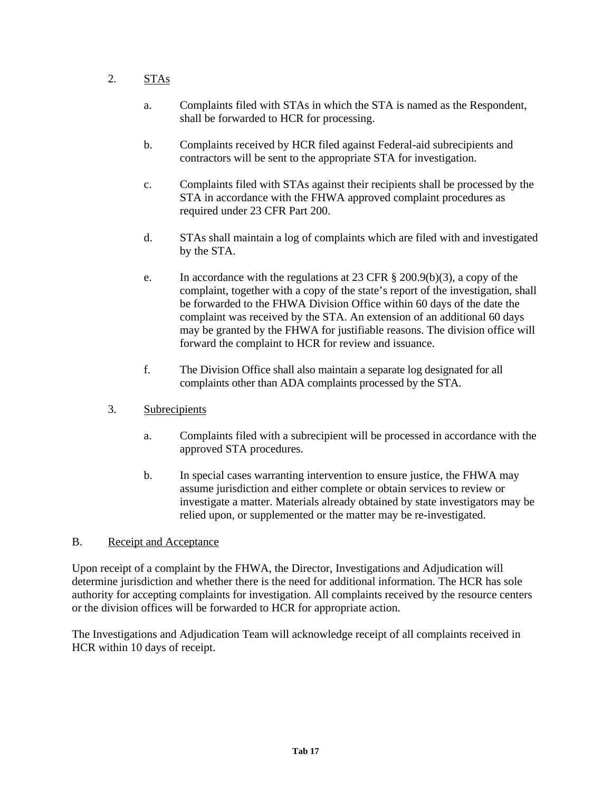# 2. STAs

- a. Complaints filed with STAs in which the STA is named as the Respondent, shall be forwarded to HCR for processing.
- b. Complaints received by HCR filed against Federal-aid subrecipients and contractors will be sent to the appropriate STA for investigation.
- c. Complaints filed with STAs against their recipients shall be processed by the STA in accordance with the FHWA approved complaint procedures as required under 23 CFR Part 200.
- d. STAs shall maintain a log of complaints which are filed with and investigated by the STA.
- e. In accordance with the regulations at 23 CFR  $\S$  200.9(b)(3), a copy of the complaint, together with a copy of the state's report of the investigation, shall be forwarded to the FHWA Division Office within 60 days of the date the complaint was received by the STA. An extension of an additional 60 days may be granted by the FHWA for justifiable reasons. The division office will forward the complaint to HCR for review and issuance.
- f. The Division Office shall also maintain a separate log designated for all complaints other than ADA complaints processed by the STA.
- 3. Subrecipients
	- a. Complaints filed with a subrecipient will be processed in accordance with the approved STA procedures.
	- b. In special cases warranting intervention to ensure justice, the FHWA may assume jurisdiction and either complete or obtain services to review or investigate a matter. Materials already obtained by state investigators may be relied upon, or supplemented or the matter may be re-investigated.

# B. Receipt and Acceptance

Upon receipt of a complaint by the FHWA, the Director, Investigations and Adjudication will determine jurisdiction and whether there is the need for additional information. The HCR has sole authority for accepting complaints for investigation. All complaints received by the resource centers or the division offices will be forwarded to HCR for appropriate action.

The Investigations and Adjudication Team will acknowledge receipt of all complaints received in HCR within 10 days of receipt.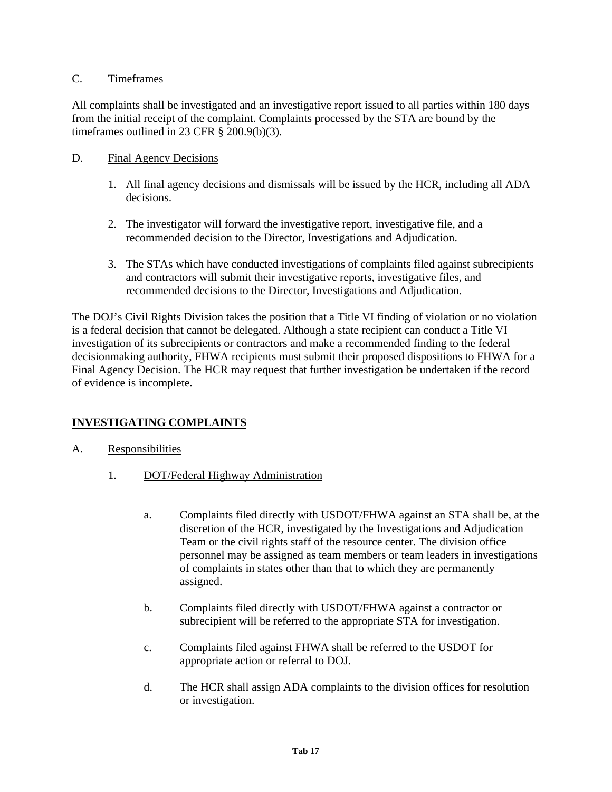## C. Timeframes

All complaints shall be investigated and an investigative report issued to all parties within 180 days from the initial receipt of the complaint. Complaints processed by the STA are bound by the timeframes outlined in 23 CFR § 200.9(b)(3).

## D. Final Agency Decisions

- 1. All final agency decisions and dismissals will be issued by the HCR, including all ADA decisions.
- 2. The investigator will forward the investigative report, investigative file, and a recommended decision to the Director, Investigations and Adjudication.
- 3. The STAs which have conducted investigations of complaints filed against subrecipients and contractors will submit their investigative reports, investigative files, and recommended decisions to the Director, Investigations and Adjudication.

The DOJ's Civil Rights Division takes the position that a Title VI finding of violation or no violation is a federal decision that cannot be delegated. Although a state recipient can conduct a Title VI investigation of its subrecipients or contractors and make a recommended finding to the federal decisionmaking authority, FHWA recipients must submit their proposed dispositions to FHWA for a Final Agency Decision. The HCR may request that further investigation be undertaken if the record of evidence is incomplete.

# **INVESTIGATING COMPLAINTS**

- A. Responsibilities
	- 1. DOT/Federal Highway Administration
		- a. Complaints filed directly with USDOT/FHWA against an STA shall be, at the discretion of the HCR, investigated by the Investigations and Adjudication Team or the civil rights staff of the resource center. The division office personnel may be assigned as team members or team leaders in investigations of complaints in states other than that to which they are permanently assigned.
		- b. Complaints filed directly with USDOT/FHWA against a contractor or subrecipient will be referred to the appropriate STA for investigation.
		- c. Complaints filed against FHWA shall be referred to the USDOT for appropriate action or referral to DOJ.
		- d. The HCR shall assign ADA complaints to the division offices for resolution or investigation.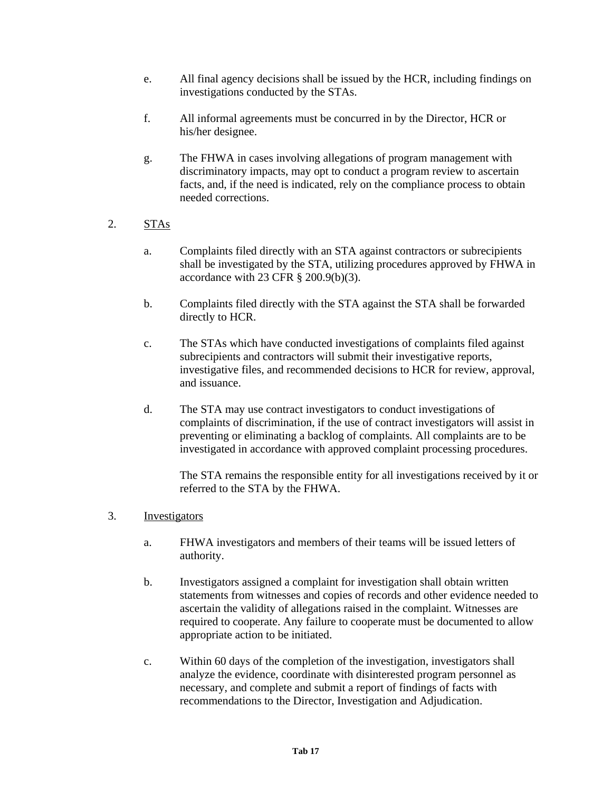- e. All final agency decisions shall be issued by the HCR, including findings on investigations conducted by the STAs.
- f. All informal agreements must be concurred in by the Director, HCR or his/her designee.
- g. The FHWA in cases involving allegations of program management with discriminatory impacts, may opt to conduct a program review to ascertain facts, and, if the need is indicated, rely on the compliance process to obtain needed corrections.
- 2. STAs
	- a. Complaints filed directly with an STA against contractors or subrecipients shall be investigated by the STA, utilizing procedures approved by FHWA in accordance with 23 CFR § 200.9(b)(3).
	- b. Complaints filed directly with the STA against the STA shall be forwarded directly to HCR.
	- c. The STAs which have conducted investigations of complaints filed against subrecipients and contractors will submit their investigative reports, investigative files, and recommended decisions to HCR for review, approval, and issuance.
	- d. The STA may use contract investigators to conduct investigations of complaints of discrimination, if the use of contract investigators will assist in preventing or eliminating a backlog of complaints. All complaints are to be investigated in accordance with approved complaint processing procedures.

The STA remains the responsible entity for all investigations received by it or referred to the STA by the FHWA.

- 3. Investigators
	- a. FHWA investigators and members of their teams will be issued letters of authority.
	- b. Investigators assigned a complaint for investigation shall obtain written statements from witnesses and copies of records and other evidence needed to ascertain the validity of allegations raised in the complaint. Witnesses are required to cooperate. Any failure to cooperate must be documented to allow appropriate action to be initiated.
	- c. Within 60 days of the completion of the investigation, investigators shall analyze the evidence, coordinate with disinterested program personnel as necessary, and complete and submit a report of findings of facts with recommendations to the Director, Investigation and Adjudication.